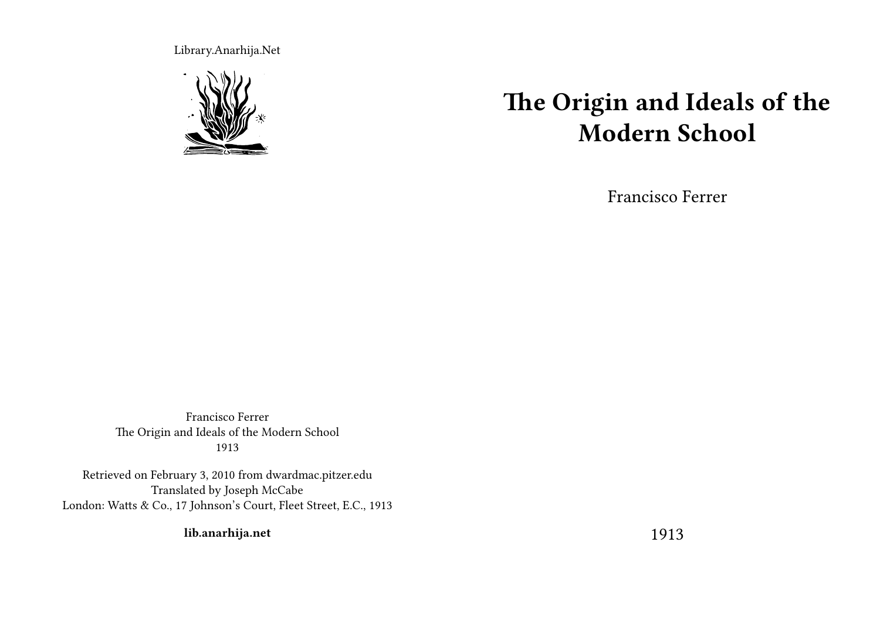Library.Anarhija.Net



## **The Origin and Ideals of the Modern School**

Francisco Ferrer

Francisco Ferrer The Origin and Ideals of the Modern School 1913

Retrieved on February 3, 2010 from dwardmac.pitzer.edu Translated by Joseph McCabe London: Watts & Co., 17 Johnson's Court, Fleet Street, E.C., 1913

**lib.anarhija.net**

1913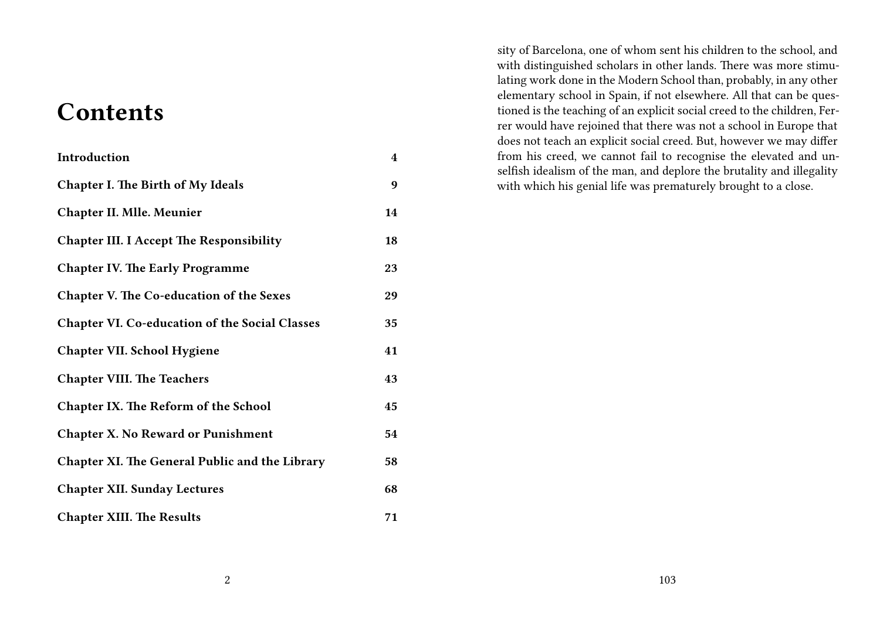### **Contents**

| Introduction                                          | $\overline{\mathbf{4}}$ |
|-------------------------------------------------------|-------------------------|
| <b>Chapter I. The Birth of My Ideals</b>              | 9                       |
| <b>Chapter II. Mlle. Meunier</b>                      | 14                      |
| <b>Chapter III. I Accept The Responsibility</b>       | 18                      |
| <b>Chapter IV. The Early Programme</b>                | 23                      |
| Chapter V. The Co-education of the Sexes              | 29                      |
| <b>Chapter VI. Co-education of the Social Classes</b> | 35                      |
| <b>Chapter VII. School Hygiene</b>                    | 41                      |
| <b>Chapter VIII. The Teachers</b>                     | 43                      |
| <b>Chapter IX. The Reform of the School</b>           | 45                      |
| <b>Chapter X. No Reward or Punishment</b>             | 54                      |
| <b>Chapter XI. The General Public and the Library</b> | 58                      |
| <b>Chapter XII. Sunday Lectures</b>                   | 68                      |
| <b>Chapter XIII. The Results</b>                      | 71                      |

sity of Barcelona, one of whom sent his children to the school, and with distinguished scholars in other lands. There was more stimulating work done in the Modern School than, probably, in any other elementary school in Spain, if not elsewhere. All that can be questioned is the teaching of an explicit social creed to the children, Ferrer would have rejoined that there was not a school in Europe that does not teach an explicit social creed. But, however we may differ from his creed, we cannot fail to recognise the elevated and unselfish idealism of the man, and deplore the brutality and illegality with which his genial life was prematurely brought to a close.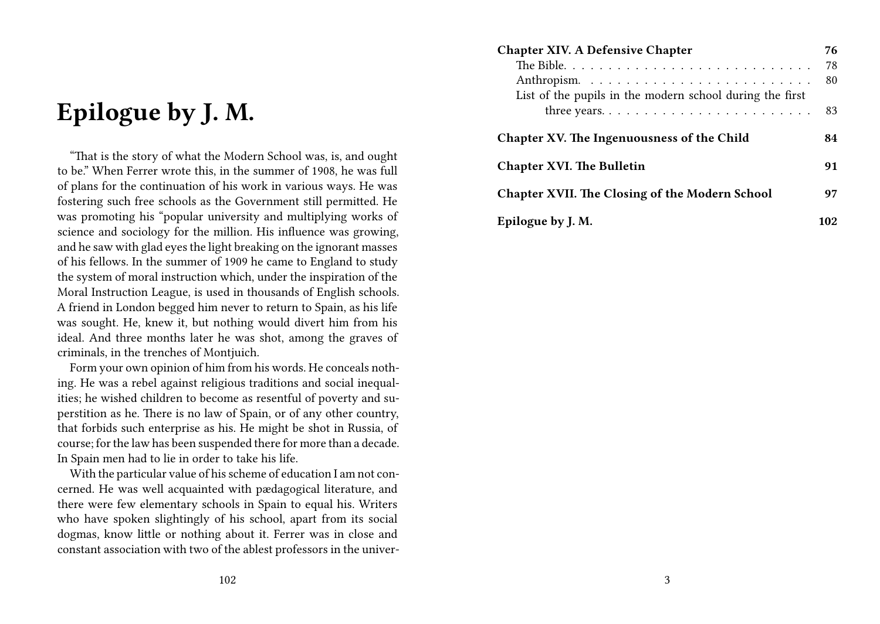### **Epilogue by J. M.**

"That is the story of what the Modern School was, is, and ought to be." When Ferrer wrote this, in the summer of 1908, he was full of plans for the continuation of his work in various ways. He was fostering such free schools as the Government still permitted. He was promoting his "popular university and multiplying works of science and sociology for the million. His influence was growing, and he saw with glad eyes the light breaking on the ignorant masses of his fellows. In the summer of 1909 he came to England to study the system of moral instruction which, under the inspiration of the Moral Instruction League, is used in thousands of English schools. A friend in London begged him never to return to Spain, as his life was sought. He, knew it, but nothing would divert him from his ideal. And three months later he was shot, among the graves of criminals, in the trenches of Montjuich.

Form your own opinion of him from his words. He conceals nothing. He was a rebel against religious traditions and social inequalities; he wished children to become as resentful of poverty and superstition as he. There is no law of Spain, or of any other country, that forbids such enterprise as his. He might be shot in Russia, of course; for the law has been suspended there for more than a decade. In Spain men had to lie in order to take his life.

With the particular value of his scheme of education I am not concerned. He was well acquainted with pædagogical literature, and there were few elementary schools in Spain to equal his. Writers who have spoken slightingly of his school, apart from its social dogmas, know little or nothing about it. Ferrer was in close and constant association with two of the ablest professors in the univer-

| <b>Chapter XIV. A Defensive Chapter</b>                                    | 76  |
|----------------------------------------------------------------------------|-----|
|                                                                            | 78  |
| List of the pupils in the modern school during the first                   | 80  |
| three years. $\dots \dots \dots \dots \dots \dots \dots \dots \dots \dots$ | 83  |
| Chapter XV. The Ingenuousness of the Child                                 | 84  |
| <b>Chapter XVI. The Bulletin</b>                                           | 91  |
| <b>Chapter XVII. The Closing of the Modern School</b>                      | 97  |
| Epilogue by J. M.                                                          | 102 |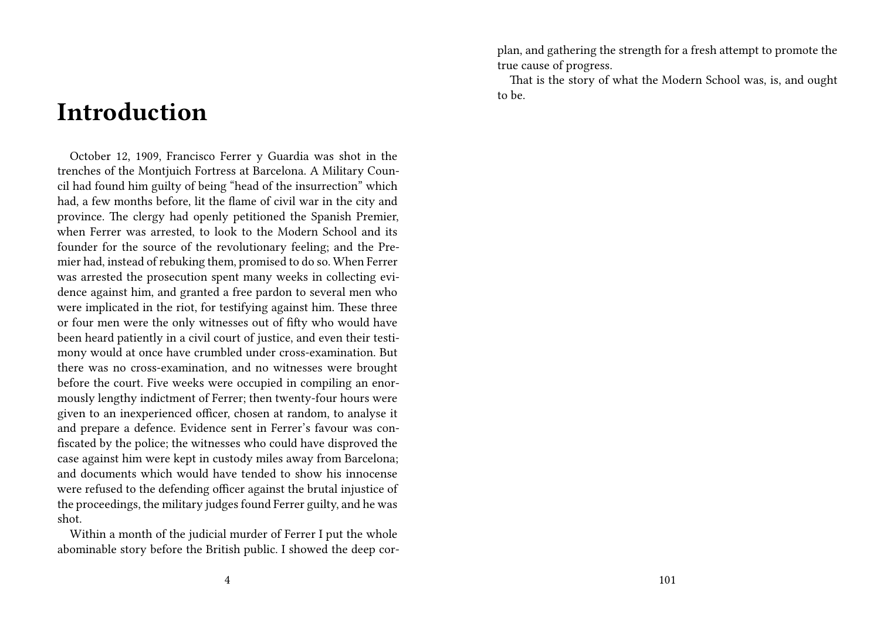### **Introduction**

October 12, 1909, Francisco Ferrer y Guardia was shot in the trenches of the Montjuich Fortress at Barcelona. A Military Council had found him guilty of being "head of the insurrection" which had, a few months before, lit the flame of civil war in the city and province. The clergy had openly petitioned the Spanish Premier, when Ferrer was arrested, to look to the Modern School and its founder for the source of the revolutionary feeling; and the Premier had, instead of rebuking them, promised to do so. When Ferrer was arrested the prosecution spent many weeks in collecting evidence against him, and granted a free pardon to several men who were implicated in the riot, for testifying against him. These three or four men were the only witnesses out of fifty who would have been heard patiently in a civil court of justice, and even their testimony would at once have crumbled under cross-examination. But there was no cross-examination, and no witnesses were brought before the court. Five weeks were occupied in compiling an enormously lengthy indictment of Ferrer; then twenty-four hours were given to an inexperienced officer, chosen at random, to analyse it and prepare a defence. Evidence sent in Ferrer's favour was confiscated by the police; the witnesses who could have disproved the case against him were kept in custody miles away from Barcelona; and documents which would have tended to show his innocense were refused to the defending officer against the brutal injustice of the proceedings, the military judges found Ferrer guilty, and he was shot.

Within a month of the judicial murder of Ferrer I put the whole abominable story before the British public. I showed the deep corplan, and gathering the strength for a fresh attempt to promote the true cause of progress.

That is the story of what the Modern School was, is, and ought to be.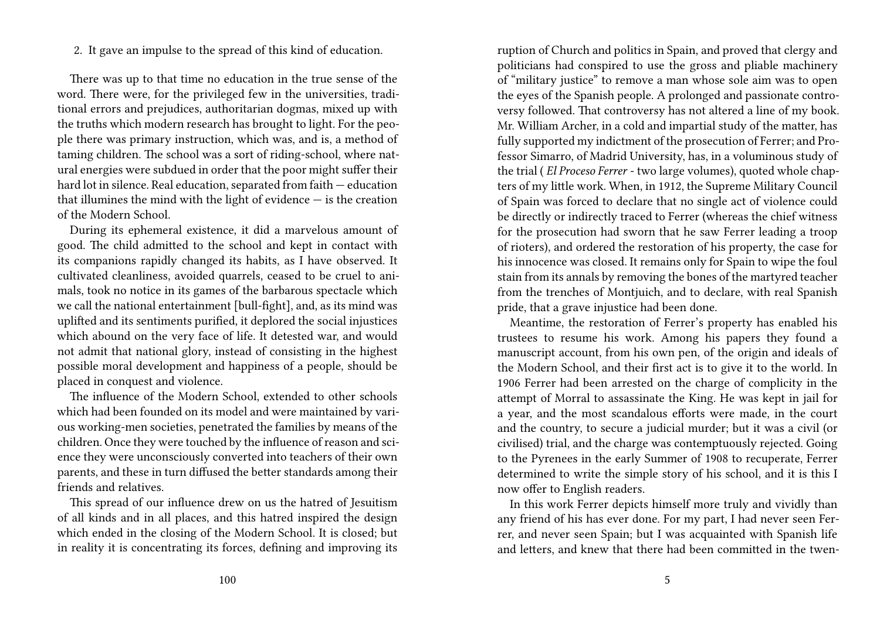2. It gave an impulse to the spread of this kind of education.

There was up to that time no education in the true sense of the word. There were, for the privileged few in the universities, traditional errors and prejudices, authoritarian dogmas, mixed up with the truths which modern research has brought to light. For the people there was primary instruction, which was, and is, a method of taming children. The school was a sort of riding-school, where natural energies were subdued in order that the poor might suffer their hard lot in silence. Real education, separated from faith — education that illumines the mind with the light of evidence  $-$  is the creation of the Modern School.

During its ephemeral existence, it did a marvelous amount of good. The child admitted to the school and kept in contact with its companions rapidly changed its habits, as I have observed. It cultivated cleanliness, avoided quarrels, ceased to be cruel to animals, took no notice in its games of the barbarous spectacle which we call the national entertainment [bull-fight], and, as its mind was uplifted and its sentiments purified, it deplored the social injustices which abound on the very face of life. It detested war, and would not admit that national glory, instead of consisting in the highest possible moral development and happiness of a people, should be placed in conquest and violence.

The influence of the Modern School, extended to other schools which had been founded on its model and were maintained by various working-men societies, penetrated the families by means of the children. Once they were touched by the influence of reason and science they were unconsciously converted into teachers of their own parents, and these in turn diffused the better standards among their friends and relatives.

This spread of our influence drew on us the hatred of Jesuitism of all kinds and in all places, and this hatred inspired the design which ended in the closing of the Modern School. It is closed; but in reality it is concentrating its forces, defining and improving its ruption of Church and politics in Spain, and proved that clergy and politicians had conspired to use the gross and pliable machinery of "military justice" to remove a man whose sole aim was to open the eyes of the Spanish people. A prolonged and passionate controversy followed. That controversy has not altered a line of my book. Mr. William Archer, in a cold and impartial study of the matter, has fully supported my indictment of the prosecution of Ferrer; and Professor Simarro, of Madrid University, has, in a voluminous study of the trial ( *El Proceso Ferrer* - two large volumes), quoted whole chapters of my little work. When, in 1912, the Supreme Military Council of Spain was forced to declare that no single act of violence could be directly or indirectly traced to Ferrer (whereas the chief witness for the prosecution had sworn that he saw Ferrer leading a troop of rioters), and ordered the restoration of his property, the case for his innocence was closed. It remains only for Spain to wipe the foul stain from its annals by removing the bones of the martyred teacher from the trenches of Montjuich, and to declare, with real Spanish pride, that a grave injustice had been done.

Meantime, the restoration of Ferrer's property has enabled his trustees to resume his work. Among his papers they found a manuscript account, from his own pen, of the origin and ideals of the Modern School, and their first act is to give it to the world. In 1906 Ferrer had been arrested on the charge of complicity in the attempt of Morral to assassinate the King. He was kept in jail for a year, and the most scandalous efforts were made, in the court and the country, to secure a judicial murder; but it was a civil (or civilised) trial, and the charge was contemptuously rejected. Going to the Pyrenees in the early Summer of 1908 to recuperate, Ferrer determined to write the simple story of his school, and it is this I now offer to English readers.

In this work Ferrer depicts himself more truly and vividly than any friend of his has ever done. For my part, I had never seen Ferrer, and never seen Spain; but I was acquainted with Spanish life and letters, and knew that there had been committed in the twen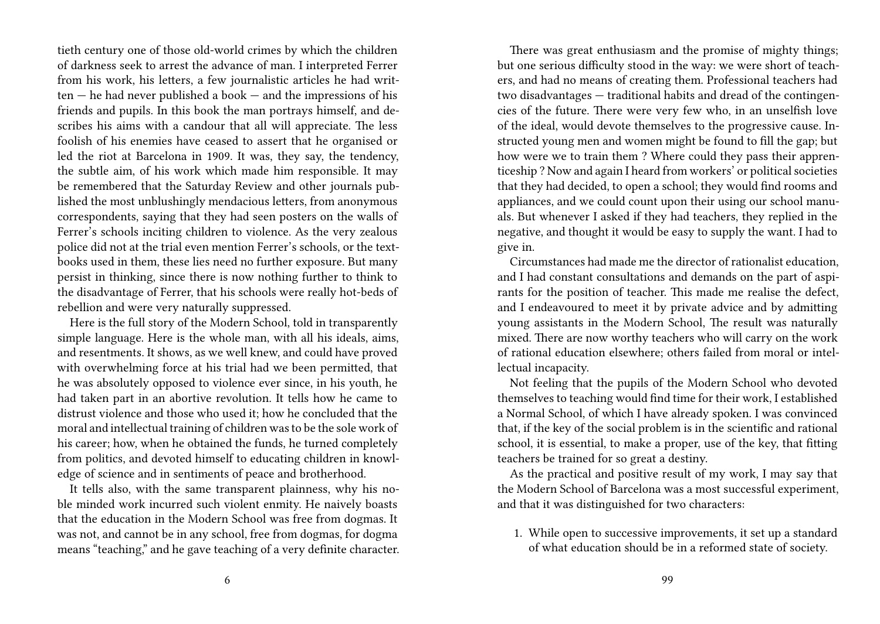tieth century one of those old-world crimes by which the children of darkness seek to arrest the advance of man. I interpreted Ferrer from his work, his letters, a few journalistic articles he had writ $ten - he$  had never published a book  $-$  and the impressions of his friends and pupils. In this book the man portrays himself, and describes his aims with a candour that all will appreciate. The less foolish of his enemies have ceased to assert that he organised or led the riot at Barcelona in 1909. It was, they say, the tendency, the subtle aim, of his work which made him responsible. It may be remembered that the Saturday Review and other journals published the most unblushingly mendacious letters, from anonymous correspondents, saying that they had seen posters on the walls of Ferrer's schools inciting children to violence. As the very zealous police did not at the trial even mention Ferrer's schools, or the textbooks used in them, these lies need no further exposure. But many persist in thinking, since there is now nothing further to think to the disadvantage of Ferrer, that his schools were really hot-beds of rebellion and were very naturally suppressed.

Here is the full story of the Modern School, told in transparently simple language. Here is the whole man, with all his ideals, aims, and resentments. It shows, as we well knew, and could have proved with overwhelming force at his trial had we been permitted, that he was absolutely opposed to violence ever since, in his youth, he had taken part in an abortive revolution. It tells how he came to distrust violence and those who used it; how he concluded that the moral and intellectual training of children was to be the sole work of his career; how, when he obtained the funds, he turned completely from politics, and devoted himself to educating children in knowledge of science and in sentiments of peace and brotherhood.

It tells also, with the same transparent plainness, why his noble minded work incurred such violent enmity. He naively boasts that the education in the Modern School was free from dogmas. It was not, and cannot be in any school, free from dogmas, for dogma means "teaching," and he gave teaching of a very definite character.

There was great enthusiasm and the promise of mighty things; but one serious difficulty stood in the way: we were short of teachers, and had no means of creating them. Professional teachers had two disadvantages — traditional habits and dread of the contingencies of the future. There were very few who, in an unselfish love of the ideal, would devote themselves to the progressive cause. Instructed young men and women might be found to fill the gap; but how were we to train them ? Where could they pass their apprenticeship ? Now and again I heard from workers' or political societies that they had decided, to open a school; they would find rooms and appliances, and we could count upon their using our school manuals. But whenever I asked if they had teachers, they replied in the negative, and thought it would be easy to supply the want. I had to give in.

Circumstances had made me the director of rationalist education, and I had constant consultations and demands on the part of aspirants for the position of teacher. This made me realise the defect, and I endeavoured to meet it by private advice and by admitting young assistants in the Modern School, The result was naturally mixed. There are now worthy teachers who will carry on the work of rational education elsewhere; others failed from moral or intellectual incapacity.

Not feeling that the pupils of the Modern School who devoted themselves to teaching would find time for their work, I established a Normal School, of which I have already spoken. I was convinced that, if the key of the social problem is in the scientific and rational school, it is essential, to make a proper, use of the key, that fitting teachers be trained for so great a destiny.

As the practical and positive result of my work, I may say that the Modern School of Barcelona was a most successful experiment, and that it was distinguished for two characters:

1. While open to successive improvements, it set up a standard of what education should be in a reformed state of society.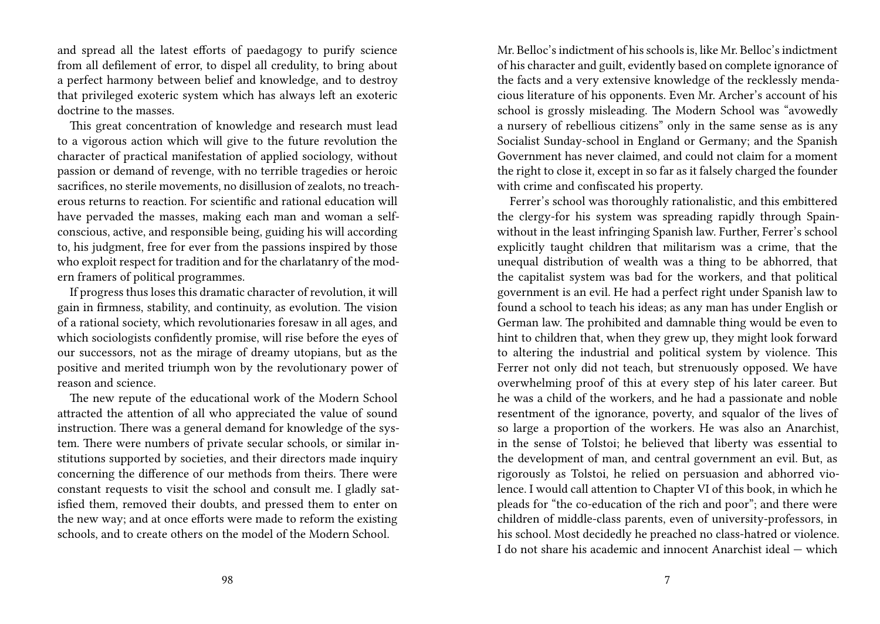and spread all the latest efforts of paedagogy to purify science from all defilement of error, to dispel all credulity, to bring about a perfect harmony between belief and knowledge, and to destroy that privileged exoteric system which has always left an exoteric doctrine to the masses.

This great concentration of knowledge and research must lead to a vigorous action which will give to the future revolution the character of practical manifestation of applied sociology, without passion or demand of revenge, with no terrible tragedies or heroic sacrifices, no sterile movements, no disillusion of zealots, no treacherous returns to reaction. For scientific and rational education will have pervaded the masses, making each man and woman a selfconscious, active, and responsible being, guiding his will according to, his judgment, free for ever from the passions inspired by those who exploit respect for tradition and for the charlatanry of the modern framers of political programmes.

If progress thus loses this dramatic character of revolution, it will gain in firmness, stability, and continuity, as evolution. The vision of a rational society, which revolutionaries foresaw in all ages, and which sociologists confidently promise, will rise before the eyes of our successors, not as the mirage of dreamy utopians, but as the positive and merited triumph won by the revolutionary power of reason and science.

The new repute of the educational work of the Modern School attracted the attention of all who appreciated the value of sound instruction. There was a general demand for knowledge of the system. There were numbers of private secular schools, or similar institutions supported by societies, and their directors made inquiry concerning the difference of our methods from theirs. There were constant requests to visit the school and consult me. I gladly satisfied them, removed their doubts, and pressed them to enter on the new way; and at once efforts were made to reform the existing schools, and to create others on the model of the Modern School.

Mr. Belloc's indictment of his schools is, like Mr. Belloc's indictment of his character and guilt, evidently based on complete ignorance of the facts and a very extensive knowledge of the recklessly mendacious literature of his opponents. Even Mr. Archer's account of his school is grossly misleading. The Modern School was "avowedly a nursery of rebellious citizens" only in the same sense as is any Socialist Sunday-school in England or Germany; and the Spanish Government has never claimed, and could not claim for a moment the right to close it, except in so far as it falsely charged the founder with crime and confiscated his property.

Ferrer's school was thoroughly rationalistic, and this embittered the clergy-for his system was spreading rapidly through Spainwithout in the least infringing Spanish law. Further, Ferrer's school explicitly taught children that militarism was a crime, that the unequal distribution of wealth was a thing to be abhorred, that the capitalist system was bad for the workers, and that political government is an evil. He had a perfect right under Spanish law to found a school to teach his ideas; as any man has under English or German law. The prohibited and damnable thing would be even to hint to children that, when they grew up, they might look forward to altering the industrial and political system by violence. This Ferrer not only did not teach, but strenuously opposed. We have overwhelming proof of this at every step of his later career. But he was a child of the workers, and he had a passionate and noble resentment of the ignorance, poverty, and squalor of the lives of so large a proportion of the workers. He was also an Anarchist, in the sense of Tolstoi; he believed that liberty was essential to the development of man, and central government an evil. But, as rigorously as Tolstoi, he relied on persuasion and abhorred violence. I would call attention to Chapter VI of this book, in which he pleads for "the co-education of the rich and poor"; and there were children of middle-class parents, even of university-professors, in his school. Most decidedly he preached no class-hatred or violence. I do not share his academic and innocent Anarchist ideal — which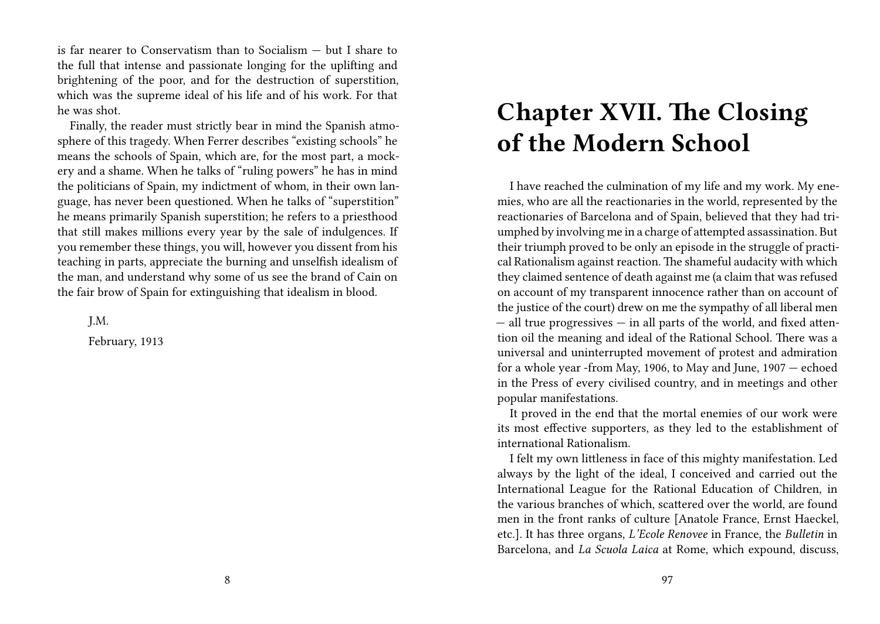is far nearer to Conservatism than to Socialism — but I share to the full that intense and passionate longing for the uplifting and brightening of the poor, and for the destruction of superstition, which was the supreme ideal of his life and of his work. For that he was shot.

Finally, the reader must strictly bear in mind the Spanish atmosphere of this tragedy. When Ferrer describes "existing schools" he means the schools of Spain, which are, for the most part, a mockery and a shame. When he talks of "ruling powers" he has in mind the politicians of Spain, my indictment of whom, in their own language, has never been questioned. When he talks of "superstition" he means primarily Spanish superstition; he refers to a priesthood that still makes millions every year by the sale of indulgences. If you remember these things, you will, however you dissent from his teaching in parts, appreciate the burning and unselfish idealism of the man, and understand why some of us see the brand of Cain on the fair brow of Spain for extinguishing that idealism in blood.

J.M.

February, 1913

### **Chapter XVII. The Closing of the Modern School**

I have reached the culmination of my life and my work. My enemies, who are all the reactionaries in the world, represented by the reactionaries of Barcelona and of Spain, believed that they had triumphed by involving me in a charge of attempted assassination. But their triumph proved to be only an episode in the struggle of practical Rationalism against reaction. The shameful audacity with which they claimed sentence of death against me (a claim that was refused on account of my transparent innocence rather than on account of the justice of the court) drew on me the sympathy of all liberal men — all true progressives — in all parts of the world, and fixed attention oil the meaning and ideal of the Rational School. There was a universal and uninterrupted movement of protest and admiration for a whole year -from May, 1906, to May and June, 1907 — echoed in the Press of every civilised country, and in meetings and other popular manifestations.

It proved in the end that the mortal enemies of our work were its most effective supporters, as they led to the establishment of international Rationalism.

I felt my own littleness in face of this mighty manifestation. Led always by the light of the ideal, I conceived and carried out the International League for the Rational Education of Children, in the various branches of which, scattered over the world, are found men in the front ranks of culture [Anatole France, Ernst Haeckel, etc.]. It has three organs, *L'Ecole Renovee* in France, the *Bulletin* in Barcelona, and *La Scuola Laica* at Rome, which expound, discuss,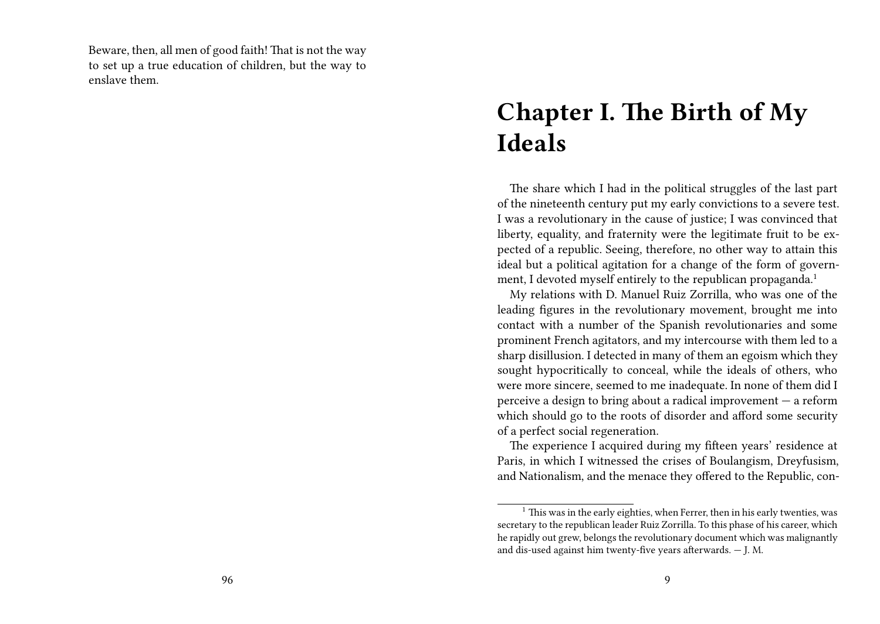Beware, then, all men of good faith! That is not the way to set up a true education of children, but the way to enslave them.

### **Chapter I. The Birth of My Ideals**

The share which I had in the political struggles of the last part of the nineteenth century put my early convictions to a severe test. I was a revolutionary in the cause of justice; I was convinced that liberty, equality, and fraternity were the legitimate fruit to be expected of a republic. Seeing, therefore, no other way to attain this ideal but a political agitation for a change of the form of government, I devoted myself entirely to the republican propaganda.<sup>1</sup>

My relations with D. Manuel Ruiz Zorrilla, who was one of the leading figures in the revolutionary movement, brought me into contact with a number of the Spanish revolutionaries and some prominent French agitators, and my intercourse with them led to a sharp disillusion. I detected in many of them an egoism which they sought hypocritically to conceal, while the ideals of others, who were more sincere, seemed to me inadequate. In none of them did I perceive a design to bring about a radical improvement — a reform which should go to the roots of disorder and afford some security of a perfect social regeneration.

The experience I acquired during my fifteen years' residence at Paris, in which I witnessed the crises of Boulangism, Dreyfusism, and Nationalism, and the menace they offered to the Republic, con-

 $1$  This was in the early eighties, when Ferrer, then in his early twenties, was secretary to the republican leader Ruiz Zorrilla. To this phase of his career, which he rapidly out grew, belongs the revolutionary document which was malignantly and dis-used against him twenty-five years afterwards. — J. M.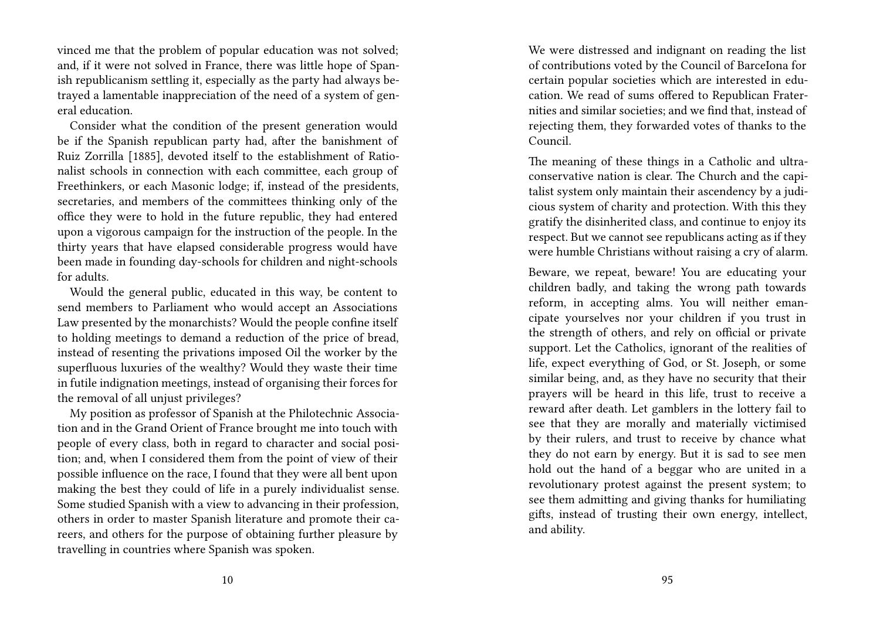vinced me that the problem of popular education was not solved; and, if it were not solved in France, there was little hope of Spanish republicanism settling it, especially as the party had always betrayed a lamentable inappreciation of the need of a system of general education.

Consider what the condition of the present generation would be if the Spanish republican party had, after the banishment of Ruiz Zorrilla [1885], devoted itself to the establishment of Rationalist schools in connection with each committee, each group of Freethinkers, or each Masonic lodge; if, instead of the presidents, secretaries, and members of the committees thinking only of the office they were to hold in the future republic, they had entered upon a vigorous campaign for the instruction of the people. In the thirty years that have elapsed considerable progress would have been made in founding day-schools for children and night-schools for adults.

Would the general public, educated in this way, be content to send members to Parliament who would accept an Associations Law presented by the monarchists? Would the people confine itself to holding meetings to demand a reduction of the price of bread, instead of resenting the privations imposed Oil the worker by the superfluous luxuries of the wealthy? Would they waste their time in futile indignation meetings, instead of organising their forces for the removal of all unjust privileges?

My position as professor of Spanish at the Philotechnic Association and in the Grand Orient of France brought me into touch with people of every class, both in regard to character and social position; and, when I considered them from the point of view of their possible influence on the race, I found that they were all bent upon making the best they could of life in a purely individualist sense. Some studied Spanish with a view to advancing in their profession, others in order to master Spanish literature and promote their careers, and others for the purpose of obtaining further pleasure by travelling in countries where Spanish was spoken.

We were distressed and indignant on reading the list of contributions voted by the Council of BarceIona for certain popular societies which are interested in education. We read of sums offered to Republican Fraternities and similar societies; and we find that, instead of rejecting them, they forwarded votes of thanks to the Council.

The meaning of these things in a Catholic and ultraconservative nation is clear. The Church and the capitalist system only maintain their ascendency by a judicious system of charity and protection. With this they gratify the disinherited class, and continue to enjoy its respect. But we cannot see republicans acting as if they were humble Christians without raising a cry of alarm.

Beware, we repeat, beware! You are educating your children badly, and taking the wrong path towards reform, in accepting alms. You will neither emancipate yourselves nor your children if you trust in the strength of others, and rely on official or private support. Let the Catholics, ignorant of the realities of life, expect everything of God, or St. Joseph, or some similar being, and, as they have no security that their prayers will be heard in this life, trust to receive a reward after death. Let gamblers in the lottery fail to see that they are morally and materially victimised by their rulers, and trust to receive by chance what they do not earn by energy. But it is sad to see men hold out the hand of a beggar who are united in a revolutionary protest against the present system; to see them admitting and giving thanks for humiliating gifts, instead of trusting their own energy, intellect, and ability.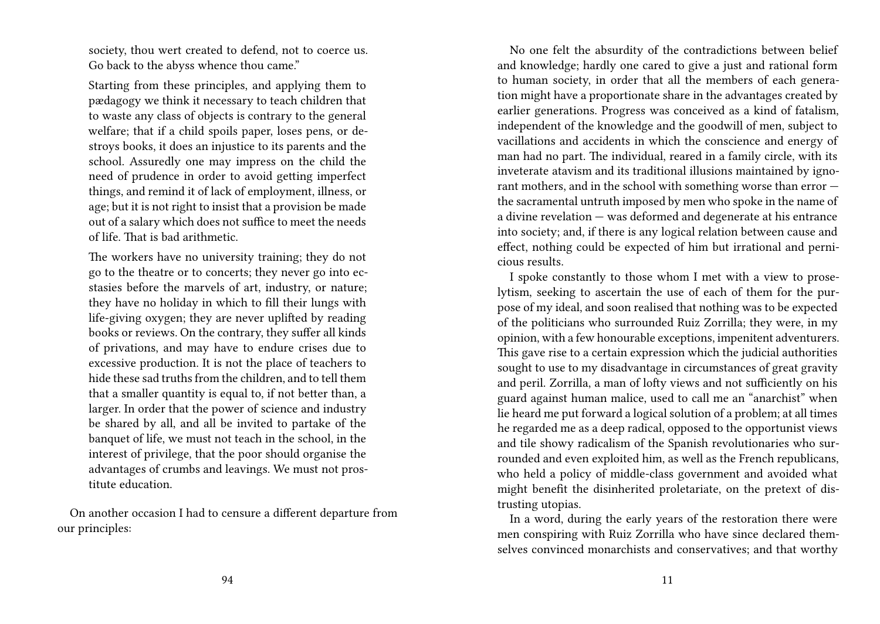society, thou wert created to defend, not to coerce us. Go back to the abyss whence thou came."

Starting from these principles, and applying them to pædagogy we think it necessary to teach children that to waste any class of objects is contrary to the general welfare; that if a child spoils paper, loses pens, or destroys books, it does an injustice to its parents and the school. Assuredly one may impress on the child the need of prudence in order to avoid getting imperfect things, and remind it of lack of employment, illness, or age; but it is not right to insist that a provision be made out of a salary which does not suffice to meet the needs of life. That is bad arithmetic.

The workers have no university training; they do not go to the theatre or to concerts; they never go into ecstasies before the marvels of art, industry, or nature; they have no holiday in which to fill their lungs with life-giving oxygen; they are never uplifted by reading books or reviews. On the contrary, they suffer all kinds of privations, and may have to endure crises due to excessive production. It is not the place of teachers to hide these sad truths from the children, and to tell them that a smaller quantity is equal to, if not better than, a larger. In order that the power of science and industry be shared by all, and all be invited to partake of the banquet of life, we must not teach in the school, in the interest of privilege, that the poor should organise the advantages of crumbs and leavings. We must not prostitute education.

On another occasion I had to censure a different departure from our principles:

No one felt the absurdity of the contradictions between belief and knowledge; hardly one cared to give a just and rational form to human society, in order that all the members of each generation might have a proportionate share in the advantages created by earlier generations. Progress was conceived as a kind of fatalism, independent of the knowledge and the goodwill of men, subject to vacillations and accidents in which the conscience and energy of man had no part. The individual, reared in a family circle, with its inveterate atavism and its traditional illusions maintained by ignorant mothers, and in the school with something worse than error the sacramental untruth imposed by men who spoke in the name of a divine revelation — was deformed and degenerate at his entrance into society; and, if there is any logical relation between cause and effect, nothing could be expected of him but irrational and pernicious results.

I spoke constantly to those whom I met with a view to proselytism, seeking to ascertain the use of each of them for the purpose of my ideal, and soon realised that nothing was to be expected of the politicians who surrounded Ruiz Zorrilla; they were, in my opinion, with a few honourable exceptions, impenitent adventurers. This gave rise to a certain expression which the judicial authorities sought to use to my disadvantage in circumstances of great gravity and peril. Zorrilla, a man of lofty views and not sufficiently on his guard against human malice, used to call me an "anarchist" when lie heard me put forward a logical solution of a problem; at all times he regarded me as a deep radical, opposed to the opportunist views and tile showy radicalism of the Spanish revolutionaries who surrounded and even exploited him, as well as the French republicans, who held a policy of middle-class government and avoided what might benefit the disinherited proletariate, on the pretext of distrusting utopias.

In a word, during the early years of the restoration there were men conspiring with Ruiz Zorrilla who have since declared themselves convinced monarchists and conservatives; and that worthy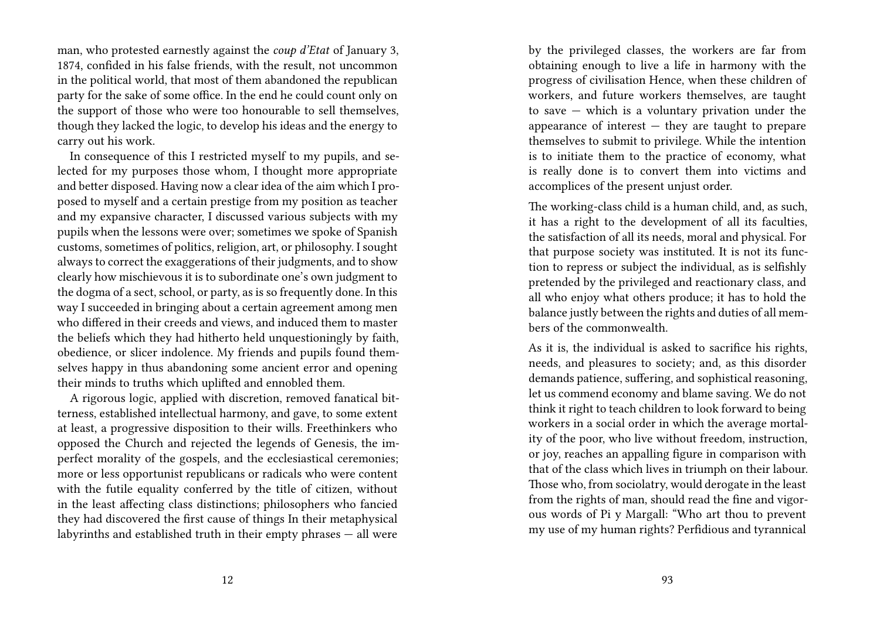man, who protested earnestly against the *coup d'Etat* of January 3, 1874, confided in his false friends, with the result, not uncommon in the political world, that most of them abandoned the republican party for the sake of some office. In the end he could count only on the support of those who were too honourable to sell themselves, though they lacked the logic, to develop his ideas and the energy to carry out his work.

In consequence of this I restricted myself to my pupils, and selected for my purposes those whom, I thought more appropriate and better disposed. Having now a clear idea of the aim which I proposed to myself and a certain prestige from my position as teacher and my expansive character, I discussed various subjects with my pupils when the lessons were over; sometimes we spoke of Spanish customs, sometimes of politics, religion, art, or philosophy. I sought always to correct the exaggerations of their judgments, and to show clearly how mischievous it is to subordinate one's own judgment to the dogma of a sect, school, or party, as is so frequently done. In this way I succeeded in bringing about a certain agreement among men who differed in their creeds and views, and induced them to master the beliefs which they had hitherto held unquestioningly by faith, obedience, or slicer indolence. My friends and pupils found themselves happy in thus abandoning some ancient error and opening their minds to truths which uplifted and ennobled them.

A rigorous logic, applied with discretion, removed fanatical bitterness, established intellectual harmony, and gave, to some extent at least, a progressive disposition to their wills. Freethinkers who opposed the Church and rejected the legends of Genesis, the imperfect morality of the gospels, and the ecclesiastical ceremonies; more or less opportunist republicans or radicals who were content with the futile equality conferred by the title of citizen, without in the least affecting class distinctions; philosophers who fancied they had discovered the first cause of things In their metaphysical labyrinths and established truth in their empty phrases — all were

by the privileged classes, the workers are far from obtaining enough to live a life in harmony with the progress of civilisation Hence, when these children of workers, and future workers themselves, are taught to save — which is a voluntary privation under the appearance of interest  $-$  they are taught to prepare themselves to submit to privilege. While the intention is to initiate them to the practice of economy, what is really done is to convert them into victims and accomplices of the present unjust order.

The working-class child is a human child, and, as such, it has a right to the development of all its faculties, the satisfaction of all its needs, moral and physical. For that purpose society was instituted. It is not its function to repress or subject the individual, as is selfishly pretended by the privileged and reactionary class, and all who enjoy what others produce; it has to hold the balance justly between the rights and duties of all members of the commonwealth.

As it is, the individual is asked to sacrifice his rights, needs, and pleasures to society; and, as this disorder demands patience, suffering, and sophistical reasoning, let us commend economy and blame saving. We do not think it right to teach children to look forward to being workers in a social order in which the average mortality of the poor, who live without freedom, instruction, or joy, reaches an appalling figure in comparison with that of the class which lives in triumph on their labour. Those who, from sociolatry, would derogate in the least from the rights of man, should read the fine and vigorous words of Pi y Margall: "Who art thou to prevent my use of my human rights? Perfidious and tyrannical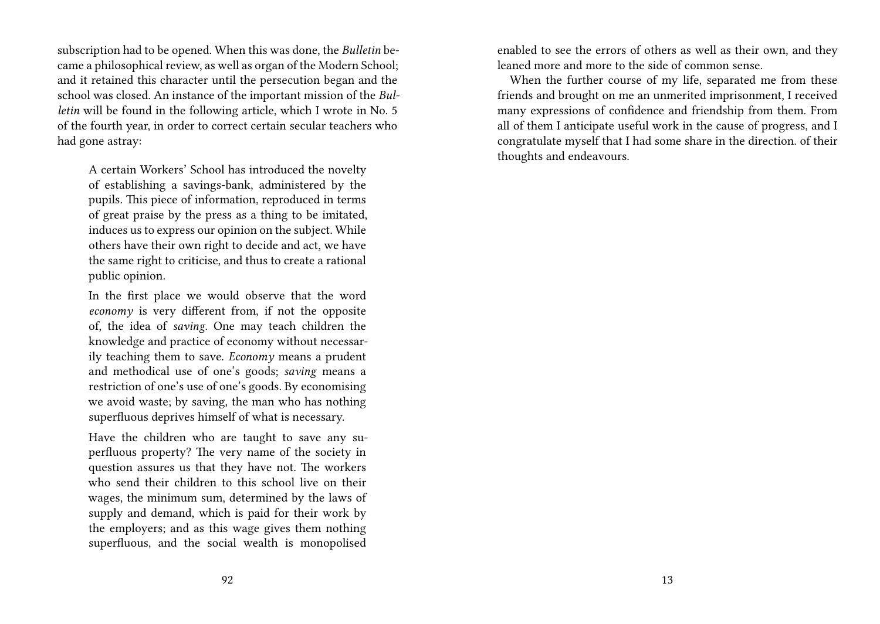subscription had to be opened. When this was done, the *Bulletin* became a philosophical review, as well as organ of the Modern School; and it retained this character until the persecution began and the school was closed. An instance of the important mission of the *Bulletin* will be found in the following article, which I wrote in No. 5 of the fourth year, in order to correct certain secular teachers who had gone astray:

A certain Workers' School has introduced the novelty of establishing a savings-bank, administered by the pupils. This piece of information, reproduced in terms of great praise by the press as a thing to be imitated, induces us to express our opinion on the subject. While others have their own right to decide and act, we have the same right to criticise, and thus to create a rational public opinion.

In the first place we would observe that the word *economy* is very different from, if not the opposite of, the idea of *saving.* One may teach children the knowledge and practice of economy without necessarily teaching them to save. *Economy* means a prudent and methodical use of one's goods; *saving* means a restriction of one's use of one's goods. By economising we avoid waste; by saving, the man who has nothing superfluous deprives himself of what is necessary.

Have the children who are taught to save any superfluous property? The very name of the society in question assures us that they have not. The workers who send their children to this school live on their wages, the minimum sum, determined by the laws of supply and demand, which is paid for their work by the employers; and as this wage gives them nothing superfluous, and the social wealth is monopolised

enabled to see the errors of others as well as their own, and they leaned more and more to the side of common sense.

When the further course of my life, separated me from these friends and brought on me an unmerited imprisonment, I received many expressions of confidence and friendship from them. From all of them I anticipate useful work in the cause of progress, and I congratulate myself that I had some share in the direction. of their thoughts and endeavours.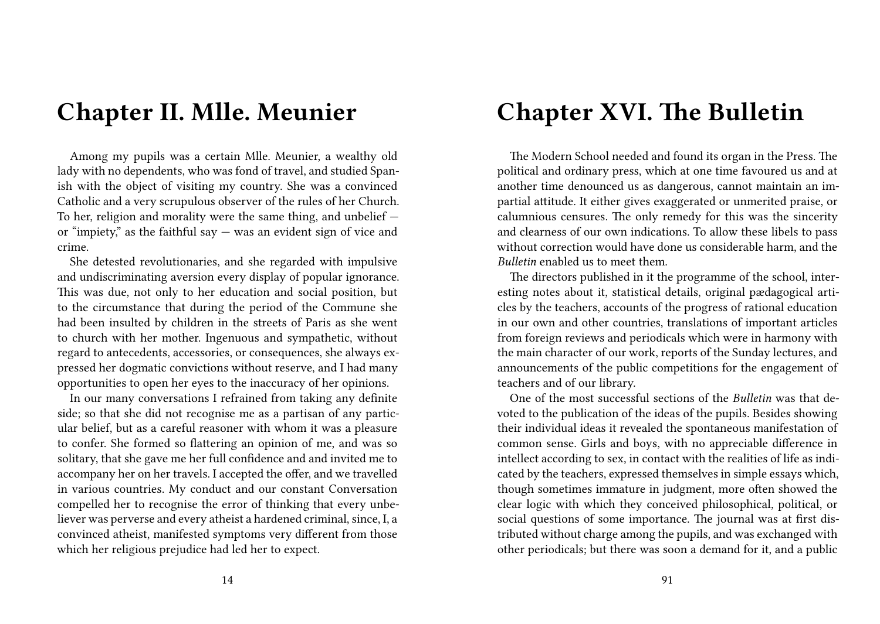### **Chapter II. Mlle. Meunier**

Among my pupils was a certain Mlle. Meunier, a wealthy old lady with no dependents, who was fond of travel, and studied Spanish with the object of visiting my country. She was a convinced Catholic and a very scrupulous observer of the rules of her Church. To her, religion and morality were the same thing, and unbelief or "impiety," as the faithful say  $-$  was an evident sign of vice and crime.

She detested revolutionaries, and she regarded with impulsive and undiscriminating aversion every display of popular ignorance. This was due, not only to her education and social position, but to the circumstance that during the period of the Commune she had been insulted by children in the streets of Paris as she went to church with her mother. Ingenuous and sympathetic, without regard to antecedents, accessories, or consequences, she always expressed her dogmatic convictions without reserve, and I had many opportunities to open her eyes to the inaccuracy of her opinions.

In our many conversations I refrained from taking any definite side; so that she did not recognise me as a partisan of any particular belief, but as a careful reasoner with whom it was a pleasure to confer. She formed so flattering an opinion of me, and was so solitary, that she gave me her full confidence and and invited me to accompany her on her travels. I accepted the offer, and we travelled in various countries. My conduct and our constant Conversation compelled her to recognise the error of thinking that every unbeliever was perverse and every atheist a hardened criminal, since, I, a convinced atheist, manifested symptoms very different from those which her religious prejudice had led her to expect.

### **Chapter XVI. The Bulletin**

The Modern School needed and found its organ in the Press. The political and ordinary press, which at one time favoured us and at another time denounced us as dangerous, cannot maintain an impartial attitude. It either gives exaggerated or unmerited praise, or calumnious censures. The only remedy for this was the sincerity and clearness of our own indications. To allow these libels to pass without correction would have done us considerable harm, and the *Bulletin* enabled us to meet them.

The directors published in it the programme of the school, interesting notes about it, statistical details, original pædagogical articles by the teachers, accounts of the progress of rational education in our own and other countries, translations of important articles from foreign reviews and periodicals which were in harmony with the main character of our work, reports of the Sunday lectures, and announcements of the public competitions for the engagement of teachers and of our library.

One of the most successful sections of the *Bulletin* was that devoted to the publication of the ideas of the pupils. Besides showing their individual ideas it revealed the spontaneous manifestation of common sense. Girls and boys, with no appreciable difference in intellect according to sex, in contact with the realities of life as indicated by the teachers, expressed themselves in simple essays which, though sometimes immature in judgment, more often showed the clear logic with which they conceived philosophical, political, or social questions of some importance. The journal was at first distributed without charge among the pupils, and was exchanged with other periodicals; but there was soon a demand for it, and a public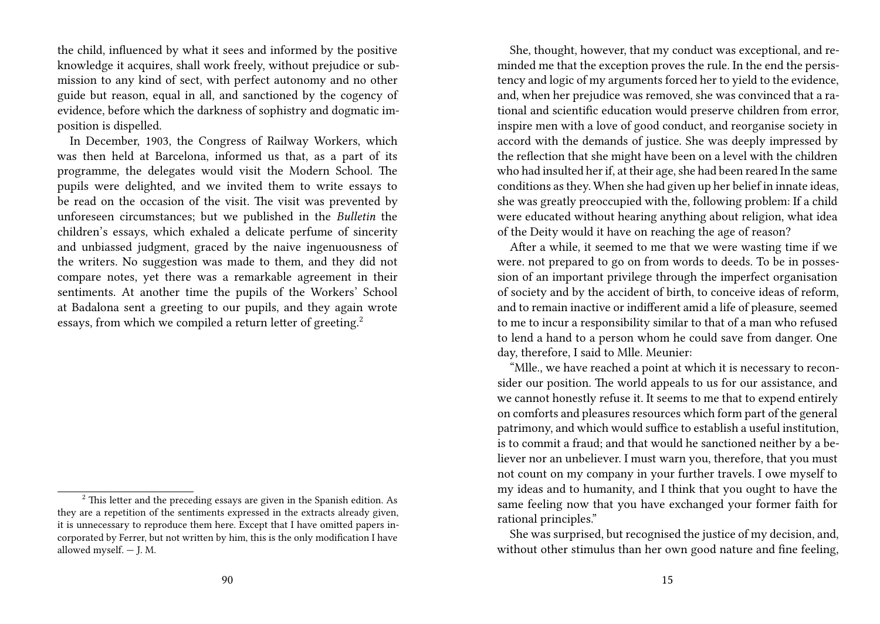the child, influenced by what it sees and informed by the positive knowledge it acquires, shall work freely, without prejudice or submission to any kind of sect, with perfect autonomy and no other guide but reason, equal in all, and sanctioned by the cogency of evidence, before which the darkness of sophistry and dogmatic imposition is dispelled.

In December, 1903, the Congress of Railway Workers, which was then held at Barcelona, informed us that, as a part of its programme, the delegates would visit the Modern School. The pupils were delighted, and we invited them to write essays to be read on the occasion of the visit. The visit was prevented by unforeseen circumstances; but we published in the *Bulletin* the children's essays, which exhaled a delicate perfume of sincerity and unbiassed judgment, graced by the naive ingenuousness of the writers. No suggestion was made to them, and they did not compare notes, yet there was a remarkable agreement in their sentiments. At another time the pupils of the Workers' School at Badalona sent a greeting to our pupils, and they again wrote essays, from which we compiled a return letter of greeting.<sup>2</sup>

She, thought, however, that my conduct was exceptional, and reminded me that the exception proves the rule. In the end the persistency and logic of my arguments forced her to yield to the evidence, and, when her prejudice was removed, she was convinced that a rational and scientific education would preserve children from error, inspire men with a love of good conduct, and reorganise society in accord with the demands of justice. She was deeply impressed by the reflection that she might have been on a level with the children who had insulted her if, at their age, she had been reared In the same conditions as they. When she had given up her belief in innate ideas, she was greatly preoccupied with the, following problem: If a child were educated without hearing anything about religion, what idea of the Deity would it have on reaching the age of reason?

After a while, it seemed to me that we were wasting time if we were. not prepared to go on from words to deeds. To be in possession of an important privilege through the imperfect organisation of society and by the accident of birth, to conceive ideas of reform, and to remain inactive or indifferent amid a life of pleasure, seemed to me to incur a responsibility similar to that of a man who refused to lend a hand to a person whom he could save from danger. One day, therefore, I said to Mlle. Meunier:

"Mlle., we have reached a point at which it is necessary to reconsider our position. The world appeals to us for our assistance, and we cannot honestly refuse it. It seems to me that to expend entirely on comforts and pleasures resources which form part of the general patrimony, and which would suffice to establish a useful institution, is to commit a fraud; and that would he sanctioned neither by a believer nor an unbeliever. I must warn you, therefore, that you must not count on my company in your further travels. I owe myself to my ideas and to humanity, and I think that you ought to have the same feeling now that you have exchanged your former faith for rational principles."

<sup>&</sup>lt;sup>2</sup> This letter and the preceding essays are given in the Spanish edition. As they are a repetition of the sentiments expressed in the extracts already given, it is unnecessary to reproduce them here. Except that I have omitted papers incorporated by Ferrer, but not written by him, this is the only modification I have allowed myself. — J. M.

She was surprised, but recognised the justice of my decision, and, without other stimulus than her own good nature and fine feeling,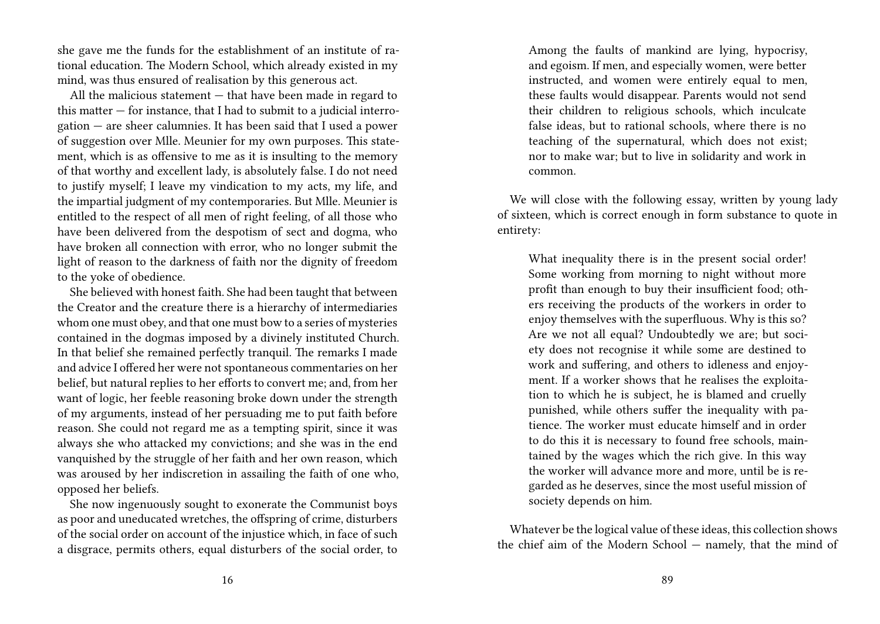she gave me the funds for the establishment of an institute of rational education. The Modern School, which already existed in my mind, was thus ensured of realisation by this generous act.

All the malicious statement — that have been made in regard to this matter — for instance, that I had to submit to a judicial interrogation — are sheer calumnies. It has been said that I used a power of suggestion over Mlle. Meunier for my own purposes. This statement, which is as offensive to me as it is insulting to the memory of that worthy and excellent lady, is absolutely false. I do not need to justify myself; I leave my vindication to my acts, my life, and the impartial judgment of my contemporaries. But Mlle. Meunier is entitled to the respect of all men of right feeling, of all those who have been delivered from the despotism of sect and dogma, who have broken all connection with error, who no longer submit the light of reason to the darkness of faith nor the dignity of freedom to the yoke of obedience.

She believed with honest faith. She had been taught that between the Creator and the creature there is a hierarchy of intermediaries whom one must obey, and that one must bow to a series of mysteries contained in the dogmas imposed by a divinely instituted Church. In that belief she remained perfectly tranquil. The remarks I made and advice I offered her were not spontaneous commentaries on her belief, but natural replies to her efforts to convert me; and, from her want of logic, her feeble reasoning broke down under the strength of my arguments, instead of her persuading me to put faith before reason. She could not regard me as a tempting spirit, since it was always she who attacked my convictions; and she was in the end vanquished by the struggle of her faith and her own reason, which was aroused by her indiscretion in assailing the faith of one who, opposed her beliefs.

She now ingenuously sought to exonerate the Communist boys as poor and uneducated wretches, the offspring of crime, disturbers of the social order on account of the injustice which, in face of such a disgrace, permits others, equal disturbers of the social order, to Among the faults of mankind are lying, hypocrisy, and egoism. If men, and especially women, were better instructed, and women were entirely equal to men, these faults would disappear. Parents would not send their children to religious schools, which inculcate false ideas, but to rational schools, where there is no teaching of the supernatural, which does not exist; nor to make war; but to live in solidarity and work in common.

We will close with the following essay, written by young lady of sixteen, which is correct enough in form substance to quote in entirety:

What inequality there is in the present social order! Some working from morning to night without more profit than enough to buy their insufficient food; others receiving the products of the workers in order to enjoy themselves with the superfluous. Why is this so? Are we not all equal? Undoubtedly we are; but society does not recognise it while some are destined to work and suffering, and others to idleness and enjoyment. If a worker shows that he realises the exploitation to which he is subject, he is blamed and cruelly punished, while others suffer the inequality with patience. The worker must educate himself and in order to do this it is necessary to found free schools, maintained by the wages which the rich give. In this way the worker will advance more and more, until be is regarded as he deserves, since the most useful mission of society depends on him.

Whatever be the logical value of these ideas, this collection shows the chief aim of the Modern School — namely, that the mind of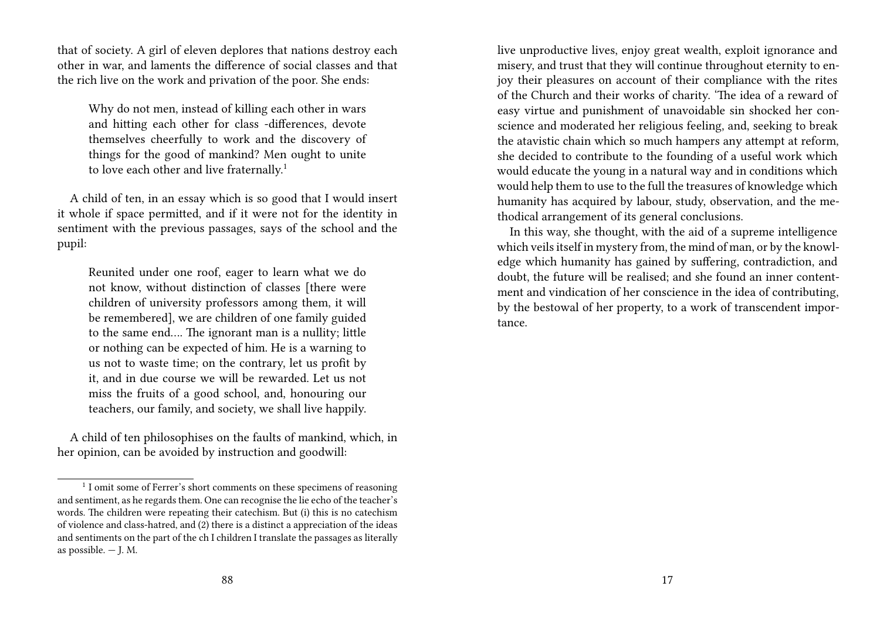that of society. A girl of eleven deplores that nations destroy each other in war, and laments the difference of social classes and that the rich live on the work and privation of the poor. She ends:

Why do not men, instead of killing each other in wars and hitting each other for class -differences, devote themselves cheerfully to work and the discovery of things for the good of mankind? Men ought to unite to love each other and live fraternally.<sup>1</sup>

A child of ten, in an essay which is so good that I would insert it whole if space permitted, and if it were not for the identity in sentiment with the previous passages, says of the school and the pupil:

Reunited under one roof, eager to learn what we do not know, without distinction of classes [there were children of university professors among them, it will be remembered], we are children of one family guided to the same end…. The ignorant man is a nullity; little or nothing can be expected of him. He is a warning to us not to waste time; on the contrary, let us profit by it, and in due course we will be rewarded. Let us not miss the fruits of a good school, and, honouring our teachers, our family, and society, we shall live happily.

A child of ten philosophises on the faults of mankind, which, in her opinion, can be avoided by instruction and goodwill:

live unproductive lives, enjoy great wealth, exploit ignorance and misery, and trust that they will continue throughout eternity to enjoy their pleasures on account of their compliance with the rites of the Church and their works of charity. 'The idea of a reward of easy virtue and punishment of unavoidable sin shocked her conscience and moderated her religious feeling, and, seeking to break the atavistic chain which so much hampers any attempt at reform, she decided to contribute to the founding of a useful work which would educate the young in a natural way and in conditions which would help them to use to the full the treasures of knowledge which humanity has acquired by labour, study, observation, and the methodical arrangement of its general conclusions.

In this way, she thought, with the aid of a supreme intelligence which veils itself in mystery from, the mind of man, or by the knowledge which humanity has gained by suffering, contradiction, and doubt, the future will be realised; and she found an inner contentment and vindication of her conscience in the idea of contributing, by the bestowal of her property, to a work of transcendent importance.

<sup>&</sup>lt;sup>1</sup> I omit some of Ferrer's short comments on these specimens of reasoning and sentiment, as he regards them. One can recognise the lie echo of the teacher's words. The children were repeating their catechism. But (i) this is no catechism of violence and class-hatred, and (2) there is a distinct a appreciation of the ideas and sentiments on the part of the ch I children I translate the passages as literally as possible.  $-$  J. M.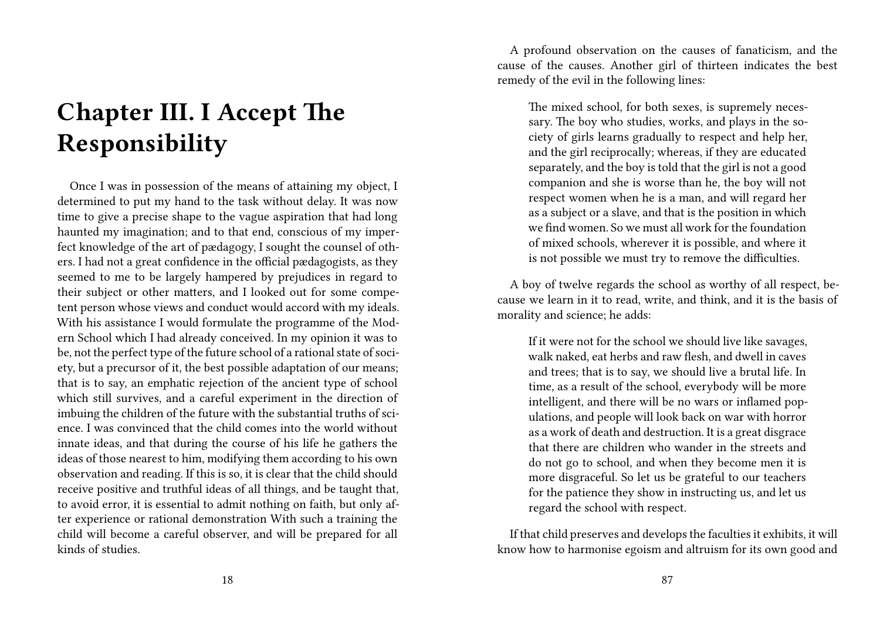## **Chapter III. I Accept The Responsibility**

Once I was in possession of the means of attaining my object, I determined to put my hand to the task without delay. It was now time to give a precise shape to the vague aspiration that had long haunted my imagination; and to that end, conscious of my imperfect knowledge of the art of pædagogy, I sought the counsel of others. I had not a great confidence in the official pædagogists, as they seemed to me to be largely hampered by prejudices in regard to their subject or other matters, and I looked out for some competent person whose views and conduct would accord with my ideals. With his assistance I would formulate the programme of the Modern School which I had already conceived. In my opinion it was to be, not the perfect type of the future school of a rational state of society, but a precursor of it, the best possible adaptation of our means; that is to say, an emphatic rejection of the ancient type of school which still survives, and a careful experiment in the direction of imbuing the children of the future with the substantial truths of science. I was convinced that the child comes into the world without innate ideas, and that during the course of his life he gathers the ideas of those nearest to him, modifying them according to his own observation and reading. If this is so, it is clear that the child should receive positive and truthful ideas of all things, and be taught that, to avoid error, it is essential to admit nothing on faith, but only after experience or rational demonstration With such a training the child will become a careful observer, and will be prepared for all kinds of studies.

A profound observation on the causes of fanaticism, and the cause of the causes. Another girl of thirteen indicates the best remedy of the evil in the following lines:

The mixed school, for both sexes, is supremely necessary. The boy who studies, works, and plays in the society of girls learns gradually to respect and help her, and the girl reciprocally; whereas, if they are educated separately, and the boy is told that the girl is not a good companion and she is worse than he, the boy will not respect women when he is a man, and will regard her as a subject or a slave, and that is the position in which we find women. So we must all work for the foundation of mixed schools, wherever it is possible, and where it is not possible we must try to remove the difficulties.

A boy of twelve regards the school as worthy of all respect, because we learn in it to read, write, and think, and it is the basis of morality and science; he adds:

If it were not for the school we should live like savages, walk naked, eat herbs and raw flesh, and dwell in caves and trees; that is to say, we should live a brutal life. In time, as a result of the school, everybody will be more intelligent, and there will be no wars or inflamed populations, and people will look back on war with horror as a work of death and destruction. It is a great disgrace that there are children who wander in the streets and do not go to school, and when they become men it is more disgraceful. So let us be grateful to our teachers for the patience they show in instructing us, and let us regard the school with respect.

If that child preserves and develops the faculties it exhibits, it will know how to harmonise egoism and altruism for its own good and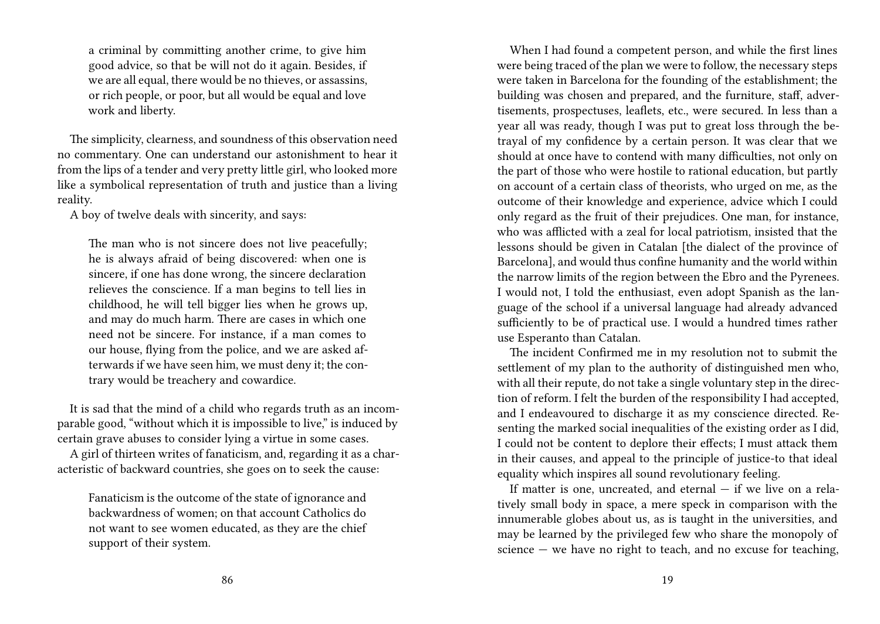a criminal by committing another crime, to give him good advice, so that be will not do it again. Besides, if we are all equal, there would be no thieves, or assassins, or rich people, or poor, but all would be equal and love work and liberty.

The simplicity, clearness, and soundness of this observation need no commentary. One can understand our astonishment to hear it from the lips of a tender and very pretty little girl, who looked more like a symbolical representation of truth and justice than a living reality.

A boy of twelve deals with sincerity, and says:

The man who is not sincere does not live peacefully; he is always afraid of being discovered: when one is sincere, if one has done wrong, the sincere declaration relieves the conscience. If a man begins to tell lies in childhood, he will tell bigger lies when he grows up, and may do much harm. There are cases in which one need not be sincere. For instance, if a man comes to our house, flying from the police, and we are asked afterwards if we have seen him, we must deny it; the contrary would be treachery and cowardice.

It is sad that the mind of a child who regards truth as an incomparable good, "without which it is impossible to live," is induced by certain grave abuses to consider lying a virtue in some cases.

A girl of thirteen writes of fanaticism, and, regarding it as a characteristic of backward countries, she goes on to seek the cause:

Fanaticism is the outcome of the state of ignorance and backwardness of women; on that account Catholics do not want to see women educated, as they are the chief support of their system.

When I had found a competent person, and while the first lines were being traced of the plan we were to follow, the necessary steps were taken in Barcelona for the founding of the establishment; the building was chosen and prepared, and the furniture, staff, advertisements, prospectuses, leaflets, etc., were secured. In less than a year all was ready, though I was put to great loss through the betrayal of my confidence by a certain person. It was clear that we should at once have to contend with many difficulties, not only on the part of those who were hostile to rational education, but partly on account of a certain class of theorists, who urged on me, as the outcome of their knowledge and experience, advice which I could only regard as the fruit of their prejudices. One man, for instance, who was afflicted with a zeal for local patriotism, insisted that the lessons should be given in Catalan [the dialect of the province of Barcelona], and would thus confine humanity and the world within the narrow limits of the region between the Ebro and the Pyrenees. I would not, I told the enthusiast, even adopt Spanish as the language of the school if a universal language had already advanced sufficiently to be of practical use. I would a hundred times rather use Esperanto than Catalan.

The incident Confirmed me in my resolution not to submit the settlement of my plan to the authority of distinguished men who, with all their repute, do not take a single voluntary step in the direction of reform. I felt the burden of the responsibility I had accepted, and I endeavoured to discharge it as my conscience directed. Resenting the marked social inequalities of the existing order as I did, I could not be content to deplore their effects; I must attack them in their causes, and appeal to the principle of justice-to that ideal equality which inspires all sound revolutionary feeling.

If matter is one, uncreated, and eternal  $-$  if we live on a relatively small body in space, a mere speck in comparison with the innumerable globes about us, as is taught in the universities, and may be learned by the privileged few who share the monopoly of science — we have no right to teach, and no excuse for teaching,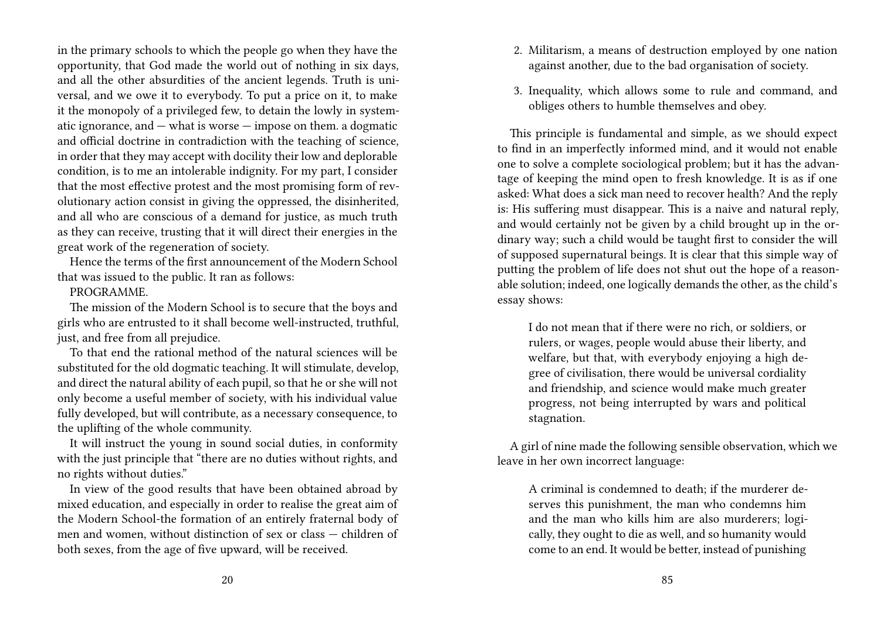in the primary schools to which the people go when they have the opportunity, that God made the world out of nothing in six days, and all the other absurdities of the ancient legends. Truth is universal, and we owe it to everybody. To put a price on it, to make it the monopoly of a privileged few, to detain the lowly in systematic ignorance, and — what is worse — impose on them. a dogmatic and official doctrine in contradiction with the teaching of science, in order that they may accept with docility their low and deplorable condition, is to me an intolerable indignity. For my part, I consider that the most effective protest and the most promising form of revolutionary action consist in giving the oppressed, the disinherited, and all who are conscious of a demand for justice, as much truth as they can receive, trusting that it will direct their energies in the great work of the regeneration of society.

Hence the terms of the first announcement of the Modern School that was issued to the public. It ran as follows:

#### PROGRAMME.

The mission of the Modern School is to secure that the boys and girls who are entrusted to it shall become well-instructed, truthful, just, and free from all prejudice.

To that end the rational method of the natural sciences will be substituted for the old dogmatic teaching. It will stimulate, develop, and direct the natural ability of each pupil, so that he or she will not only become a useful member of society, with his individual value fully developed, but will contribute, as a necessary consequence, to the uplifting of the whole community.

It will instruct the young in sound social duties, in conformity with the just principle that "there are no duties without rights, and no rights without duties."

In view of the good results that have been obtained abroad by mixed education, and especially in order to realise the great aim of the Modern School-the formation of an entirely fraternal body of men and women, without distinction of sex or class — children of both sexes, from the age of five upward, will be received.

- 2. Militarism, a means of destruction employed by one nation against another, due to the bad organisation of society.
- 3. Inequality, which allows some to rule and command, and obliges others to humble themselves and obey.

This principle is fundamental and simple, as we should expect to find in an imperfectly informed mind, and it would not enable one to solve a complete sociological problem; but it has the advantage of keeping the mind open to fresh knowledge. It is as if one asked: What does a sick man need to recover health? And the reply is: His suffering must disappear. This is a naive and natural reply, and would certainly not be given by a child brought up in the ordinary way; such a child would be taught first to consider the will of supposed supernatural beings. It is clear that this simple way of putting the problem of life does not shut out the hope of a reasonable solution; indeed, one logically demands the other, as the child's essay shows:

I do not mean that if there were no rich, or soldiers, or rulers, or wages, people would abuse their liberty, and welfare, but that, with everybody enjoying a high degree of civilisation, there would be universal cordiality and friendship, and science would make much greater progress, not being interrupted by wars and political stagnation.

A girl of nine made the following sensible observation, which we leave in her own incorrect language:

A criminal is condemned to death; if the murderer deserves this punishment, the man who condemns him and the man who kills him are also murderers; logically, they ought to die as well, and so humanity would come to an end. It would be better, instead of punishing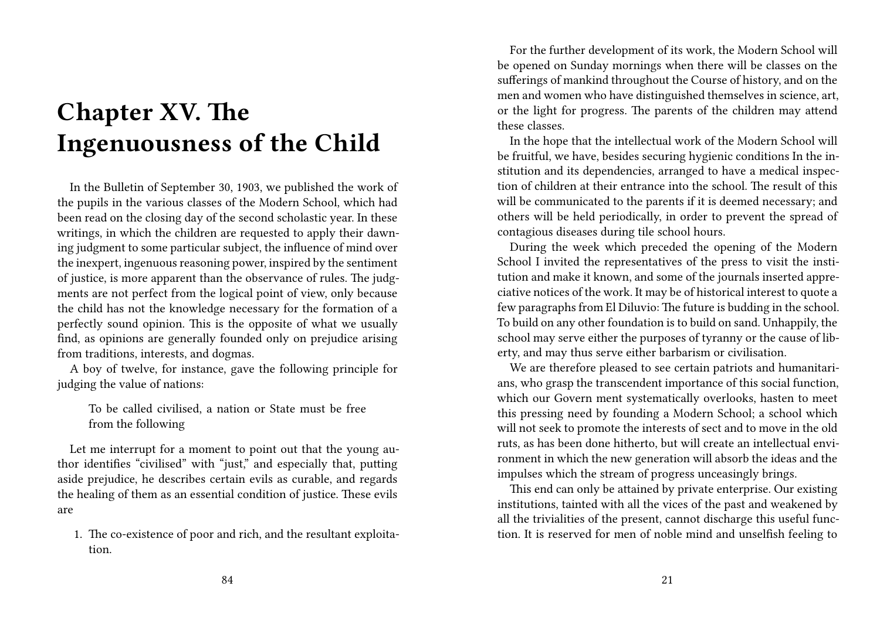## **Chapter XV. The Ingenuousness of the Child**

In the Bulletin of September 30, 1903, we published the work of the pupils in the various classes of the Modern School, which had been read on the closing day of the second scholastic year. In these writings, in which the children are requested to apply their dawning judgment to some particular subject, the influence of mind over the inexpert, ingenuous reasoning power, inspired by the sentiment of justice, is more apparent than the observance of rules. The judgments are not perfect from the logical point of view, only because the child has not the knowledge necessary for the formation of a perfectly sound opinion. This is the opposite of what we usually find, as opinions are generally founded only on prejudice arising from traditions, interests, and dogmas.

A boy of twelve, for instance, gave the following principle for judging the value of nations:

To be called civilised, a nation or State must be free from the following

Let me interrupt for a moment to point out that the young author identifies "civilised" with "just," and especially that, putting aside prejudice, he describes certain evils as curable, and regards the healing of them as an essential condition of justice. These evils are

1. The co-existence of poor and rich, and the resultant exploitation.

For the further development of its work, the Modern School will be opened on Sunday mornings when there will be classes on the sufferings of mankind throughout the Course of history, and on the men and women who have distinguished themselves in science, art, or the light for progress. The parents of the children may attend these classes.

In the hope that the intellectual work of the Modern School will be fruitful, we have, besides securing hygienic conditions In the institution and its dependencies, arranged to have a medical inspection of children at their entrance into the school. The result of this will be communicated to the parents if it is deemed necessary; and others will be held periodically, in order to prevent the spread of contagious diseases during tile school hours.

During the week which preceded the opening of the Modern School I invited the representatives of the press to visit the institution and make it known, and some of the journals inserted appreciative notices of the work. It may be of historical interest to quote a few paragraphs from El Diluvio: The future is budding in the school. To build on any other foundation is to build on sand. Unhappily, the school may serve either the purposes of tyranny or the cause of liberty, and may thus serve either barbarism or civilisation.

We are therefore pleased to see certain patriots and humanitarians, who grasp the transcendent importance of this social function, which our Govern ment systematically overlooks, hasten to meet this pressing need by founding a Modern School; a school which will not seek to promote the interests of sect and to move in the old ruts, as has been done hitherto, but will create an intellectual environment in which the new generation will absorb the ideas and the impulses which the stream of progress unceasingly brings.

This end can only be attained by private enterprise. Our existing institutions, tainted with all the vices of the past and weakened by all the trivialities of the present, cannot discharge this useful function. It is reserved for men of noble mind and unselfish feeling to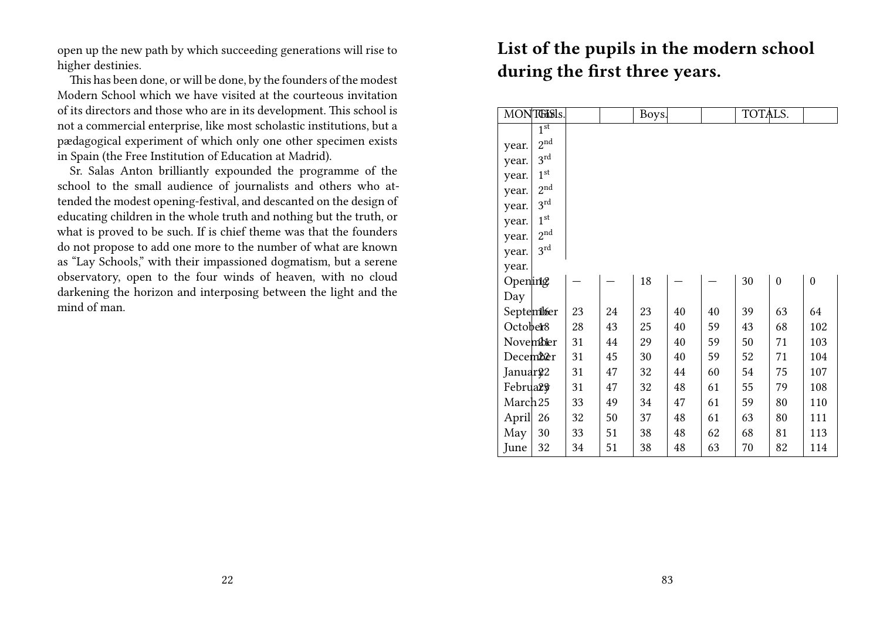open up the new path by which succeeding generations will rise to higher destinies.

This has been done, or will be done, by the founders of the modest Modern School which we have visited at the courteous invitation of its directors and those who are in its development. This school is not a commercial enterprise, like most scholastic institutions, but a pædagogical experiment of which only one other specimen exists in Spain (the Free Institution of Education at Madrid).

Sr. Salas Anton brilliantly expounded the programme of the school to the small audience of journalists and others who attended the modest opening-festival, and descanted on the design of educating children in the whole truth and nothing but the truth, or what is proved to be such. If is chief theme was that the founders do not propose to add one more to the number of what are known as "Lay Schools," with their impassioned dogmatism, but a serene observatory, open to the four winds of heaven, with no cloud darkening the horizon and interposing between the light and the mind of man.

### **List of the pupils in the modern school during the first three years.**

|                      | MONTGISIS.                 |    |    | Boys. |    |    | TOTALS. |                  |                  |
|----------------------|----------------------------|----|----|-------|----|----|---------|------------------|------------------|
|                      | $1^{\overline{\text{st}}}$ |    |    |       |    |    |         |                  |                  |
| year.                | $2^{\text{nd}}$            |    |    |       |    |    |         |                  |                  |
| year.                | $3^{\text{rd}}$            |    |    |       |    |    |         |                  |                  |
| year.                | $1^{\text{st}}$            |    |    |       |    |    |         |                  |                  |
| year.                | 2 <sup>nd</sup>            |    |    |       |    |    |         |                  |                  |
| year.                | $3^{\text{rd}}$            |    |    |       |    |    |         |                  |                  |
| year.                | 1 <sup>st</sup>            |    |    |       |    |    |         |                  |                  |
| year.                | 2 <sup>nd</sup>            |    |    |       |    |    |         |                  |                  |
| year.                | $3^{\text{rd}}$            |    |    |       |    |    |         |                  |                  |
| year.                |                            |    |    |       |    |    |         |                  |                  |
| Opening              |                            |    |    | 18    |    |    | 30      | $\boldsymbol{0}$ | $\boldsymbol{0}$ |
| Day                  |                            |    |    |       |    |    |         |                  |                  |
| September            |                            | 23 | 24 | 23    | 40 | 40 | 39      | 63               | 64               |
| October <sup>8</sup> |                            | 28 | 43 | 25    | 40 | 59 | 43      | 68               | 102              |
| Novembler            |                            | 31 | 44 | 29    | 40 | 59 | 50      | 71               | 103              |
| December             |                            | 31 | 45 | 30    | 40 | 59 | 52      | 71               | 104              |
| Januar <sup>22</sup> |                            | 31 | 47 | 32    | 44 | 60 | 54      | 75               | 107              |
| Februar <sup>9</sup> |                            | 31 | 47 | 32    | 48 | 61 | 55      | 79               | 108              |
| March <sub>25</sub>  |                            | 33 | 49 | 34    | 47 | 61 | 59      | 80               | 110              |
| April                | 26                         | 32 | 50 | 37    | 48 | 61 | 63      | 80               | 111              |
| May                  | 30                         | 33 | 51 | 38    | 48 | 62 | 68      | 81               | 113              |
| June                 | 32                         | 34 | 51 | 38    | 48 | 63 | 70      | 82               | 114              |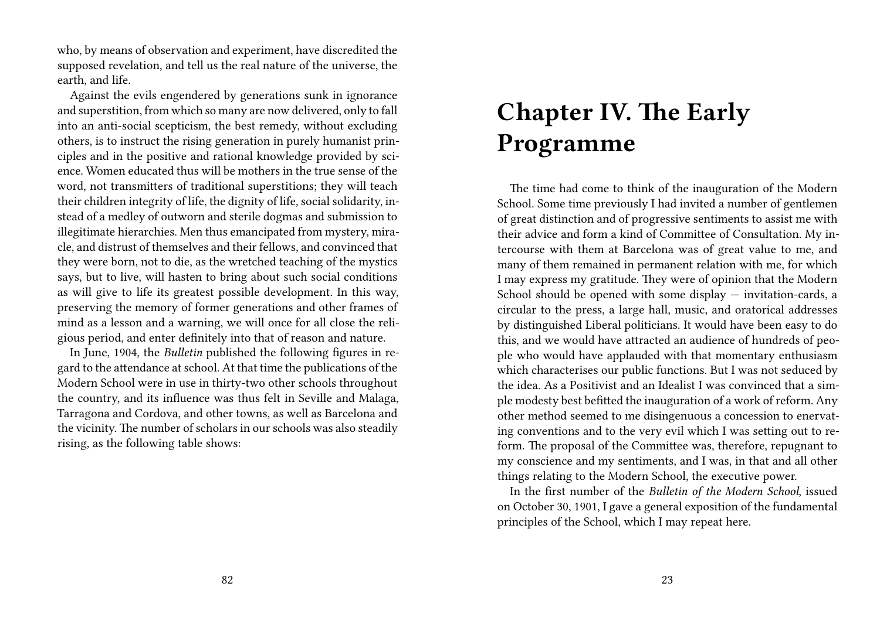who, by means of observation and experiment, have discredited the supposed revelation, and tell us the real nature of the universe, the earth, and life.

Against the evils engendered by generations sunk in ignorance and superstition, from which so many are now delivered, only to fall into an anti-social scepticism, the best remedy, without excluding others, is to instruct the rising generation in purely humanist principles and in the positive and rational knowledge provided by science. Women educated thus will be mothers in the true sense of the word, not transmitters of traditional superstitions; they will teach their children integrity of life, the dignity of life, social solidarity, instead of a medley of outworn and sterile dogmas and submission to illegitimate hierarchies. Men thus emancipated from mystery, miracle, and distrust of themselves and their fellows, and convinced that they were born, not to die, as the wretched teaching of the mystics says, but to live, will hasten to bring about such social conditions as will give to life its greatest possible development. In this way, preserving the memory of former generations and other frames of mind as a lesson and a warning, we will once for all close the religious period, and enter definitely into that of reason and nature.

In June, 1904, the *Bulletin* published the following figures in regard to the attendance at school. At that time the publications of the Modern School were in use in thirty-two other schools throughout the country, and its influence was thus felt in Seville and Malaga, Tarragona and Cordova, and other towns, as well as Barcelona and the vicinity. The number of scholars in our schools was also steadily rising, as the following table shows:

### **Chapter IV. The Early Programme**

The time had come to think of the inauguration of the Modern School. Some time previously I had invited a number of gentlemen of great distinction and of progressive sentiments to assist me with their advice and form a kind of Committee of Consultation. My intercourse with them at Barcelona was of great value to me, and many of them remained in permanent relation with me, for which I may express my gratitude. They were of opinion that the Modern School should be opened with some display — invitation-cards, a circular to the press, a large hall, music, and oratorical addresses by distinguished Liberal politicians. It would have been easy to do this, and we would have attracted an audience of hundreds of people who would have applauded with that momentary enthusiasm which characterises our public functions. But I was not seduced by the idea. As a Positivist and an Idealist I was convinced that a simple modesty best befitted the inauguration of a work of reform. Any other method seemed to me disingenuous a concession to enervating conventions and to the very evil which I was setting out to reform. The proposal of the Committee was, therefore, repugnant to my conscience and my sentiments, and I was, in that and all other things relating to the Modern School, the executive power.

In the first number of the *Bulletin of the Modern School*, issued on October 30, 1901, I gave a general exposition of the fundamental principles of the School, which I may repeat here.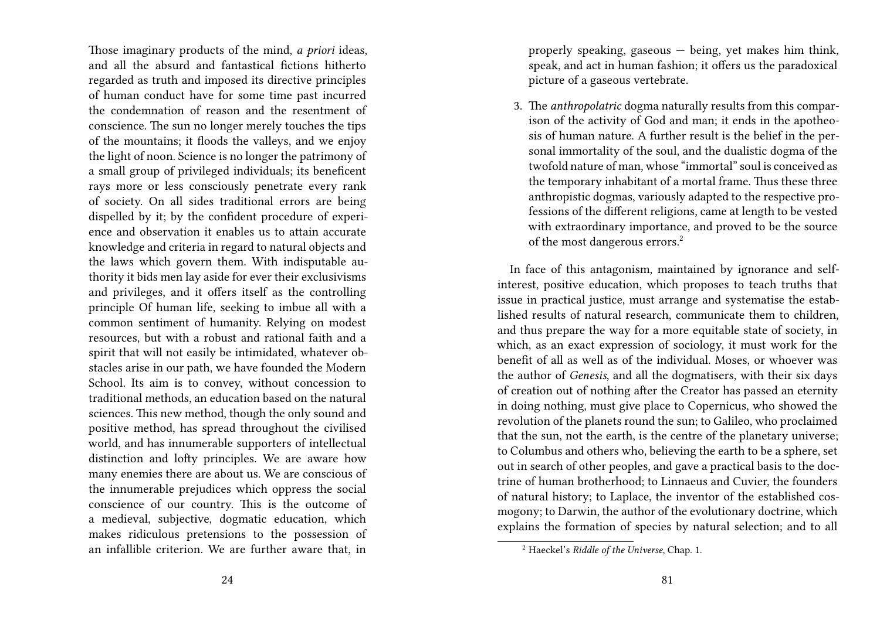Those imaginary products of the mind, *a priori* ideas, and all the absurd and fantastical fictions hitherto regarded as truth and imposed its directive principles of human conduct have for some time past incurred the condemnation of reason and the resentment of conscience. The sun no longer merely touches the tips of the mountains; it floods the valleys, and we enjoy the light of noon. Science is no longer the patrimony of a small group of privileged individuals; its beneficent rays more or less consciously penetrate every rank of society. On all sides traditional errors are being dispelled by it; by the confident procedure of experience and observation it enables us to attain accurate knowledge and criteria in regard to natural objects and the laws which govern them. With indisputable authority it bids men lay aside for ever their exclusivisms and privileges, and it offers itself as the controlling principle Of human life, seeking to imbue all with a common sentiment of humanity. Relying on modest resources, but with a robust and rational faith and a spirit that will not easily be intimidated, whatever obstacles arise in our path, we have founded the Modern School. Its aim is to convey, without concession to traditional methods, an education based on the natural sciences. This new method, though the only sound and positive method, has spread throughout the civilised world, and has innumerable supporters of intellectual distinction and lofty principles. We are aware how many enemies there are about us. We are conscious of the innumerable prejudices which oppress the social conscience of our country. This is the outcome of a medieval, subjective, dogmatic education, which makes ridiculous pretensions to the possession of an infallible criterion. We are further aware that, in

properly speaking, gaseous — being, yet makes him think, speak, and act in human fashion; it offers us the paradoxical picture of a gaseous vertebrate.

3. The *anthropolatric* dogma naturally results from this comparison of the activity of God and man; it ends in the apotheosis of human nature. A further result is the belief in the personal immortality of the soul, and the dualistic dogma of the twofold nature of man, whose "immortal" soul is conceived as the temporary inhabitant of a mortal frame. Thus these three anthropistic dogmas, variously adapted to the respective professions of the different religions, came at length to be vested with extraordinary importance, and proved to be the source of the most dangerous errors.<sup>2</sup>

In face of this antagonism, maintained by ignorance and selfinterest, positive education, which proposes to teach truths that issue in practical justice, must arrange and systematise the established results of natural research, communicate them to children, and thus prepare the way for a more equitable state of society, in which, as an exact expression of sociology, it must work for the benefit of all as well as of the individual. Moses, or whoever was the author of *Genesis*, and all the dogmatisers, with their six days of creation out of nothing after the Creator has passed an eternity in doing nothing, must give place to Copernicus, who showed the revolution of the planets round the sun; to Galileo, who proclaimed that the sun, not the earth, is the centre of the planetary universe; to Columbus and others who, believing the earth to be a sphere, set out in search of other peoples, and gave a practical basis to the doctrine of human brotherhood; to Linnaeus and Cuvier, the founders of natural history; to Laplace, the inventor of the established cosmogony; to Darwin, the author of the evolutionary doctrine, which explains the formation of species by natural selection; and to all

<sup>2</sup> Haeckel's *Riddle of the Universe*, Chap. 1.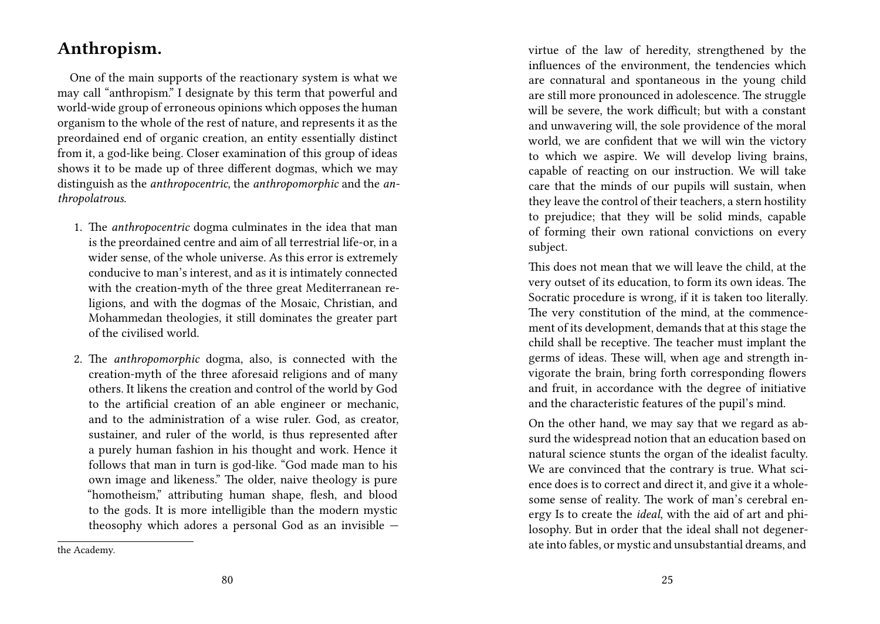#### **Anthropism.**

One of the main supports of the reactionary system is what we may call "anthropism." I designate by this term that powerful and world-wide group of erroneous opinions which opposes the human organism to the whole of the rest of nature, and represents it as the preordained end of organic creation, an entity essentially distinct from it, a god-like being. Closer examination of this group of ideas shows it to be made up of three different dogmas, which we may distinguish as the *anthropocentric*, the *anthropomorphic* and the *anthropolatrous*.

- 1. The *anthropocentric* dogma culminates in the idea that man is the preordained centre and aim of all terrestrial life-or, in a wider sense, of the whole universe. As this error is extremely conducive to man's interest, and as it is intimately connected with the creation-myth of the three great Mediterranean religions, and with the dogmas of the Mosaic, Christian, and Mohammedan theologies, it still dominates the greater part of the civilised world.
- 2. The *anthropomorphic* dogma, also, is connected with the creation-myth of the three aforesaid religions and of many others. It likens the creation and control of the world by God to the artificial creation of an able engineer or mechanic, and to the administration of a wise ruler. God, as creator, sustainer, and ruler of the world, is thus represented after a purely human fashion in his thought and work. Hence it follows that man in turn is god-like. "God made man to his own image and likeness." The older, naive theology is pure "homotheism," attributing human shape, flesh, and blood to the gods. It is more intelligible than the modern mystic theosophy which adores a personal God as an invisible —

This does not mean that we will leave the child, at the very outset of its education, to form its own ideas. The Socratic procedure is wrong, if it is taken too literally. The very constitution of the mind, at the commencement of its development, demands that at this stage the child shall be receptive. The teacher must implant the germs of ideas. These will, when age and strength invigorate the brain, bring forth corresponding flowers and fruit, in accordance with the degree of initiative and the characteristic features of the pupil's mind.

On the other hand, we may say that we regard as absurd the widespread notion that an education based on natural science stunts the organ of the idealist faculty. We are convinced that the contrary is true. What science does is to correct and direct it, and give it a wholesome sense of reality. The work of man's cerebral energy Is to create the *ideal*, with the aid of art and philosophy. But in order that the ideal shall not degenerate into fables, or mystic and unsubstantial dreams, and

virtue of the law of heredity, strengthened by the influences of the environment, the tendencies which are connatural and spontaneous in the young child are still more pronounced in adolescence. The struggle will be severe, the work difficult; but with a constant and unwavering will, the sole providence of the moral world, we are confident that we will win the victory to which we aspire. We will develop living brains, capable of reacting on our instruction. We will take care that the minds of our pupils will sustain, when they leave the control of their teachers, a stern hostility to prejudice; that they will be solid minds, capable of forming their own rational convictions on every subject.

the Academy.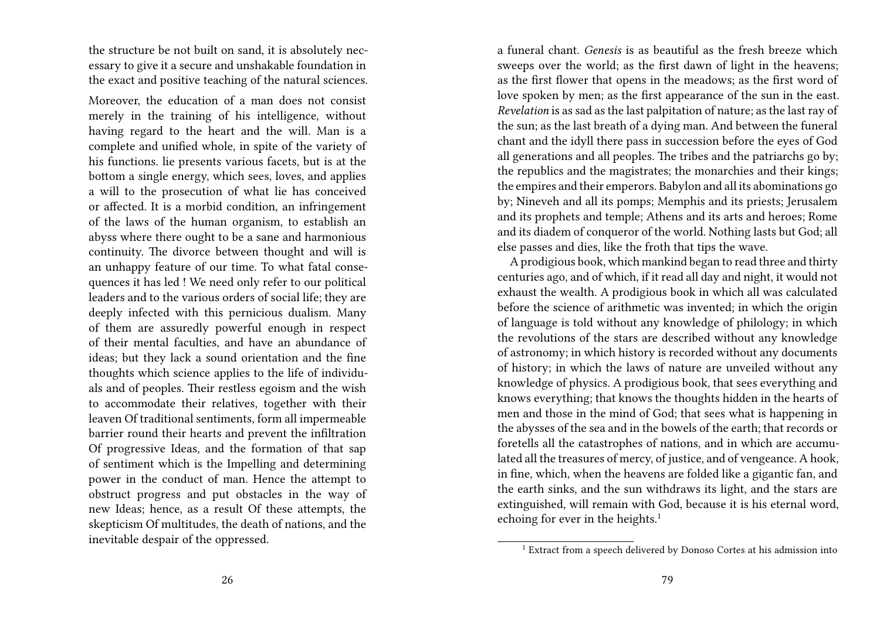the structure be not built on sand, it is absolutely necessary to give it a secure and unshakable foundation in the exact and positive teaching of the natural sciences.

Moreover, the education of a man does not consist merely in the training of his intelligence, without having regard to the heart and the will. Man is a complete and unified whole, in spite of the variety of his functions. lie presents various facets, but is at the bottom a single energy, which sees, loves, and applies a will to the prosecution of what lie has conceived or affected. It is a morbid condition, an infringement of the laws of the human organism, to establish an abyss where there ought to be a sane and harmonious continuity. The divorce between thought and will is an unhappy feature of our time. To what fatal consequences it has led ! We need only refer to our political leaders and to the various orders of social life; they are deeply infected with this pernicious dualism. Many of them are assuredly powerful enough in respect of their mental faculties, and have an abundance of ideas; but they lack a sound orientation and the fine thoughts which science applies to the life of individuals and of peoples. Their restless egoism and the wish to accommodate their relatives, together with their leaven Of traditional sentiments, form all impermeable barrier round their hearts and prevent the infiltration Of progressive Ideas, and the formation of that sap of sentiment which is the Impelling and determining power in the conduct of man. Hence the attempt to obstruct progress and put obstacles in the way of new Ideas; hence, as a result Of these attempts, the skepticism Of multitudes, the death of nations, and the inevitable despair of the oppressed.

a funeral chant. *Genesis* is as beautiful as the fresh breeze which sweeps over the world; as the first dawn of light in the heavens; as the first flower that opens in the meadows; as the first word of love spoken by men; as the first appearance of the sun in the east. *Revelation* is as sad as the last palpitation of nature; as the last ray of the sun; as the last breath of a dying man. And between the funeral chant and the idyll there pass in succession before the eyes of God all generations and all peoples. The tribes and the patriarchs go by; the republics and the magistrates; the monarchies and their kings; the empires and their emperors. Babylon and all its abominations go by; Nineveh and all its pomps; Memphis and its priests; Jerusalem and its prophets and temple; Athens and its arts and heroes; Rome and its diadem of conqueror of the world. Nothing lasts but God; all else passes and dies, like the froth that tips the wave.

A prodigious book, which mankind began to read three and thirty centuries ago, and of which, if it read all day and night, it would not exhaust the wealth. A prodigious book in which all was calculated before the science of arithmetic was invented; in which the origin of language is told without any knowledge of philology; in which the revolutions of the stars are described without any knowledge of astronomy; in which history is recorded without any documents of history; in which the laws of nature are unveiled without any knowledge of physics. A prodigious book, that sees everything and knows everything; that knows the thoughts hidden in the hearts of men and those in the mind of God; that sees what is happening in the abysses of the sea and in the bowels of the earth; that records or foretells all the catastrophes of nations, and in which are accumulated all the treasures of mercy, of justice, and of vengeance. A hook, in fine, which, when the heavens are folded like a gigantic fan, and the earth sinks, and the sun withdraws its light, and the stars are extinguished, will remain with God, because it is his eternal word, echoing for ever in the heights.<sup>1</sup>

 $^{\rm 1}$  Extract from a speech delivered by Donoso Cortes at his admission into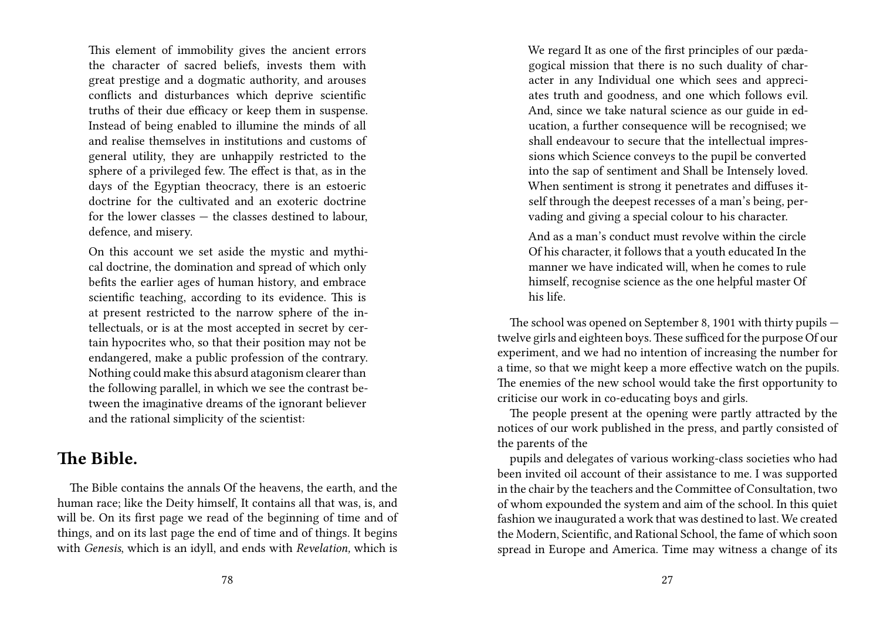This element of immobility gives the ancient errors the character of sacred beliefs, invests them with great prestige and a dogmatic authority, and arouses conflicts and disturbances which deprive scientific truths of their due efficacy or keep them in suspense. Instead of being enabled to illumine the minds of all and realise themselves in institutions and customs of general utility, they are unhappily restricted to the sphere of a privileged few. The effect is that, as in the days of the Egyptian theocracy, there is an estoeric doctrine for the cultivated and an exoteric doctrine for the lower classes — the classes destined to labour, defence, and misery.

On this account we set aside the mystic and mythical doctrine, the domination and spread of which only befits the earlier ages of human history, and embrace scientific teaching, according to its evidence. This is at present restricted to the narrow sphere of the intellectuals, or is at the most accepted in secret by certain hypocrites who, so that their position may not be endangered, make a public profession of the contrary. Nothing could make this absurd atagonism clearer than the following parallel, in which we see the contrast between the imaginative dreams of the ignorant believer and the rational simplicity of the scientist:

#### **The Bible.**

The Bible contains the annals Of the heavens, the earth, and the human race; like the Deity himself, It contains all that was, is, and will be. On its first page we read of the beginning of time and of things, and on its last page the end of time and of things. It begins with *Genesis*, which is an idyll, and ends with *Revelation,* which is

We regard It as one of the first principles of our pædagogical mission that there is no such duality of character in any Individual one which sees and appreciates truth and goodness, and one which follows evil. And, since we take natural science as our guide in education, a further consequence will be recognised; we shall endeavour to secure that the intellectual impressions which Science conveys to the pupil be converted into the sap of sentiment and Shall be Intensely loved. When sentiment is strong it penetrates and diffuses itself through the deepest recesses of a man's being, pervading and giving a special colour to his character.

And as a man's conduct must revolve within the circle Of his character, it follows that a youth educated In the manner we have indicated will, when he comes to rule himself, recognise science as the one helpful master Of his life.

The school was opened on September 8, 1901 with thirty pupils twelve girls and eighteen boys.These sufficed for the purpose Of our experiment, and we had no intention of increasing the number for a time, so that we might keep a more effective watch on the pupils. The enemies of the new school would take the first opportunity to criticise our work in co-educating boys and girls.

The people present at the opening were partly attracted by the notices of our work published in the press, and partly consisted of the parents of the

pupils and delegates of various working-class societies who had been invited oil account of their assistance to me. I was supported in the chair by the teachers and the Committee of Consultation, two of whom expounded the system and aim of the school. In this quiet fashion we inaugurated a work that was destined to last. We created the Modern, Scientific, and Rational School, the fame of which soon spread in Europe and America. Time may witness a change of its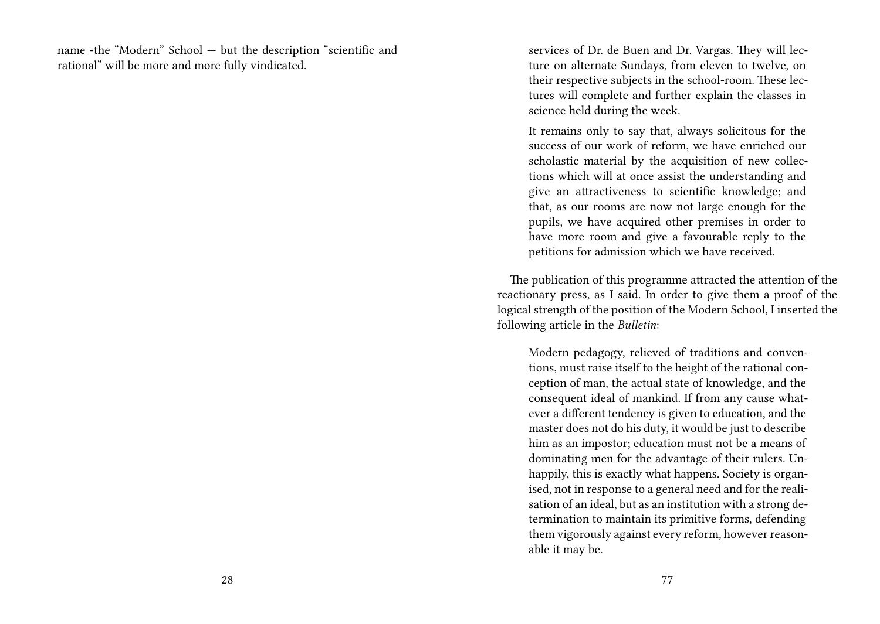name -the "Modern" School — but the description "scientific and rational" will be more and more fully vindicated.

services of Dr. de Buen and Dr. Vargas. They will lecture on alternate Sundays, from eleven to twelve, on their respective subjects in the school-room. These lectures will complete and further explain the classes in science held during the week.

It remains only to say that, always solicitous for the success of our work of reform, we have enriched our scholastic material by the acquisition of new collections which will at once assist the understanding and give an attractiveness to scientific knowledge; and that, as our rooms are now not large enough for the pupils, we have acquired other premises in order to have more room and give a favourable reply to the petitions for admission which we have received.

The publication of this programme attracted the attention of the reactionary press, as I said. In order to give them a proof of the logical strength of the position of the Modern School, I inserted the following article in the *Bulletin*:

Modern pedagogy, relieved of traditions and conventions, must raise itself to the height of the rational conception of man, the actual state of knowledge, and the consequent ideal of mankind. If from any cause whatever a different tendency is given to education, and the master does not do his duty, it would be just to describe him as an impostor; education must not be a means of dominating men for the advantage of their rulers. Unhappily, this is exactly what happens. Society is organised, not in response to a general need and for the realisation of an ideal, but as an institution with a strong determination to maintain its primitive forms, defending them vigorously against every reform, however reasonable it may be.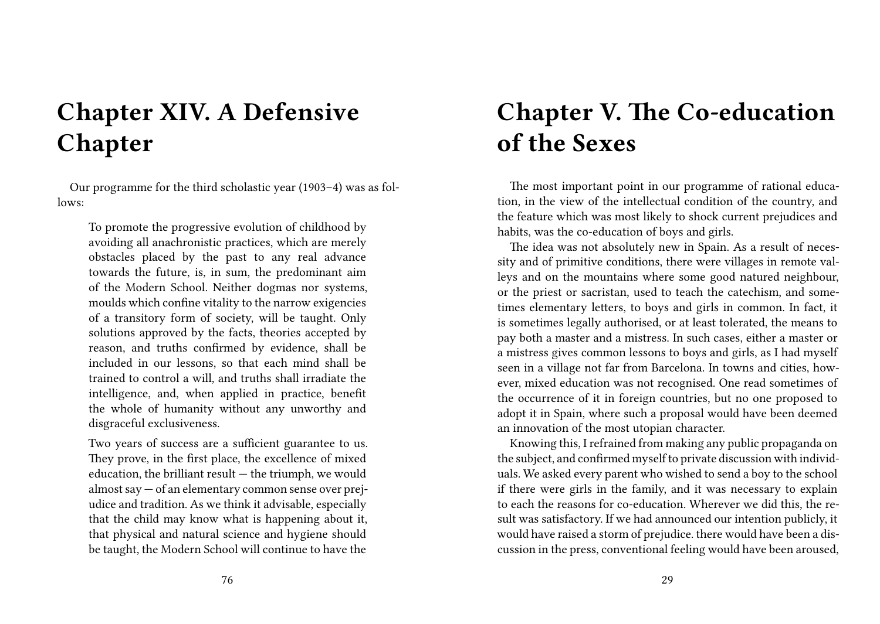# **Chapter XIV. A Defensive Chapter**

Our programme for the third scholastic year (1903–4) was as follows:

To promote the progressive evolution of childhood by avoiding all anachronistic practices, which are merely obstacles placed by the past to any real advance towards the future, is, in sum, the predominant aim of the Modern School. Neither dogmas nor systems, moulds which confine vitality to the narrow exigencies of a transitory form of society, will be taught. Only solutions approved by the facts, theories accepted by reason, and truths confirmed by evidence, shall be included in our lessons, so that each mind shall be trained to control a will, and truths shall irradiate the intelligence, and, when applied in practice, benefit the whole of humanity without any unworthy and disgraceful exclusiveness.

Two years of success are a sufficient guarantee to us. They prove, in the first place, the excellence of mixed education, the brilliant result — the triumph, we would almost say — of an elementary common sense over prejudice and tradition. As we think it advisable, especially that the child may know what is happening about it, that physical and natural science and hygiene should be taught, the Modern School will continue to have the

## **Chapter V. The Co-education of the Sexes**

The most important point in our programme of rational education, in the view of the intellectual condition of the country, and the feature which was most likely to shock current prejudices and habits, was the co-education of boys and girls.

The idea was not absolutely new in Spain. As a result of necessity and of primitive conditions, there were villages in remote valleys and on the mountains where some good natured neighbour, or the priest or sacristan, used to teach the catechism, and sometimes elementary letters, to boys and girls in common. In fact, it is sometimes legally authorised, or at least tolerated, the means to pay both a master and a mistress. In such cases, either a master or a mistress gives common lessons to boys and girls, as I had myself seen in a village not far from Barcelona. In towns and cities, however, mixed education was not recognised. One read sometimes of the occurrence of it in foreign countries, but no one proposed to adopt it in Spain, where such a proposal would have been deemed an innovation of the most utopian character.

Knowing this, I refrained from making any public propaganda on the subject, and confirmed myself to private discussion with individuals. We asked every parent who wished to send a boy to the school if there were girls in the family, and it was necessary to explain to each the reasons for co-education. Wherever we did this, the result was satisfactory. If we had announced our intention publicly, it would have raised a storm of prejudice. there would have been a discussion in the press, conventional feeling would have been aroused,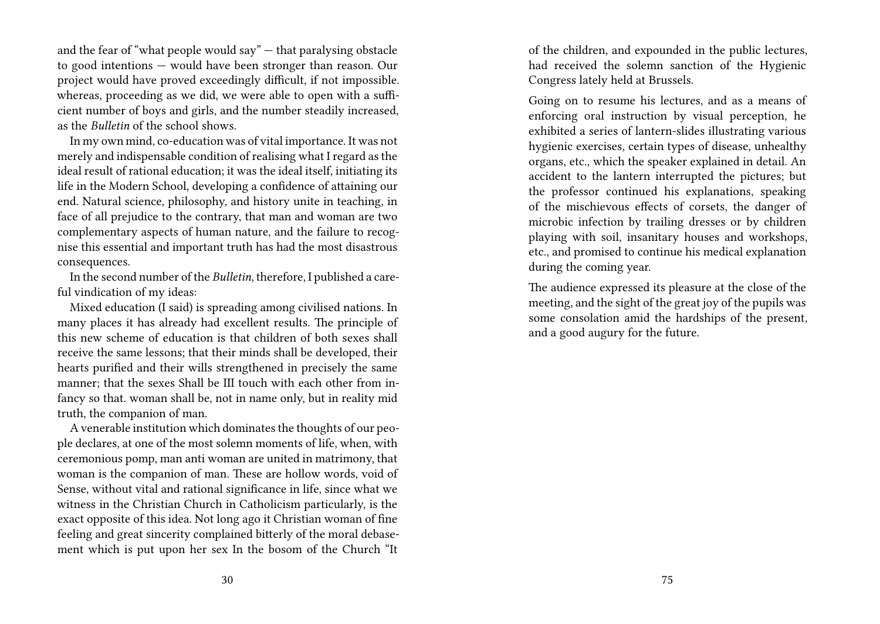and the fear of "what people would say" — that paralysing obstacle to good intentions — would have been stronger than reason. Our project would have proved exceedingly difficult, if not impossible. whereas, proceeding as we did, we were able to open with a sufficient number of boys and girls, and the number steadily increased, as the *Bulletin* of the school shows.

In my own mind, co-education was of vital importance. It was not merely and indispensable condition of realising what I regard as the ideal result of rational education; it was the ideal itself, initiating its life in the Modern School, developing a confidence of attaining our end. Natural science, philosophy, and history unite in teaching, in face of all prejudice to the contrary, that man and woman are two complementary aspects of human nature, and the failure to recognise this essential and important truth has had the most disastrous consequences.

In the second number of the *Bulletin*, therefore, I published a careful vindication of my ideas:

Mixed education (I said) is spreading among civilised nations. In many places it has already had excellent results. The principle of this new scheme of education is that children of both sexes shall receive the same lessons; that their minds shall be developed, their hearts purified and their wills strengthened in precisely the same manner; that the sexes Shall be III touch with each other from infancy so that. woman shall be, not in name only, but in reality mid truth, the companion of man.

A venerable institution which dominates the thoughts of our people declares, at one of the most solemn moments of life, when, with ceremonious pomp, man anti woman are united in matrimony, that woman is the companion of man. These are hollow words, void of Sense, without vital and rational significance in life, since what we witness in the Christian Church in Catholicism particularly, is the exact opposite of this idea. Not long ago it Christian woman of fine feeling and great sincerity complained bitterly of the moral debasement which is put upon her sex In the bosom of the Church "It

of the children, and expounded in the public lectures, had received the solemn sanction of the Hygienic Congress lately held at Brussels.

Going on to resume his lectures, and as a means of enforcing oral instruction by visual perception, he exhibited a series of lantern-slides illustrating various hygienic exercises, certain types of disease, unhealthy organs, etc., which the speaker explained in detail. An accident to the lantern interrupted the pictures; but the professor continued his explanations, speaking of the mischievous effects of corsets, the danger of microbic infection by trailing dresses or by children playing with soil, insanitary houses and workshops, etc., and promised to continue his medical explanation during the coming year.

The audience expressed its pleasure at the close of the meeting, and the sight of the great joy of the pupils was some consolation amid the hardships of the present, and a good augury for the future.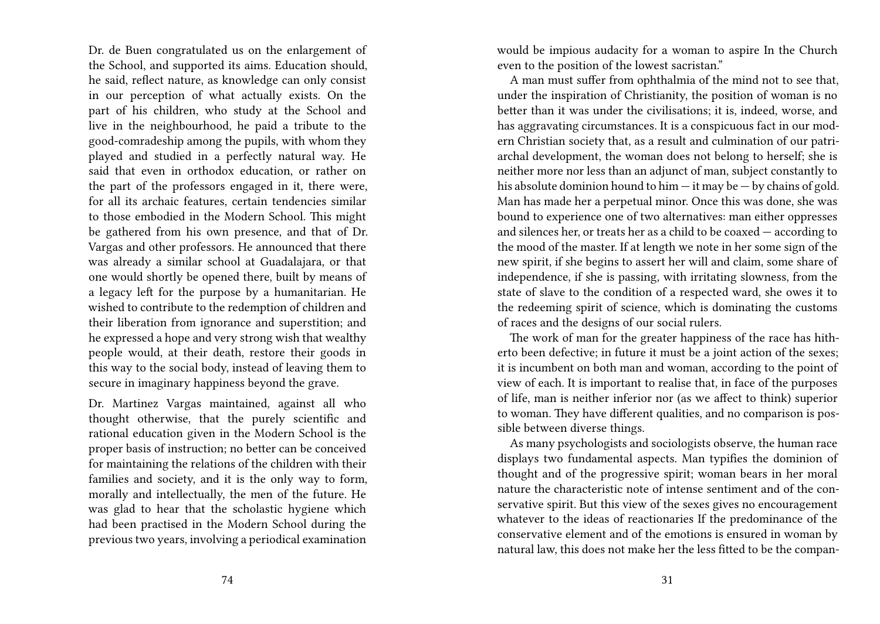Dr. de Buen congratulated us on the enlargement of the School, and supported its aims. Education should, he said, reflect nature, as knowledge can only consist in our perception of what actually exists. On the part of his children, who study at the School and live in the neighbourhood, he paid a tribute to the good-comradeship among the pupils, with whom they played and studied in a perfectly natural way. He said that even in orthodox education, or rather on the part of the professors engaged in it, there were, for all its archaic features, certain tendencies similar to those embodied in the Modern School. This might be gathered from his own presence, and that of Dr. Vargas and other professors. He announced that there was already a similar school at Guadalajara, or that one would shortly be opened there, built by means of a legacy left for the purpose by a humanitarian. He wished to contribute to the redemption of children and their liberation from ignorance and superstition; and he expressed a hope and very strong wish that wealthy people would, at their death, restore their goods in this way to the social body, instead of leaving them to secure in imaginary happiness beyond the grave.

Dr. Martinez Vargas maintained, against all who thought otherwise, that the purely scientific and rational education given in the Modern School is the proper basis of instruction; no better can be conceived for maintaining the relations of the children with their families and society, and it is the only way to form, morally and intellectually, the men of the future. He was glad to hear that the scholastic hygiene which had been practised in the Modern School during the previous two years, involving a periodical examination

would be impious audacity for a woman to aspire In the Church even to the position of the lowest sacristan."

A man must suffer from ophthalmia of the mind not to see that, under the inspiration of Christianity, the position of woman is no better than it was under the civilisations; it is, indeed, worse, and has aggravating circumstances. It is a conspicuous fact in our modern Christian society that, as a result and culmination of our patriarchal development, the woman does not belong to herself; she is neither more nor less than an adjunct of man, subject constantly to his absolute dominion hound to him  $-$  it may be  $-$  by chains of gold. Man has made her a perpetual minor. Once this was done, she was bound to experience one of two alternatives: man either oppresses and silences her, or treats her as a child to be coaxed — according to the mood of the master. If at length we note in her some sign of the new spirit, if she begins to assert her will and claim, some share of independence, if she is passing, with irritating slowness, from the state of slave to the condition of a respected ward, she owes it to the redeeming spirit of science, which is dominating the customs of races and the designs of our social rulers.

The work of man for the greater happiness of the race has hitherto been defective; in future it must be a joint action of the sexes; it is incumbent on both man and woman, according to the point of view of each. It is important to realise that, in face of the purposes of life, man is neither inferior nor (as we affect to think) superior to woman. They have different qualities, and no comparison is possible between diverse things.

As many psychologists and sociologists observe, the human race displays two fundamental aspects. Man typifies the dominion of thought and of the progressive spirit; woman bears in her moral nature the characteristic note of intense sentiment and of the conservative spirit. But this view of the sexes gives no encouragement whatever to the ideas of reactionaries If the predominance of the conservative element and of the emotions is ensured in woman by natural law, this does not make her the less fitted to be the compan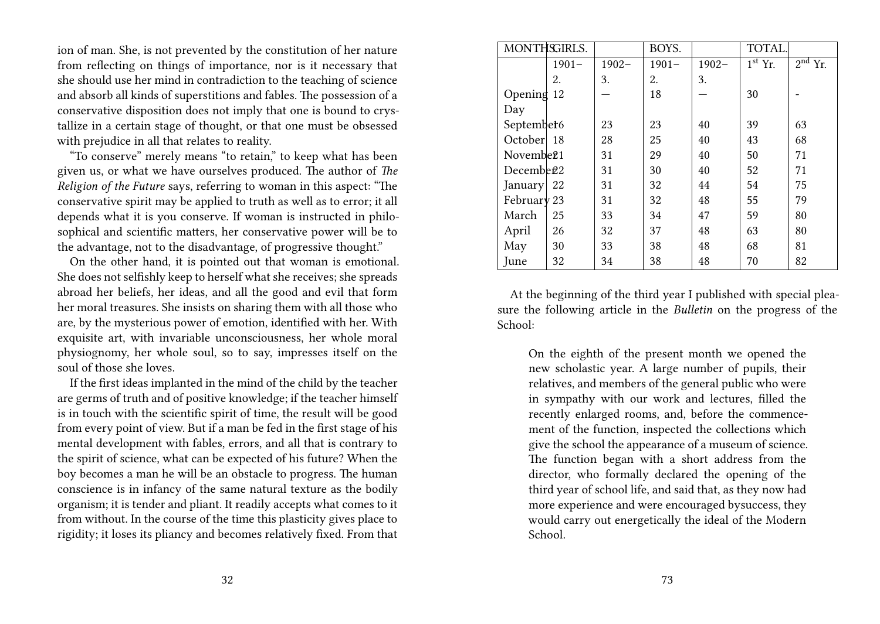ion of man. She, is not prevented by the constitution of her nature from reflecting on things of importance, nor is it necessary that she should use her mind in contradiction to the teaching of science and absorb all kinds of superstitions and fables. The possession of a conservative disposition does not imply that one is bound to crystallize in a certain stage of thought, or that one must be obsessed with prejudice in all that relates to reality.

"To conserve" merely means "to retain," to keep what has been given us, or what we have ourselves produced. The author of *The Religion of the Future* says, referring to woman in this aspect: "The conservative spirit may be applied to truth as well as to error; it all depends what it is you conserve. If woman is instructed in philosophical and scientific matters, her conservative power will be to the advantage, not to the disadvantage, of progressive thought."

On the other hand, it is pointed out that woman is emotional. She does not selfishly keep to herself what she receives; she spreads abroad her beliefs, her ideas, and all the good and evil that form her moral treasures. She insists on sharing them with all those who are, by the mysterious power of emotion, identified with her. With exquisite art, with invariable unconsciousness, her whole moral physiognomy, her whole soul, so to say, impresses itself on the soul of those she loves.

If the first ideas implanted in the mind of the child by the teacher are germs of truth and of positive knowledge; if the teacher himself is in touch with the scientific spirit of time, the result will be good from every point of view. But if a man be fed in the first stage of his mental development with fables, errors, and all that is contrary to the spirit of science, what can be expected of his future? When the boy becomes a man he will be an obstacle to progress. The human conscience is in infancy of the same natural texture as the bodily organism; it is tender and pliant. It readily accepts what comes to it from without. In the course of the time this plasticity gives place to rigidity; it loses its pliancy and becomes relatively fixed. From that

|                        | MONTHSGIRLS. |          | BOYS.    |          | TOTAL.                           |           |
|------------------------|--------------|----------|----------|----------|----------------------------------|-----------|
|                        | $1901 -$     | $1902 -$ | $1901 -$ | $1902 -$ | $\overline{1}$ <sup>st</sup> Yr. | $2nd$ Yr. |
|                        | 2.           | 3.       | 2.       | 3.       |                                  |           |
| Opening 12             |              |          | 18       |          | 30                               |           |
| Day                    |              |          |          |          |                                  |           |
| September <sub>6</sub> |              | 23       | 23       | 40       | 39                               | 63        |
| October 18             |              | 28       | 25       | 40       | 43                               | 68        |
| Novembe <sub>21</sub>  |              | 31       | 29       | 40       | 50                               | 71        |
| Decembe <sub>22</sub>  |              | 31       | 30       | 40       | 52                               | 71        |
| January 22             |              | 31       | 32       | 44       | 54                               | 75        |
| February 23            |              | 31       | 32       | 48       | 55                               | 79        |
| March                  | 25           | 33       | 34       | 47       | 59                               | 80        |
| April                  | 26           | 32       | 37       | 48       | 63                               | 80        |
| May                    | 30           | 33       | 38       | 48       | 68                               | 81        |
| June                   | 32           | 34       | 38       | 48       | 70                               | 82        |

At the beginning of the third year I published with special pleasure the following article in the *Bulletin* on the progress of the School:

On the eighth of the present month we opened the new scholastic year. A large number of pupils, their relatives, and members of the general public who were in sympathy with our work and lectures, filled the recently enlarged rooms, and, before the commencement of the function, inspected the collections which give the school the appearance of a museum of science. The function began with a short address from the director, who formally declared the opening of the third year of school life, and said that, as they now had more experience and were encouraged bysuccess, they would carry out energetically the ideal of the Modern School.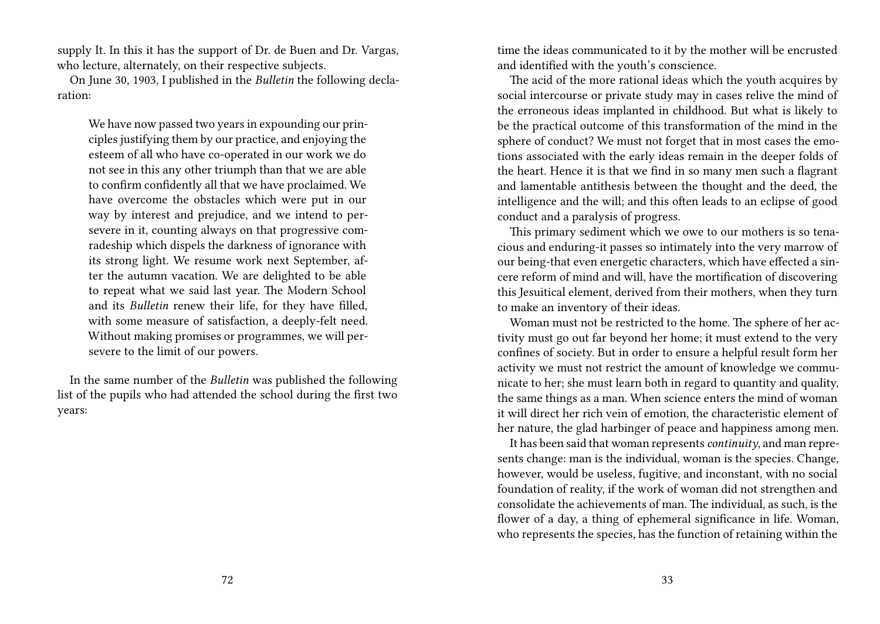supply It. In this it has the support of Dr. de Buen and Dr. Vargas, who lecture, alternately, on their respective subjects.

On June 30, 1903, I published in the *Bulletin* the following declaration:

We have now passed two years in expounding our principles justifying them by our practice, and enjoying the esteem of all who have co-operated in our work we do not see in this any other triumph than that we are able to confirm confidently all that we have proclaimed. We have overcome the obstacles which were put in our way by interest and prejudice, and we intend to persevere in it, counting always on that progressive comradeship which dispels the darkness of ignorance with its strong light. We resume work next September, after the autumn vacation. We are delighted to be able to repeat what we said last year. The Modern School and its *Bulletin* renew their life, for they have filled, with some measure of satisfaction, a deeply-felt need. Without making promises or programmes, we will persevere to the limit of our powers.

In the same number of the *Bulletin* was published the following list of the pupils who had attended the school during the first two years:

time the ideas communicated to it by the mother will be encrusted and identified with the youth's conscience.

The acid of the more rational ideas which the youth acquires by social intercourse or private study may in cases relive the mind of the erroneous ideas implanted in childhood. But what is likely to be the practical outcome of this transformation of the mind in the sphere of conduct? We must not forget that in most cases the emotions associated with the early ideas remain in the deeper folds of the heart. Hence it is that we find in so many men such a flagrant and lamentable antithesis between the thought and the deed, the intelligence and the will; and this often leads to an eclipse of good conduct and a paralysis of progress.

This primary sediment which we owe to our mothers is so tenacious and enduring-it passes so intimately into the very marrow of our being-that even energetic characters, which have effected a sincere reform of mind and will, have the mortification of discovering this Jesuitical element, derived from their mothers, when they turn to make an inventory of their ideas.

Woman must not be restricted to the home. The sphere of her activity must go out far beyond her home; it must extend to the very confines of society. But in order to ensure a helpful result form her activity we must not restrict the amount of knowledge we communicate to her; she must learn both in regard to quantity and quality, the same things as a man. When science enters the mind of woman it will direct her rich vein of emotion, the characteristic element of her nature, the glad harbinger of peace and happiness among men.

It has been said that woman represents*continuity*, and man represents change: man is the individual, woman is the species. Change, however, would be useless, fugitive, and inconstant, with no social foundation of reality, if the work of woman did not strengthen and consolidate the achievements of man. The individual, as such, is the flower of a day, a thing of ephemeral significance in life. Woman, who represents the species, has the function of retaining within the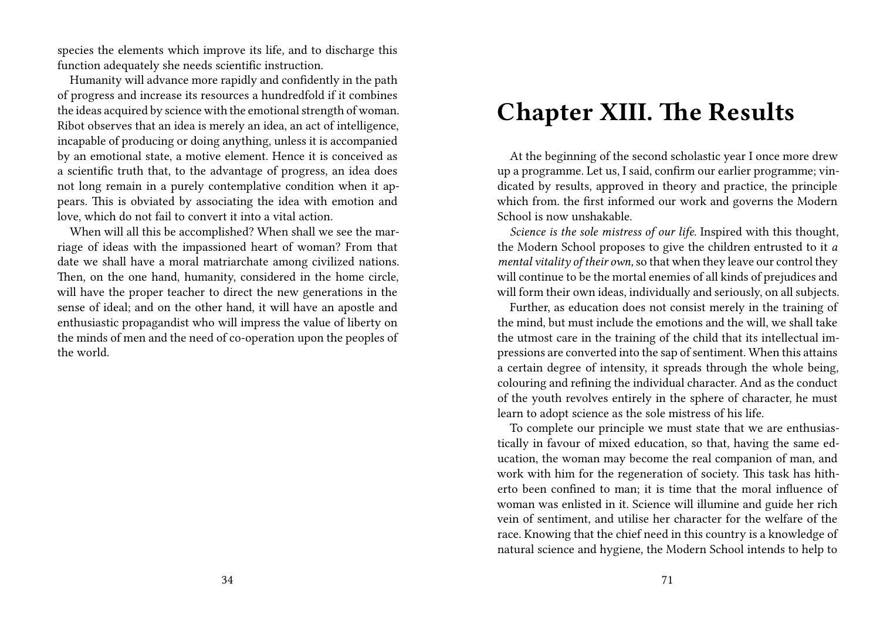species the elements which improve its life, and to discharge this function adequately she needs scientific instruction.

Humanity will advance more rapidly and confidently in the path of progress and increase its resources a hundredfold if it combines the ideas acquired by science with the emotional strength of woman. Ribot observes that an idea is merely an idea, an act of intelligence, incapable of producing or doing anything, unless it is accompanied by an emotional state, a motive element. Hence it is conceived as a scientific truth that, to the advantage of progress, an idea does not long remain in a purely contemplative condition when it appears. This is obviated by associating the idea with emotion and love, which do not fail to convert it into a vital action.

When will all this be accomplished? When shall we see the marriage of ideas with the impassioned heart of woman? From that date we shall have a moral matriarchate among civilized nations. Then, on the one hand, humanity, considered in the home circle, will have the proper teacher to direct the new generations in the sense of ideal; and on the other hand, it will have an apostle and enthusiastic propagandist who will impress the value of liberty on the minds of men and the need of co-operation upon the peoples of the world.

### **Chapter XIII. The Results**

At the beginning of the second scholastic year I once more drew up a programme. Let us, I said, confirm our earlier programme; vindicated by results, approved in theory and practice, the principle which from. the first informed our work and governs the Modern School is now unshakable.

*Science is the sole mistress of our life.* Inspired with this thought, the Modern School proposes to give the children entrusted to it *a mental vitality of their own,*so that when they leave our control they will continue to be the mortal enemies of all kinds of prejudices and will form their own ideas, individually and seriously, on all subjects.

Further, as education does not consist merely in the training of the mind, but must include the emotions and the will, we shall take the utmost care in the training of the child that its intellectual impressions are converted into the sap of sentiment. When this attains a certain degree of intensity, it spreads through the whole being, colouring and refining the individual character. And as the conduct of the youth revolves entirely in the sphere of character, he must learn to adopt science as the sole mistress of his life.

To complete our principle we must state that we are enthusiastically in favour of mixed education, so that, having the same education, the woman may become the real companion of man, and work with him for the regeneration of society. This task has hitherto been confined to man; it is time that the moral influence of woman was enlisted in it. Science will illumine and guide her rich vein of sentiment, and utilise her character for the welfare of the race. Knowing that the chief need in this country is a knowledge of natural science and hygiene, the Modern School intends to help to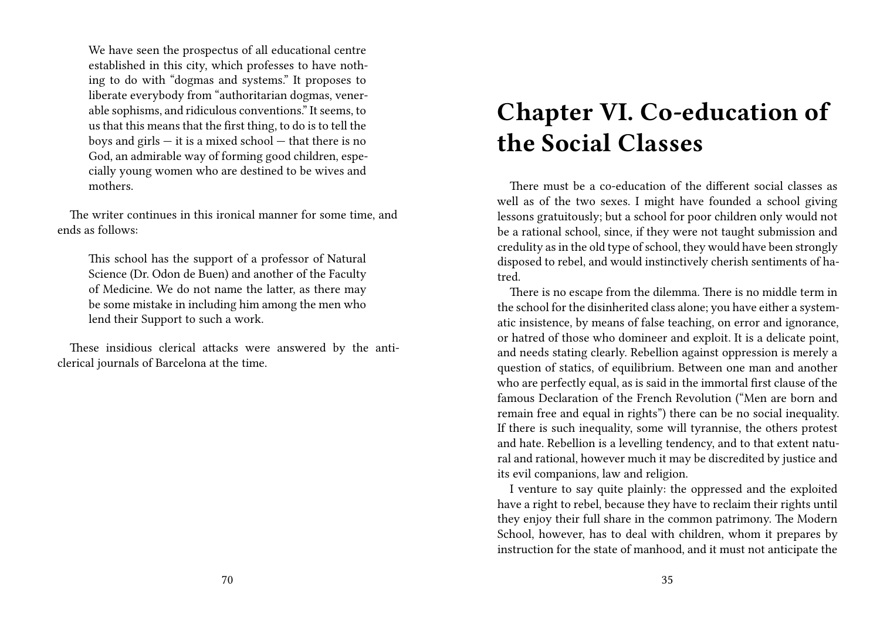We have seen the prospectus of all educational centre established in this city, which professes to have nothing to do with "dogmas and systems." It proposes to liberate everybody from "authoritarian dogmas, venerable sophisms, and ridiculous conventions." It seems, to us that this means that the first thing, to do is to tell the boys and girls  $-$  it is a mixed school  $-$  that there is no God, an admirable way of forming good children, especially young women who are destined to be wives and mothers.

The writer continues in this ironical manner for some time, and ends as follows:

This school has the support of a professor of Natural Science (Dr. Odon de Buen) and another of the Faculty of Medicine. We do not name the latter, as there may be some mistake in including him among the men who lend their Support to such a work.

These insidious clerical attacks were answered by the anticlerical journals of Barcelona at the time.

### **Chapter VI. Co-education of the Social Classes**

There must be a co-education of the different social classes as well as of the two sexes. I might have founded a school giving lessons gratuitously; but a school for poor children only would not be a rational school, since, if they were not taught submission and credulity as in the old type of school, they would have been strongly disposed to rebel, and would instinctively cherish sentiments of hatred.

There is no escape from the dilemma. There is no middle term in the school for the disinherited class alone; you have either a systematic insistence, by means of false teaching, on error and ignorance, or hatred of those who domineer and exploit. It is a delicate point, and needs stating clearly. Rebellion against oppression is merely a question of statics, of equilibrium. Between one man and another who are perfectly equal, as is said in the immortal first clause of the famous Declaration of the French Revolution ("Men are born and remain free and equal in rights") there can be no social inequality. If there is such inequality, some will tyrannise, the others protest and hate. Rebellion is a levelling tendency, and to that extent natural and rational, however much it may be discredited by justice and its evil companions, law and religion.

I venture to say quite plainly: the oppressed and the exploited have a right to rebel, because they have to reclaim their rights until they enjoy their full share in the common patrimony. The Modern School, however, has to deal with children, whom it prepares by instruction for the state of manhood, and it must not anticipate the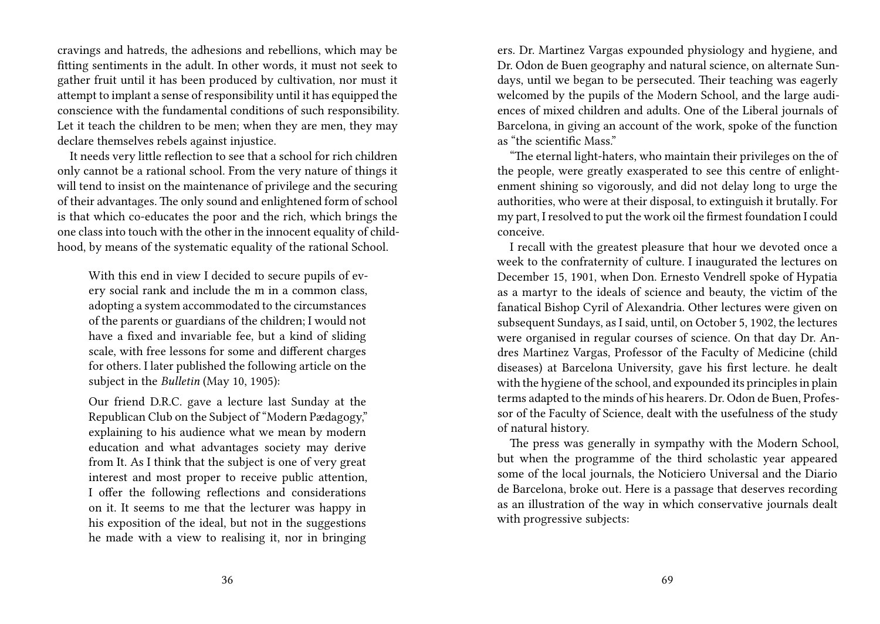cravings and hatreds, the adhesions and rebellions, which may be fitting sentiments in the adult. In other words, it must not seek to gather fruit until it has been produced by cultivation, nor must it attempt to implant a sense of responsibility until it has equipped the conscience with the fundamental conditions of such responsibility. Let it teach the children to be men; when they are men, they may declare themselves rebels against injustice.

It needs very little reflection to see that a school for rich children only cannot be a rational school. From the very nature of things it will tend to insist on the maintenance of privilege and the securing of their advantages. The only sound and enlightened form of school is that which co-educates the poor and the rich, which brings the one class into touch with the other in the innocent equality of childhood, by means of the systematic equality of the rational School.

With this end in view I decided to secure pupils of every social rank and include the m in a common class, adopting a system accommodated to the circumstances of the parents or guardians of the children; I would not have a fixed and invariable fee, but a kind of sliding scale, with free lessons for some and different charges for others. I later published the following article on the subject in the *Bulletin* (May 10, 1905):

Our friend D.R.C. gave a lecture last Sunday at the Republican Club on the Subject of "Modern Pædagogy," explaining to his audience what we mean by modern education and what advantages society may derive from It. As I think that the subject is one of very great interest and most proper to receive public attention, I offer the following reflections and considerations on it. It seems to me that the lecturer was happy in his exposition of the ideal, but not in the suggestions he made with a view to realising it, nor in bringing

ers. Dr. Martinez Vargas expounded physiology and hygiene, and Dr. Odon de Buen geography and natural science, on alternate Sundays, until we began to be persecuted. Their teaching was eagerly welcomed by the pupils of the Modern School, and the large audiences of mixed children and adults. One of the Liberal journals of Barcelona, in giving an account of the work, spoke of the function as "the scientific Mass."

"The eternal light-haters, who maintain their privileges on the of the people, were greatly exasperated to see this centre of enlightenment shining so vigorously, and did not delay long to urge the authorities, who were at their disposal, to extinguish it brutally. For my part, I resolved to put the work oil the firmest foundation I could conceive.

I recall with the greatest pleasure that hour we devoted once a week to the confraternity of culture. I inaugurated the lectures on December 15, 1901, when Don. Ernesto Vendrell spoke of Hypatia as a martyr to the ideals of science and beauty, the victim of the fanatical Bishop Cyril of Alexandria. Other lectures were given on subsequent Sundays, as I said, until, on October 5, 1902, the lectures were organised in regular courses of science. On that day Dr. Andres Martinez Vargas, Professor of the Faculty of Medicine (child diseases) at Barcelona University, gave his first lecture. he dealt with the hygiene of the school, and expounded its principles in plain terms adapted to the minds of his hearers. Dr. Odon de Buen, Professor of the Faculty of Science, dealt with the usefulness of the study of natural history.

The press was generally in sympathy with the Modern School, but when the programme of the third scholastic year appeared some of the local journals, the Noticiero Universal and the Diario de Barcelona, broke out. Here is a passage that deserves recording as an illustration of the way in which conservative journals dealt with progressive subjects: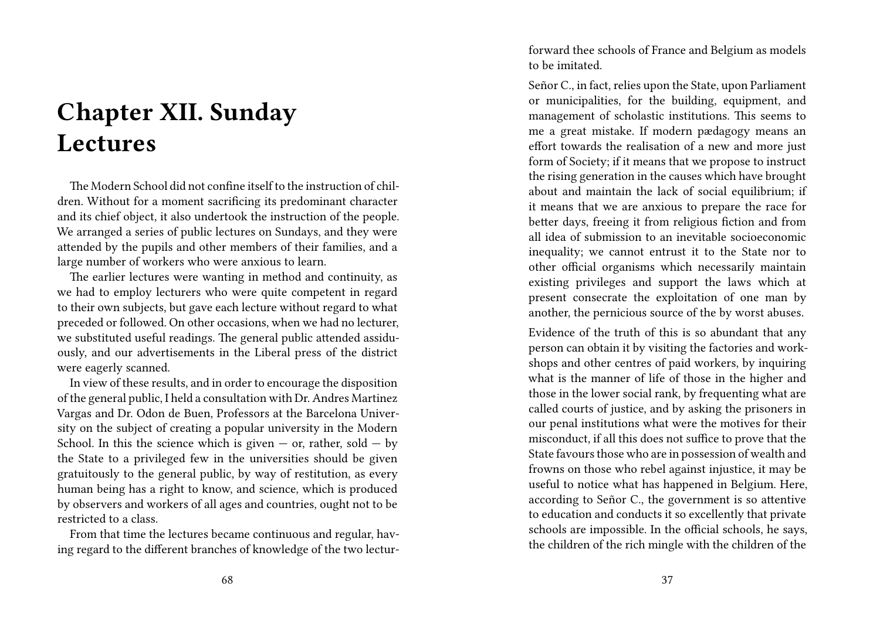# **Chapter XII. Sunday Lectures**

The Modern School did not confine itself to the instruction of children. Without for a moment sacrificing its predominant character and its chief object, it also undertook the instruction of the people. We arranged a series of public lectures on Sundays, and they were attended by the pupils and other members of their families, and a large number of workers who were anxious to learn.

The earlier lectures were wanting in method and continuity, as we had to employ lecturers who were quite competent in regard to their own subjects, but gave each lecture without regard to what preceded or followed. On other occasions, when we had no lecturer, we substituted useful readings. The general public attended assiduously, and our advertisements in the Liberal press of the district were eagerly scanned.

In view of these results, and in order to encourage the disposition of the general public, I held a consultation with Dr. Andres Martinez Vargas and Dr. Odon de Buen, Professors at the Barcelona University on the subject of creating a popular university in the Modern School. In this the science which is given  $-$  or, rather, sold  $-$  by the State to a privileged few in the universities should be given gratuitously to the general public, by way of restitution, as every human being has a right to know, and science, which is produced by observers and workers of all ages and countries, ought not to be restricted to a class.

From that time the lectures became continuous and regular, having regard to the different branches of knowledge of the two lecturforward thee schools of France and Belgium as models to be imitated.

Señor C., in fact, relies upon the State, upon Parliament or municipalities, for the building, equipment, and management of scholastic institutions. This seems to me a great mistake. If modern pædagogy means an effort towards the realisation of a new and more just form of Society; if it means that we propose to instruct the rising generation in the causes which have brought about and maintain the lack of social equilibrium; if it means that we are anxious to prepare the race for better days, freeing it from religious fiction and from all idea of submission to an inevitable socioeconomic inequality; we cannot entrust it to the State nor to other official organisms which necessarily maintain existing privileges and support the laws which at present consecrate the exploitation of one man by another, the pernicious source of the by worst abuses.

Evidence of the truth of this is so abundant that any person can obtain it by visiting the factories and workshops and other centres of paid workers, by inquiring what is the manner of life of those in the higher and those in the lower social rank, by frequenting what are called courts of justice, and by asking the prisoners in our penal institutions what were the motives for their misconduct, if all this does not suffice to prove that the State favours those who are in possession of wealth and frowns on those who rebel against injustice, it may be useful to notice what has happened in Belgium. Here, according to Señor C., the government is so attentive to education and conducts it so excellently that private schools are impossible. In the official schools, he says, the children of the rich mingle with the children of the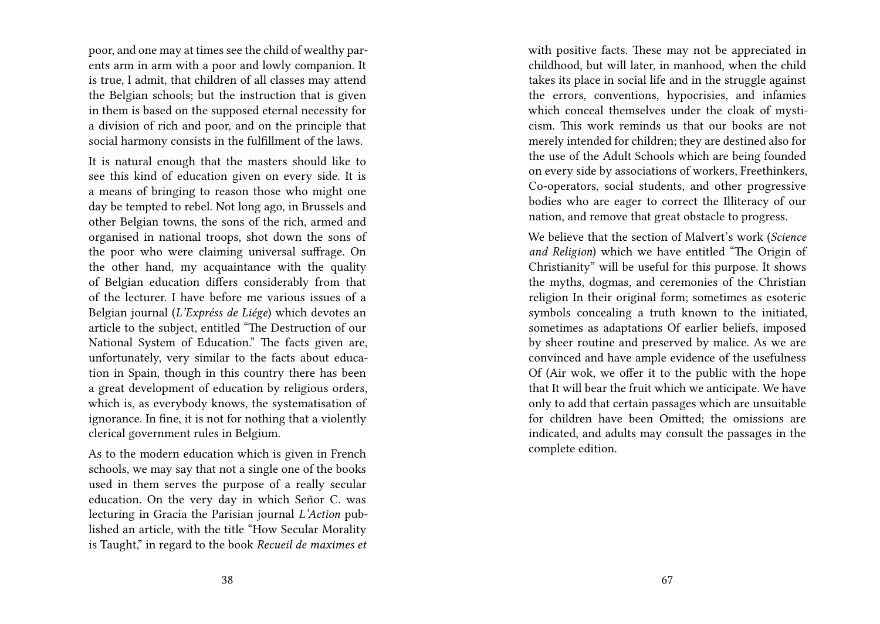poor, and one may at times see the child of wealthy parents arm in arm with a poor and lowly companion. It is true, I admit, that children of all classes may attend the Belgian schools; but the instruction that is given in them is based on the supposed eternal necessity for a division of rich and poor, and on the principle that social harmony consists in the fulfillment of the laws.

It is natural enough that the masters should like to see this kind of education given on every side. It is a means of bringing to reason those who might one day be tempted to rebel. Not long ago, in Brussels and other Belgian towns, the sons of the rich, armed and organised in national troops, shot down the sons of the poor who were claiming universal suffrage. On the other hand, my acquaintance with the quality of Belgian education differs considerably from that of the lecturer. I have before me various issues of a Belgian journal (*L'Expréss de Liége*) which devotes an article to the subject, entitled "The Destruction of our National System of Education." The facts given are, unfortunately, very similar to the facts about education in Spain, though in this country there has been a great development of education by religious orders, which is, as everybody knows, the systematisation of ignorance. In fine, it is not for nothing that a violently clerical government rules in Belgium.

As to the modern education which is given in French schools, we may say that not a single one of the books used in them serves the purpose of a really secular education. On the very day in which Señor C. was lecturing in Gracia the Parisian journal *L'Action* published an article, with the title "How Secular Morality is Taught," in regard to the book *Recueil de maximes et* with positive facts. These may not be appreciated in childhood, but will later, in manhood, when the child takes its place in social life and in the struggle against the errors, conventions, hypocrisies, and infamies which conceal themselves under the cloak of mysticism. This work reminds us that our books are not merely intended for children; they are destined also for the use of the Adult Schools which are being founded on every side by associations of workers, Freethinkers, Co-operators, social students, and other progressive bodies who are eager to correct the Illiteracy of our nation, and remove that great obstacle to progress.

We believe that the section of Malvert's work (*Science and Religion*) which we have entitled "The Origin of Christianity" will be useful for this purpose. It shows the myths, dogmas, and ceremonies of the Christian religion In their original form; sometimes as esoteric symbols concealing a truth known to the initiated, sometimes as adaptations Of earlier beliefs, imposed by sheer routine and preserved by malice. As we are convinced and have ample evidence of the usefulness Of (Air wok, we offer it to the public with the hope that It will bear the fruit which we anticipate. We have only to add that certain passages which are unsuitable for children have been Omitted; the omissions are indicated, and adults may consult the passages in the complete edition.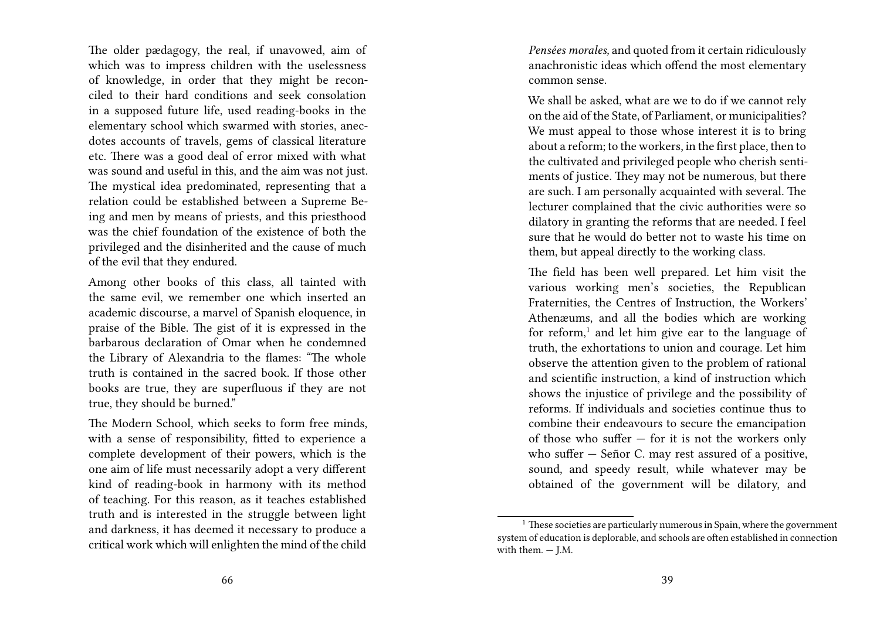The older pædagogy, the real, if unavowed, aim of which was to impress children with the uselessness of knowledge, in order that they might be reconciled to their hard conditions and seek consolation in a supposed future life, used reading-books in the elementary school which swarmed with stories, anecdotes accounts of travels, gems of classical literature etc. There was a good deal of error mixed with what was sound and useful in this, and the aim was not just. The mystical idea predominated, representing that a relation could be established between a Supreme Being and men by means of priests, and this priesthood was the chief foundation of the existence of both the privileged and the disinherited and the cause of much of the evil that they endured.

Among other books of this class, all tainted with the same evil, we remember one which inserted an academic discourse, a marvel of Spanish eloquence, in praise of the Bible. The gist of it is expressed in the barbarous declaration of Omar when he condemned the Library of Alexandria to the flames: "The whole truth is contained in the sacred book. If those other books are true, they are superfluous if they are not true, they should be burned."

The Modern School, which seeks to form free minds, with a sense of responsibility, fitted to experience a complete development of their powers, which is the one aim of life must necessarily adopt a very different kind of reading-book in harmony with its method of teaching. For this reason, as it teaches established truth and is interested in the struggle between light and darkness, it has deemed it necessary to produce a critical work which will enlighten the mind of the child

*Pensées morales,* and quoted from it certain ridiculously anachronistic ideas which offend the most elementary common sense.

We shall be asked, what are we to do if we cannot rely on the aid of the State, of Parliament, or municipalities? We must appeal to those whose interest it is to bring about a reform; to the workers, in the first place, then to the cultivated and privileged people who cherish sentiments of justice. They may not be numerous, but there are such. I am personally acquainted with several. The lecturer complained that the civic authorities were so dilatory in granting the reforms that are needed. I feel sure that he would do better not to waste his time on them, but appeal directly to the working class.

The field has been well prepared. Let him visit the various working men's societies, the Republican Fraternities, the Centres of Instruction, the Workers' Athenæums, and all the bodies which are working for reform,<sup>1</sup> and let him give ear to the language of truth, the exhortations to union and courage. Let him observe the attention given to the problem of rational and scientific instruction, a kind of instruction which shows the injustice of privilege and the possibility of reforms. If individuals and societies continue thus to combine their endeavours to secure the emancipation of those who suffer  $-$  for it is not the workers only who suffer — Señor C. may rest assured of a positive, sound, and speedy result, while whatever may be obtained of the government will be dilatory, and

 $1$  These societies are particularly numerous in Spain, where the government system of education is deplorable, and schools are often established in connection with them.  $-$  J.M.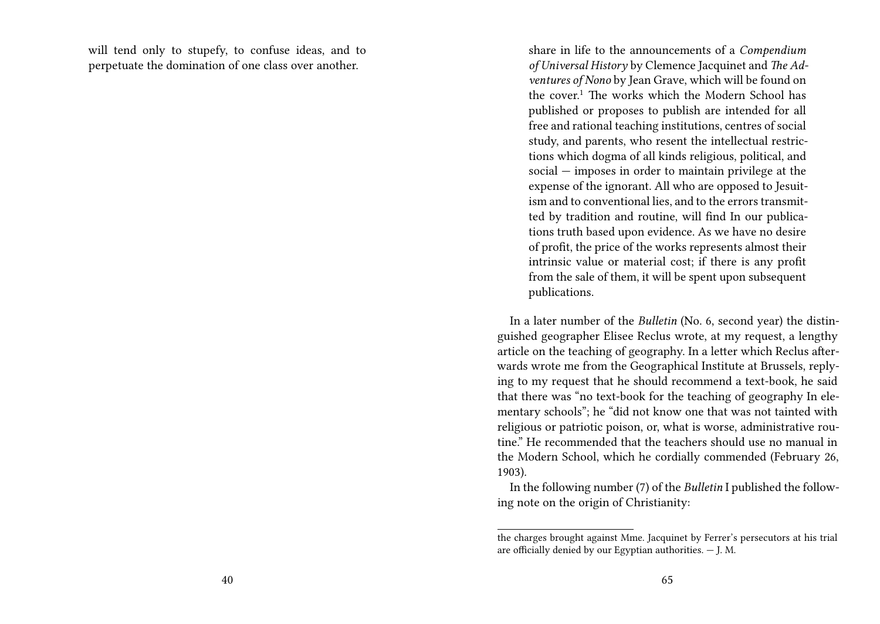will tend only to stupefy, to confuse ideas, and to perpetuate the domination of one class over another.

share in life to the announcements of a *Compendium of Universal History* by Clemence Jacquinet and *The Adventures of Nono* by Jean Grave, which will be found on the cover.<sup>1</sup> The works which the Modern School has published or proposes to publish are intended for all free and rational teaching institutions, centres of social study, and parents, who resent the intellectual restrictions which dogma of all kinds religious, political, and social — imposes in order to maintain privilege at the expense of the ignorant. All who are opposed to Jesuitism and to conventional lies, and to the errors transmitted by tradition and routine, will find In our publications truth based upon evidence. As we have no desire of profit, the price of the works represents almost their intrinsic value or material cost; if there is any profit from the sale of them, it will be spent upon subsequent publications.

In a later number of the *Bulletin* (No. 6, second year) the distinguished geographer Elisee Reclus wrote, at my request, a lengthy article on the teaching of geography. In a letter which Reclus afterwards wrote me from the Geographical Institute at Brussels, replying to my request that he should recommend a text-book, he said that there was "no text-book for the teaching of geography In elementary schools"; he "did not know one that was not tainted with religious or patriotic poison, or, what is worse, administrative routine." He recommended that the teachers should use no manual in the Modern School, which he cordially commended (February 26, 1903).

In the following number (7) of the *Bulletin* I published the following note on the origin of Christianity:

the charges brought against Mme. Jacquinet by Ferrer's persecutors at his trial are officially denied by our Egyptian authorities. — J. M.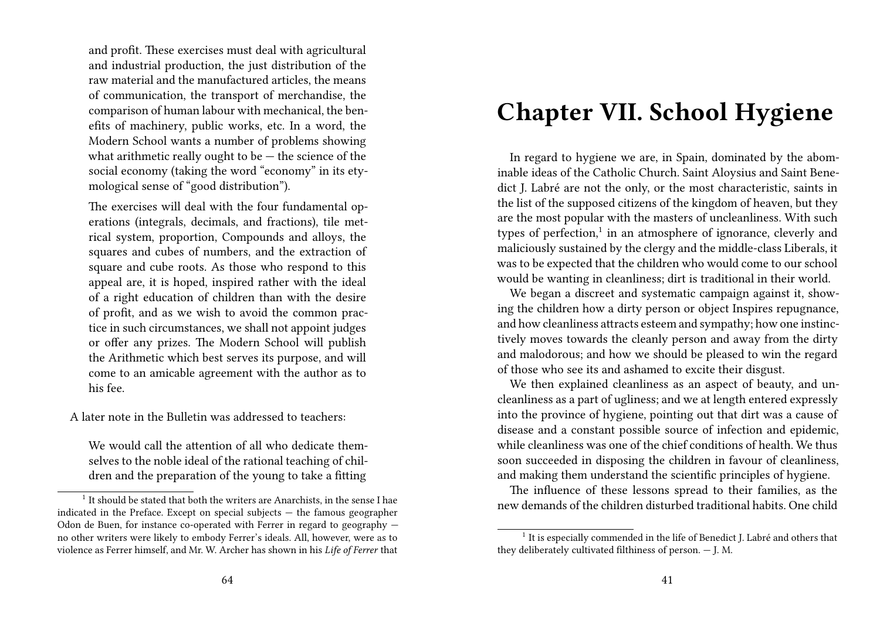and profit. These exercises must deal with agricultural and industrial production, the just distribution of the raw material and the manufactured articles, the means of communication, the transport of merchandise, the comparison of human labour with mechanical, the benefits of machinery, public works, etc. In a word, the Modern School wants a number of problems showing what arithmetic really ought to be  $-$  the science of the social economy (taking the word "economy" in its etymological sense of "good distribution").

The exercises will deal with the four fundamental operations (integrals, decimals, and fractions), tile metrical system, proportion, Compounds and alloys, the squares and cubes of numbers, and the extraction of square and cube roots. As those who respond to this appeal are, it is hoped, inspired rather with the ideal of a right education of children than with the desire of profit, and as we wish to avoid the common practice in such circumstances, we shall not appoint judges or offer any prizes. The Modern School will publish the Arithmetic which best serves its purpose, and will come to an amicable agreement with the author as to his fee.

A later note in the Bulletin was addressed to teachers:

We would call the attention of all who dedicate themselves to the noble ideal of the rational teaching of children and the preparation of the young to take a fitting

### **Chapter VII. School Hygiene**

In regard to hygiene we are, in Spain, dominated by the abominable ideas of the Catholic Church. Saint Aloysius and Saint Benedict J. Labré are not the only, or the most characteristic, saints in the list of the supposed citizens of the kingdom of heaven, but they are the most popular with the masters of uncleanliness. With such types of perfection,<sup>1</sup> in an atmosphere of ignorance, cleverly and maliciously sustained by the clergy and the middle-class Liberals, it was to be expected that the children who would come to our school would be wanting in cleanliness; dirt is traditional in their world.

We began a discreet and systematic campaign against it, showing the children how a dirty person or object Inspires repugnance, and how cleanliness attracts esteem and sympathy; how one instinctively moves towards the cleanly person and away from the dirty and malodorous; and how we should be pleased to win the regard of those who see its and ashamed to excite their disgust.

We then explained cleanliness as an aspect of beauty, and uncleanliness as a part of ugliness; and we at length entered expressly into the province of hygiene, pointing out that dirt was a cause of disease and a constant possible source of infection and epidemic, while cleanliness was one of the chief conditions of health. We thus soon succeeded in disposing the children in favour of cleanliness, and making them understand the scientific principles of hygiene.

The influence of these lessons spread to their families, as the new demands of the children disturbed traditional habits. One child

<sup>&</sup>lt;sup>1</sup> It should be stated that both the writers are Anarchists, in the sense I hae indicated in the Preface. Except on special subjects — the famous geographer Odon de Buen, for instance co-operated with Ferrer in regard to geography no other writers were likely to embody Ferrer's ideals. All, however, were as to violence as Ferrer himself, and Mr. W. Archer has shown in his *Life of Ferrer* that

<sup>&</sup>lt;sup>1</sup> It is especially commended in the life of Benedict J. Labré and others that they deliberately cultivated filthiness of person. — J. M.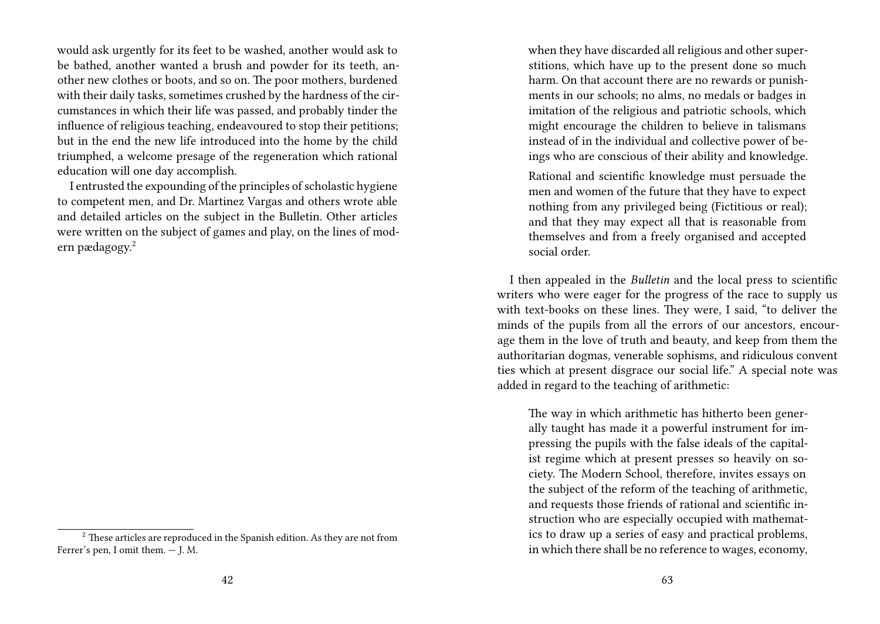would ask urgently for its feet to be washed, another would ask to be bathed, another wanted a brush and powder for its teeth, another new clothes or boots, and so on. The poor mothers, burdened with their daily tasks, sometimes crushed by the hardness of the circumstances in which their life was passed, and probably tinder the influence of religious teaching, endeavoured to stop their petitions; but in the end the new life introduced into the home by the child triumphed, a welcome presage of the regeneration which rational education will one day accomplish.

I entrusted the expounding of the principles of scholastic hygiene to competent men, and Dr. Martinez Vargas and others wrote able and detailed articles on the subject in the Bulletin. Other articles were written on the subject of games and play, on the lines of modern pædagogy.<sup>2</sup>

when they have discarded all religious and other superstitions, which have up to the present done so much harm. On that account there are no rewards or punishments in our schools; no alms, no medals or badges in imitation of the religious and patriotic schools, which might encourage the children to believe in talismans instead of in the individual and collective power of beings who are conscious of their ability and knowledge.

Rational and scientific knowledge must persuade the men and women of the future that they have to expect nothing from any privileged being (Fictitious or real); and that they may expect all that is reasonable from themselves and from a freely organised and accepted social order.

I then appealed in the *Bulletin* and the local press to scientific writers who were eager for the progress of the race to supply us with text-books on these lines. They were, I said, "to deliver the minds of the pupils from all the errors of our ancestors, encourage them in the love of truth and beauty, and keep from them the authoritarian dogmas, venerable sophisms, and ridiculous convent ties which at present disgrace our social life." A special note was added in regard to the teaching of arithmetic:

The way in which arithmetic has hitherto been generally taught has made it a powerful instrument for impressing the pupils with the false ideals of the capitalist regime which at present presses so heavily on society. The Modern School, therefore, invites essays on the subject of the reform of the teaching of arithmetic, and requests those friends of rational and scientific instruction who are especially occupied with mathematics to draw up a series of easy and practical problems, in which there shall be no reference to wages, economy,

<sup>&</sup>lt;sup>2</sup> These articles are reproduced in the Spanish edition. As they are not from Ferrer's pen, I omit them. — J. M.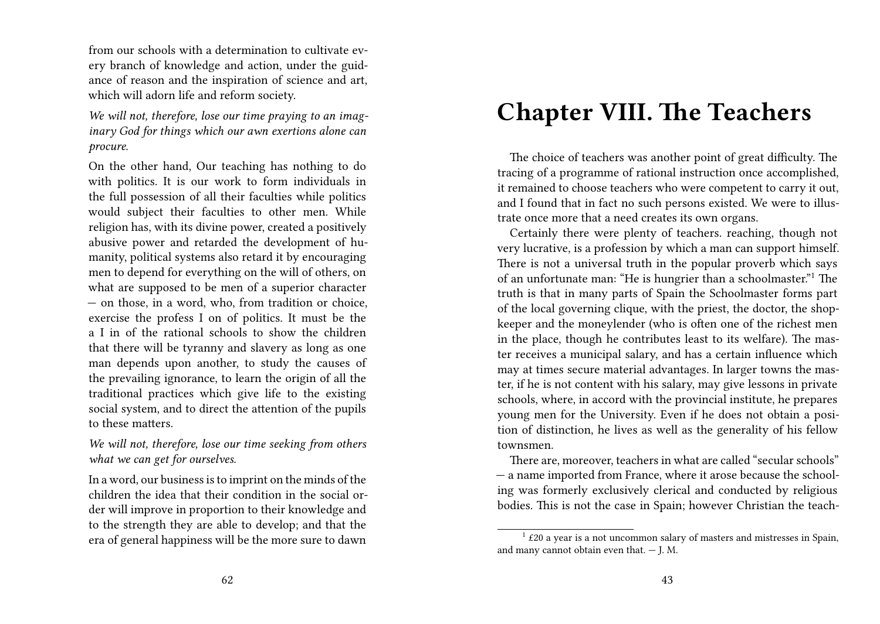from our schools with a determination to cultivate every branch of knowledge and action, under the guidance of reason and the inspiration of science and art, which will adorn life and reform society.

*We will not, therefore, lose our time praying to an imaginary God for things which our awn exertions alone can procure.*

On the other hand, Our teaching has nothing to do with politics. It is our work to form individuals in the full possession of all their faculties while politics would subject their faculties to other men. While religion has, with its divine power, created a positively abusive power and retarded the development of humanity, political systems also retard it by encouraging men to depend for everything on the will of others, on what are supposed to be men of a superior character — on those, in a word, who, from tradition or choice, exercise the profess I on of politics. It must be the a I in of the rational schools to show the children that there will be tyranny and slavery as long as one man depends upon another, to study the causes of the prevailing ignorance, to learn the origin of all the traditional practices which give life to the existing social system, and to direct the attention of the pupils to these matters.

*We will not, therefore, lose our time seeking from others what we can get for ourselves.*

In a word, our business is to imprint on the minds of the children the idea that their condition in the social order will improve in proportion to their knowledge and to the strength they are able to develop; and that the era of general happiness will be the more sure to dawn

### **Chapter VIII. The Teachers**

The choice of teachers was another point of great difficulty. The tracing of a programme of rational instruction once accomplished, it remained to choose teachers who were competent to carry it out, and I found that in fact no such persons existed. We were to illustrate once more that a need creates its own organs.

Certainly there were plenty of teachers. reaching, though not very lucrative, is a profession by which a man can support himself. There is not a universal truth in the popular proverb which says of an unfortunate man: "He is hungrier than a schoolmaster."<sup>1</sup> The truth is that in many parts of Spain the Schoolmaster forms part of the local governing clique, with the priest, the doctor, the shopkeeper and the moneylender (who is often one of the richest men in the place, though he contributes least to its welfare). The master receives a municipal salary, and has a certain influence which may at times secure material advantages. In larger towns the master, if he is not content with his salary, may give lessons in private schools, where, in accord with the provincial institute, he prepares young men for the University. Even if he does not obtain a position of distinction, he lives as well as the generality of his fellow townsmen.

There are, moreover, teachers in what are called "secular schools" — a name imported from France, where it arose because the schooling was formerly exclusively clerical and conducted by religious bodies. This is not the case in Spain; however Christian the teach-

<sup>&</sup>lt;sup>1</sup> £20 a year is a not uncommon salary of masters and mistresses in Spain, and many cannot obtain even that.  $-$  J. M.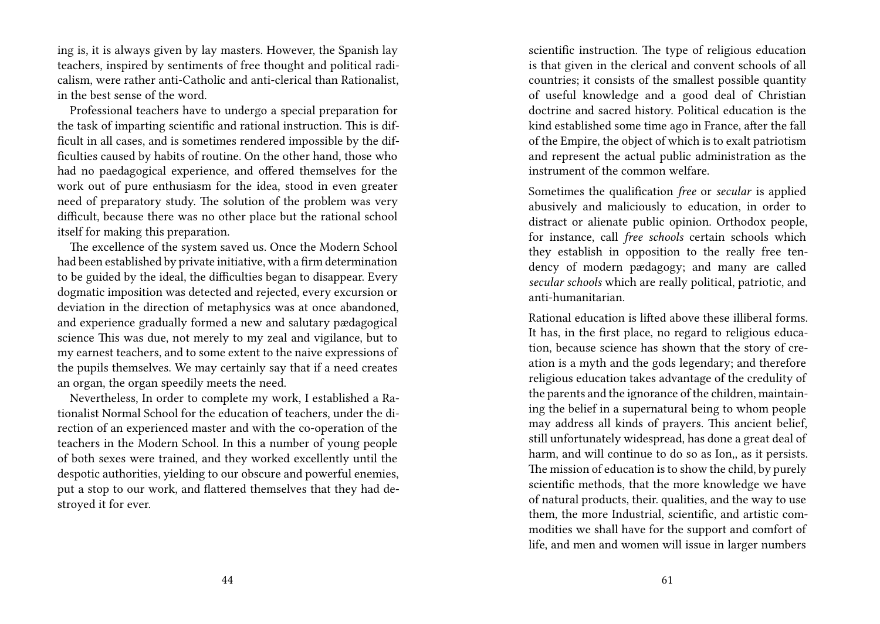ing is, it is always given by lay masters. However, the Spanish lay teachers, inspired by sentiments of free thought and political radicalism, were rather anti-Catholic and anti-clerical than Rationalist, in the best sense of the word.

Professional teachers have to undergo a special preparation for the task of imparting scientific and rational instruction. This is difficult in all cases, and is sometimes rendered impossible by the difficulties caused by habits of routine. On the other hand, those who had no paedagogical experience, and offered themselves for the work out of pure enthusiasm for the idea, stood in even greater need of preparatory study. The solution of the problem was very difficult, because there was no other place but the rational school itself for making this preparation.

The excellence of the system saved us. Once the Modern School had been established by private initiative, with a firm determination to be guided by the ideal, the difficulties began to disappear. Every dogmatic imposition was detected and rejected, every excursion or deviation in the direction of metaphysics was at once abandoned, and experience gradually formed a new and salutary pædagogical science This was due, not merely to my zeal and vigilance, but to my earnest teachers, and to some extent to the naive expressions of the pupils themselves. We may certainly say that if a need creates an organ, the organ speedily meets the need.

Nevertheless, In order to complete my work, I established a Rationalist Normal School for the education of teachers, under the direction of an experienced master and with the co-operation of the teachers in the Modern School. In this a number of young people of both sexes were trained, and they worked excellently until the despotic authorities, yielding to our obscure and powerful enemies, put a stop to our work, and flattered themselves that they had destroyed it for ever.

scientific instruction. The type of religious education is that given in the clerical and convent schools of all countries; it consists of the smallest possible quantity of useful knowledge and a good deal of Christian doctrine and sacred history. Political education is the kind established some time ago in France, after the fall of the Empire, the object of which is to exalt patriotism and represent the actual public administration as the instrument of the common welfare.

Sometimes the qualification *free* or *secular* is applied abusively and maliciously to education, in order to distract or alienate public opinion. Orthodox people, for instance, call *free schools* certain schools which they establish in opposition to the really free tendency of modern pædagogy; and many are called *secular schools* which are really political, patriotic, and anti-humanitarian.

Rational education is lifted above these illiberal forms. It has, in the first place, no regard to religious education, because science has shown that the story of creation is a myth and the gods legendary; and therefore religious education takes advantage of the credulity of the parents and the ignorance of the children, maintaining the belief in a supernatural being to whom people may address all kinds of prayers. This ancient belief, still unfortunately widespread, has done a great deal of harm, and will continue to do so as Ion,, as it persists. The mission of education is to show the child, by purely scientific methods, that the more knowledge we have of natural products, their. qualities, and the way to use them, the more Industrial, scientific, and artistic commodities we shall have for the support and comfort of life, and men and women will issue in larger numbers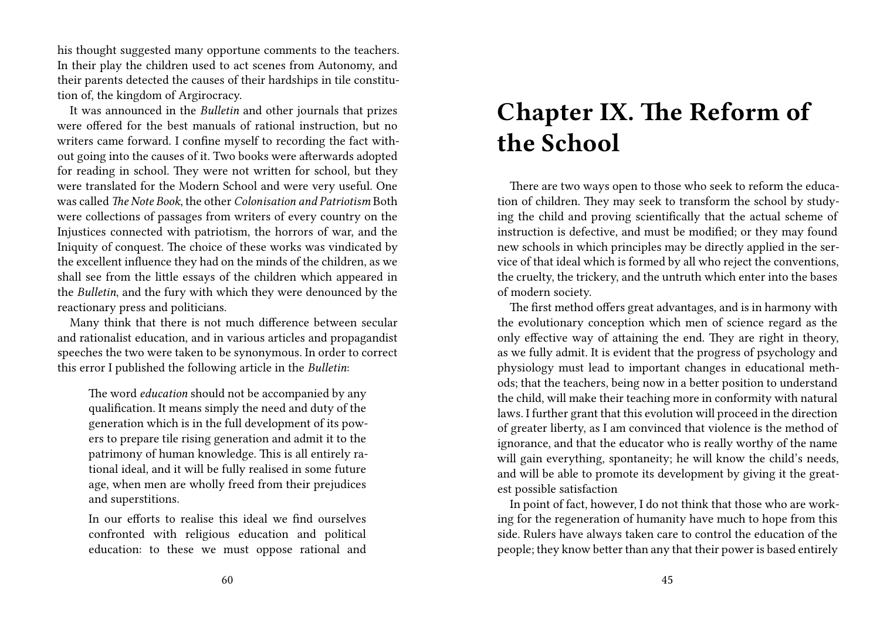his thought suggested many opportune comments to the teachers. In their play the children used to act scenes from Autonomy, and their parents detected the causes of their hardships in tile constitution of, the kingdom of Argirocracy.

It was announced in the *Bulletin* and other journals that prizes were offered for the best manuals of rational instruction, but no writers came forward. I confine myself to recording the fact without going into the causes of it. Two books were afterwards adopted for reading in school. They were not written for school, but they were translated for the Modern School and were very useful. One was called *The Note Book*, the other *Colonisation and Patriotism* Both were collections of passages from writers of every country on the Injustices connected with patriotism, the horrors of war, and the Iniquity of conquest. The choice of these works was vindicated by the excellent influence they had on the minds of the children, as we shall see from the little essays of the children which appeared in the *Bulletin*, and the fury with which they were denounced by the reactionary press and politicians.

Many think that there is not much difference between secular and rationalist education, and in various articles and propagandist speeches the two were taken to be synonymous. In order to correct this error I published the following article in the *Bulletin*:

The word *education* should not be accompanied by any qualification. It means simply the need and duty of the generation which is in the full development of its powers to prepare tile rising generation and admit it to the patrimony of human knowledge. This is all entirely rational ideal, and it will be fully realised in some future age, when men are wholly freed from their prejudices and superstitions.

In our efforts to realise this ideal we find ourselves confronted with religious education and political education: to these we must oppose rational and

# **Chapter IX. The Reform of the School**

There are two ways open to those who seek to reform the education of children. They may seek to transform the school by studying the child and proving scientifically that the actual scheme of instruction is defective, and must be modified; or they may found new schools in which principles may be directly applied in the service of that ideal which is formed by all who reject the conventions, the cruelty, the trickery, and the untruth which enter into the bases of modern society.

The first method offers great advantages, and is in harmony with the evolutionary conception which men of science regard as the only effective way of attaining the end. They are right in theory, as we fully admit. It is evident that the progress of psychology and physiology must lead to important changes in educational methods; that the teachers, being now in a better position to understand the child, will make their teaching more in conformity with natural laws. I further grant that this evolution will proceed in the direction of greater liberty, as I am convinced that violence is the method of ignorance, and that the educator who is really worthy of the name will gain everything, spontaneity; he will know the child's needs, and will be able to promote its development by giving it the greatest possible satisfaction

In point of fact, however, I do not think that those who are working for the regeneration of humanity have much to hope from this side. Rulers have always taken care to control the education of the people; they know better than any that their power is based entirely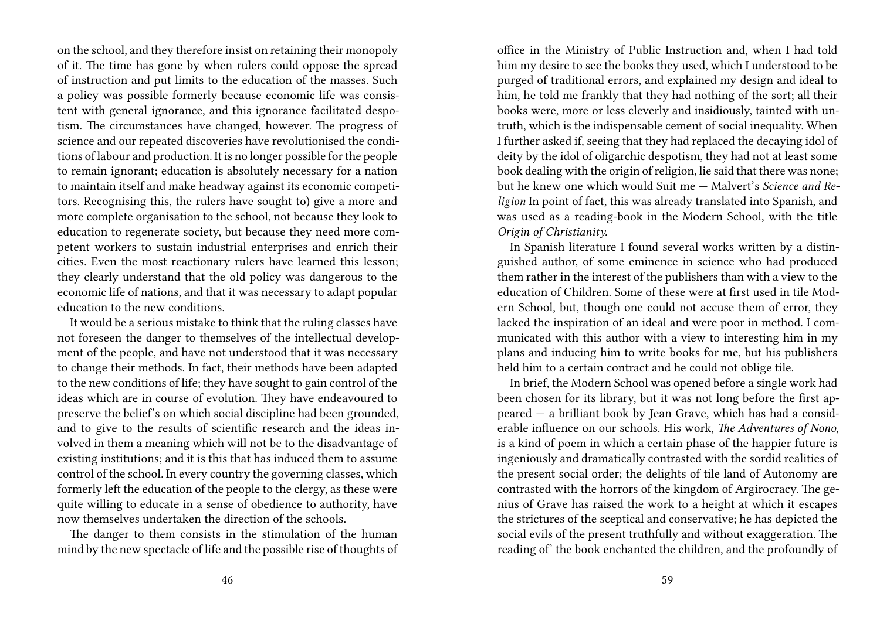on the school, and they therefore insist on retaining their monopoly of it. The time has gone by when rulers could oppose the spread of instruction and put limits to the education of the masses. Such a policy was possible formerly because economic life was consistent with general ignorance, and this ignorance facilitated despotism. The circumstances have changed, however. The progress of science and our repeated discoveries have revolutionised the conditions of labour and production. It is no longer possible for the people to remain ignorant; education is absolutely necessary for a nation to maintain itself and make headway against its economic competitors. Recognising this, the rulers have sought to) give a more and more complete organisation to the school, not because they look to education to regenerate society, but because they need more competent workers to sustain industrial enterprises and enrich their cities. Even the most reactionary rulers have learned this lesson; they clearly understand that the old policy was dangerous to the economic life of nations, and that it was necessary to adapt popular education to the new conditions.

It would be a serious mistake to think that the ruling classes have not foreseen the danger to themselves of the intellectual development of the people, and have not understood that it was necessary to change their methods. In fact, their methods have been adapted to the new conditions of life; they have sought to gain control of the ideas which are in course of evolution. They have endeavoured to preserve the belief's on which social discipline had been grounded, and to give to the results of scientific research and the ideas involved in them a meaning which will not be to the disadvantage of existing institutions; and it is this that has induced them to assume control of the school. In every country the governing classes, which formerly left the education of the people to the clergy, as these were quite willing to educate in a sense of obedience to authority, have now themselves undertaken the direction of the schools.

The danger to them consists in the stimulation of the human mind by the new spectacle of life and the possible rise of thoughts of office in the Ministry of Public Instruction and, when I had told him my desire to see the books they used, which I understood to be purged of traditional errors, and explained my design and ideal to him, he told me frankly that they had nothing of the sort; all their books were, more or less cleverly and insidiously, tainted with untruth, which is the indispensable cement of social inequality. When I further asked if, seeing that they had replaced the decaying idol of deity by the idol of oligarchic despotism, they had not at least some book dealing with the origin of religion, lie said that there was none; but he knew one which would Suit me — Malvert's *Science and Religion* In point of fact, this was already translated into Spanish, and was used as a reading-book in the Modern School, with the title *Origin of Christianity.*

In Spanish literature I found several works written by a distinguished author, of some eminence in science who had produced them rather in the interest of the publishers than with a view to the education of Children. Some of these were at first used in tile Modern School, but, though one could not accuse them of error, they lacked the inspiration of an ideal and were poor in method. I communicated with this author with a view to interesting him in my plans and inducing him to write books for me, but his publishers held him to a certain contract and he could not oblige tile.

In brief, the Modern School was opened before a single work had been chosen for its library, but it was not long before the first appeared — a brilliant book by Jean Grave, which has had a considerable influence on our schools. His work, *The Adventures of Nono*, is a kind of poem in which a certain phase of the happier future is ingeniously and dramatically contrasted with the sordid realities of the present social order; the delights of tile land of Autonomy are contrasted with the horrors of the kingdom of Argirocracy. The genius of Grave has raised the work to a height at which it escapes the strictures of the sceptical and conservative; he has depicted the social evils of the present truthfully and without exaggeration. The reading of' the book enchanted the children, and the profoundly of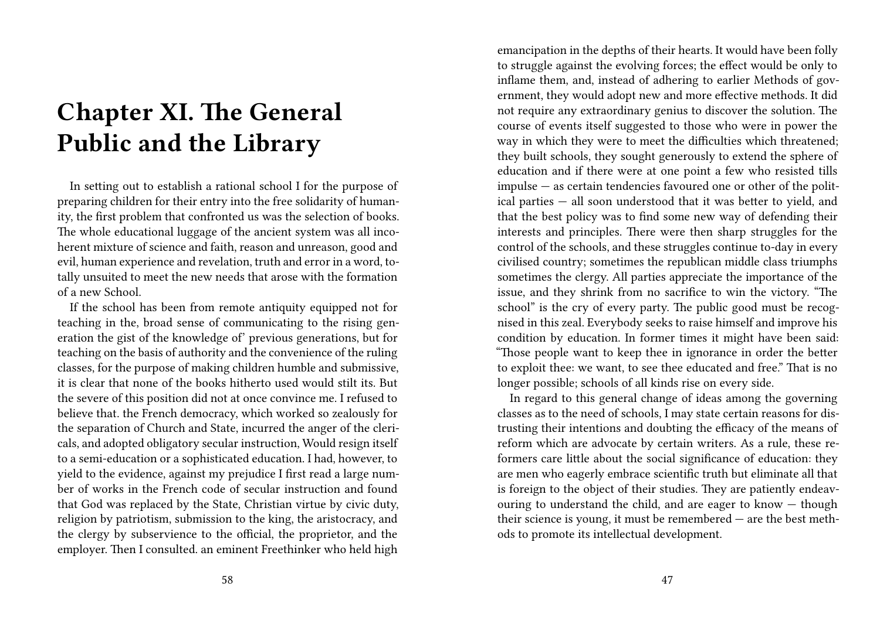## **Chapter XI. The General Public and the Library**

In setting out to establish a rational school I for the purpose of preparing children for their entry into the free solidarity of humanity, the first problem that confronted us was the selection of books. The whole educational luggage of the ancient system was all incoherent mixture of science and faith, reason and unreason, good and evil, human experience and revelation, truth and error in a word, totally unsuited to meet the new needs that arose with the formation of a new School.

If the school has been from remote antiquity equipped not for teaching in the, broad sense of communicating to the rising generation the gist of the knowledge of' previous generations, but for teaching on the basis of authority and the convenience of the ruling classes, for the purpose of making children humble and submissive, it is clear that none of the books hitherto used would stilt its. But the severe of this position did not at once convince me. I refused to believe that. the French democracy, which worked so zealously for the separation of Church and State, incurred the anger of the clericals, and adopted obligatory secular instruction, Would resign itself to a semi-education or a sophisticated education. I had, however, to yield to the evidence, against my prejudice I first read a large number of works in the French code of secular instruction and found that God was replaced by the State, Christian virtue by civic duty, religion by patriotism, submission to the king, the aristocracy, and the clergy by subservience to the official, the proprietor, and the employer. Then I consulted. an eminent Freethinker who held high

emancipation in the depths of their hearts. It would have been folly to struggle against the evolving forces; the effect would be only to inflame them, and, instead of adhering to earlier Methods of government, they would adopt new and more effective methods. It did not require any extraordinary genius to discover the solution. The course of events itself suggested to those who were in power the way in which they were to meet the difficulties which threatened; they built schools, they sought generously to extend the sphere of education and if there were at one point a few who resisted tills impulse — as certain tendencies favoured one or other of the political parties — all soon understood that it was better to yield, and that the best policy was to find some new way of defending their interests and principles. There were then sharp struggles for the control of the schools, and these struggles continue to-day in every civilised country; sometimes the republican middle class triumphs sometimes the clergy. All parties appreciate the importance of the issue, and they shrink from no sacrifice to win the victory. "The school" is the cry of every party. The public good must be recognised in this zeal. Everybody seeks to raise himself and improve his condition by education. In former times it might have been said: "Those people want to keep thee in ignorance in order the better to exploit thee: we want, to see thee educated and free." That is no longer possible; schools of all kinds rise on every side.

In regard to this general change of ideas among the governing classes as to the need of schools, I may state certain reasons for distrusting their intentions and doubting the efficacy of the means of reform which are advocate by certain writers. As a rule, these reformers care little about the social significance of education: they are men who eagerly embrace scientific truth but eliminate all that is foreign to the object of their studies. They are patiently endeavouring to understand the child, and are eager to know — though their science is young, it must be remembered — are the best methods to promote its intellectual development.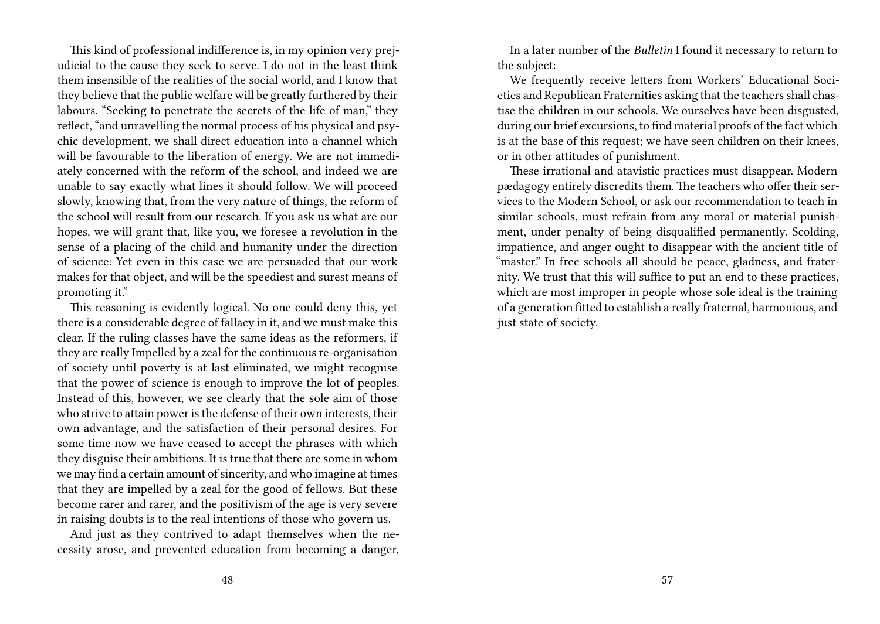This kind of professional indifference is, in my opinion very prejudicial to the cause they seek to serve. I do not in the least think them insensible of the realities of the social world, and I know that they believe that the public welfare will be greatly furthered by their labours. "Seeking to penetrate the secrets of the life of man," they reflect, "and unravelling the normal process of his physical and psychic development, we shall direct education into a channel which will be favourable to the liberation of energy. We are not immediately concerned with the reform of the school, and indeed we are unable to say exactly what lines it should follow. We will proceed slowly, knowing that, from the very nature of things, the reform of the school will result from our research. If you ask us what are our hopes, we will grant that, like you, we foresee a revolution in the sense of a placing of the child and humanity under the direction of science: Yet even in this case we are persuaded that our work makes for that object, and will be the speediest and surest means of promoting it."

This reasoning is evidently logical. No one could deny this, yet there is a considerable degree of fallacy in it, and we must make this clear. If the ruling classes have the same ideas as the reformers, if they are really Impelled by a zeal for the continuous re-organisation of society until poverty is at last eliminated, we might recognise that the power of science is enough to improve the lot of peoples. Instead of this, however, we see clearly that the sole aim of those who strive to attain power is the defense of their own interests, their own advantage, and the satisfaction of their personal desires. For some time now we have ceased to accept the phrases with which they disguise their ambitions. It is true that there are some in whom we may find a certain amount of sincerity, and who imagine at times that they are impelled by a zeal for the good of fellows. But these become rarer and rarer, and the positivism of the age is very severe in raising doubts is to the real intentions of those who govern us.

And just as they contrived to adapt themselves when the necessity arose, and prevented education from becoming a danger,

In a later number of the *Bulletin* I found it necessary to return to the subject:

We frequently receive letters from Workers' Educational Societies and Republican Fraternities asking that the teachers shall chastise the children in our schools. We ourselves have been disgusted, during our brief excursions, to find material proofs of the fact which is at the base of this request; we have seen children on their knees, or in other attitudes of punishment.

These irrational and atavistic practices must disappear. Modern pædagogy entirely discredits them. The teachers who offer their services to the Modern School, or ask our recommendation to teach in similar schools, must refrain from any moral or material punishment, under penalty of being disqualified permanently. Scolding, impatience, and anger ought to disappear with the ancient title of "master." In free schools all should be peace, gladness, and fraternity. We trust that this will suffice to put an end to these practices, which are most improper in people whose sole ideal is the training of a generation fitted to establish a really fraternal, harmonious, and just state of society.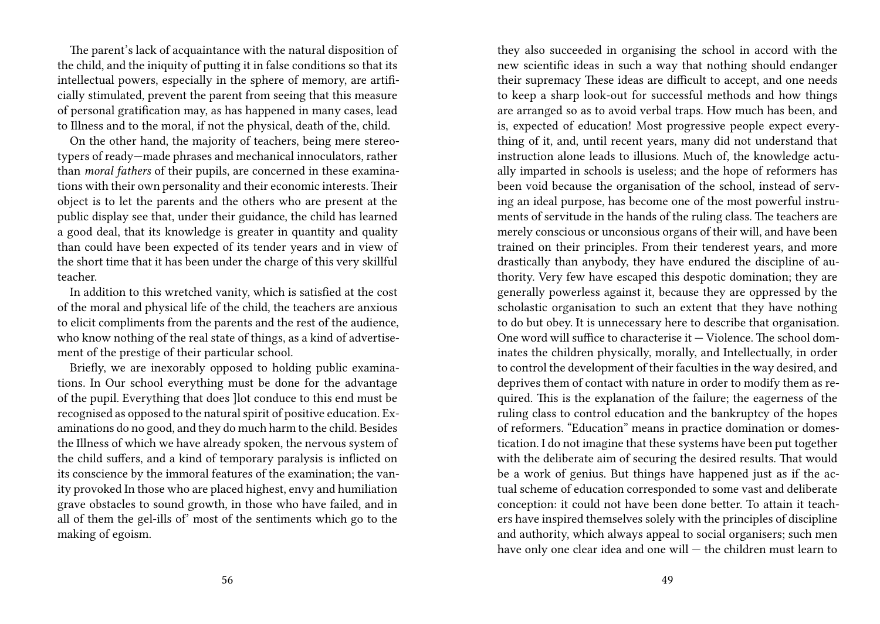The parent's lack of acquaintance with the natural disposition of the child, and the iniquity of putting it in false conditions so that its intellectual powers, especially in the sphere of memory, are artificially stimulated, prevent the parent from seeing that this measure of personal gratification may, as has happened in many cases, lead to Illness and to the moral, if not the physical, death of the, child.

On the other hand, the majority of teachers, being mere stereotypers of ready—made phrases and mechanical innoculators, rather than *moral fathers* of their pupils, are concerned in these examinations with their own personality and their economic interests. Their object is to let the parents and the others who are present at the public display see that, under their guidance, the child has learned a good deal, that its knowledge is greater in quantity and quality than could have been expected of its tender years and in view of the short time that it has been under the charge of this very skillful teacher.

In addition to this wretched vanity, which is satisfied at the cost of the moral and physical life of the child, the teachers are anxious to elicit compliments from the parents and the rest of the audience, who know nothing of the real state of things, as a kind of advertisement of the prestige of their particular school.

Briefly, we are inexorably opposed to holding public examinations. In Our school everything must be done for the advantage of the pupil. Everything that does ]lot conduce to this end must be recognised as opposed to the natural spirit of positive education. Examinations do no good, and they do much harm to the child. Besides the Illness of which we have already spoken, the nervous system of the child suffers, and a kind of temporary paralysis is inflicted on its conscience by the immoral features of the examination; the vanity provoked In those who are placed highest, envy and humiliation grave obstacles to sound growth, in those who have failed, and in all of them the gel-ills of' most of the sentiments which go to the making of egoism.

they also succeeded in organising the school in accord with the new scientific ideas in such a way that nothing should endanger their supremacy These ideas are difficult to accept, and one needs to keep a sharp look-out for successful methods and how things are arranged so as to avoid verbal traps. How much has been, and is, expected of education! Most progressive people expect everything of it, and, until recent years, many did not understand that instruction alone leads to illusions. Much of, the knowledge actually imparted in schools is useless; and the hope of reformers has been void because the organisation of the school, instead of serving an ideal purpose, has become one of the most powerful instruments of servitude in the hands of the ruling class. The teachers are merely conscious or unconsious organs of their will, and have been trained on their principles. From their tenderest years, and more drastically than anybody, they have endured the discipline of authority. Very few have escaped this despotic domination; they are generally powerless against it, because they are oppressed by the scholastic organisation to such an extent that they have nothing to do but obey. It is unnecessary here to describe that organisation. One word will suffice to characterise it — Violence. The school dominates the children physically, morally, and Intellectually, in order to control the development of their faculties in the way desired, and deprives them of contact with nature in order to modify them as required. This is the explanation of the failure; the eagerness of the ruling class to control education and the bankruptcy of the hopes of reformers. "Education" means in practice domination or domestication. I do not imagine that these systems have been put together with the deliberate aim of securing the desired results. That would be a work of genius. But things have happened just as if the actual scheme of education corresponded to some vast and deliberate conception: it could not have been done better. To attain it teachers have inspired themselves solely with the principles of discipline and authority, which always appeal to social organisers; such men have only one clear idea and one will — the children must learn to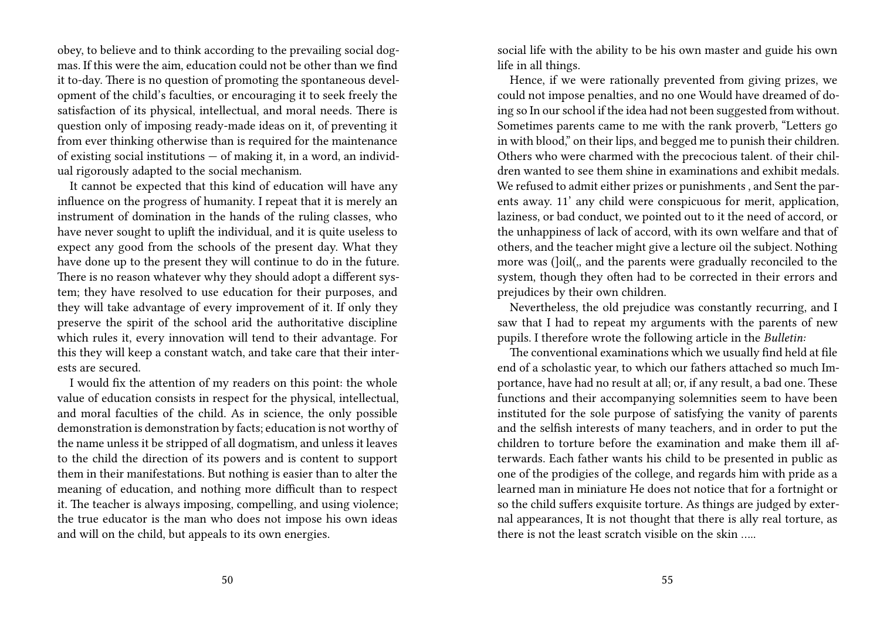obey, to believe and to think according to the prevailing social dogmas. If this were the aim, education could not be other than we find it to-day. There is no question of promoting the spontaneous development of the child's faculties, or encouraging it to seek freely the satisfaction of its physical, intellectual, and moral needs. There is question only of imposing ready-made ideas on it, of preventing it from ever thinking otherwise than is required for the maintenance of existing social institutions — of making it, in a word, an individual rigorously adapted to the social mechanism.

It cannot be expected that this kind of education will have any influence on the progress of humanity. I repeat that it is merely an instrument of domination in the hands of the ruling classes, who have never sought to uplift the individual, and it is quite useless to expect any good from the schools of the present day. What they have done up to the present they will continue to do in the future. There is no reason whatever why they should adopt a different system; they have resolved to use education for their purposes, and they will take advantage of every improvement of it. If only they preserve the spirit of the school arid the authoritative discipline which rules it, every innovation will tend to their advantage. For this they will keep a constant watch, and take care that their interests are secured.

I would fix the attention of my readers on this point: the whole value of education consists in respect for the physical, intellectual, and moral faculties of the child. As in science, the only possible demonstration is demonstration by facts; education is not worthy of the name unless it be stripped of all dogmatism, and unless it leaves to the child the direction of its powers and is content to support them in their manifestations. But nothing is easier than to alter the meaning of education, and nothing more difficult than to respect it. The teacher is always imposing, compelling, and using violence; the true educator is the man who does not impose his own ideas and will on the child, but appeals to its own energies.

social life with the ability to be his own master and guide his own life in all things.

Hence, if we were rationally prevented from giving prizes, we could not impose penalties, and no one Would have dreamed of doing so In our school if the idea had not been suggested from without. Sometimes parents came to me with the rank proverb, "Letters go in with blood," on their lips, and begged me to punish their children. Others who were charmed with the precocious talent. of their children wanted to see them shine in examinations and exhibit medals. We refused to admit either prizes or punishments , and Sent the parents away. 11' any child were conspicuous for merit, application, laziness, or bad conduct, we pointed out to it the need of accord, or the unhappiness of lack of accord, with its own welfare and that of others, and the teacher might give a lecture oil the subject. Nothing more was (]oil(,, and the parents were gradually reconciled to the system, though they often had to be corrected in their errors and prejudices by their own children.

Nevertheless, the old prejudice was constantly recurring, and I saw that I had to repeat my arguments with the parents of new pupils. I therefore wrote the following article in the *Bulletin:*

The conventional examinations which we usually find held at file end of a scholastic year, to which our fathers attached so much Importance, have had no result at all; or, if any result, a bad one. These functions and their accompanying solemnities seem to have been instituted for the sole purpose of satisfying the vanity of parents and the selfish interests of many teachers, and in order to put the children to torture before the examination and make them ill afterwards. Each father wants his child to be presented in public as one of the prodigies of the college, and regards him with pride as a learned man in miniature He does not notice that for a fortnight or so the child suffers exquisite torture. As things are judged by external appearances, It is not thought that there is ally real torture, as there is not the least scratch visible on the skin …..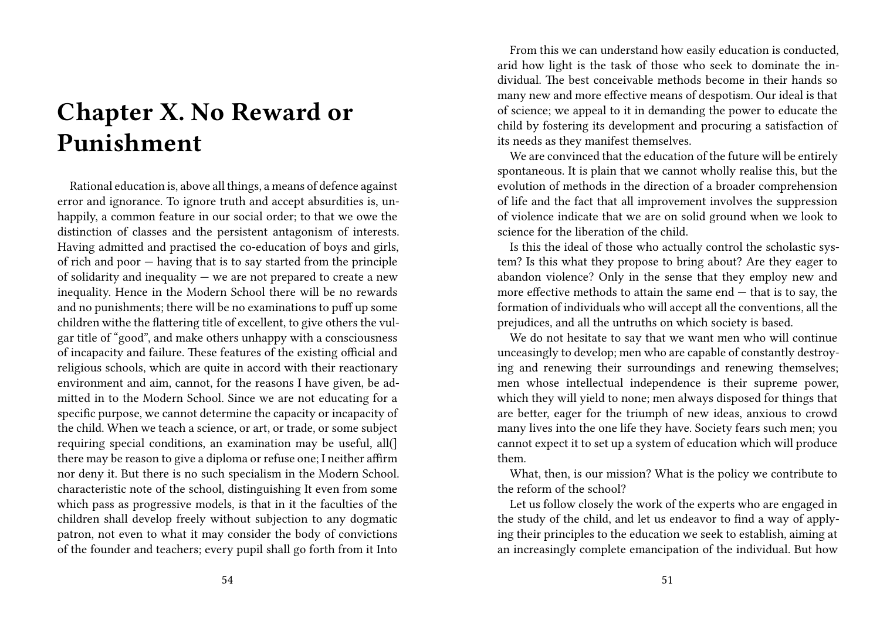# **Chapter X. No Reward or Punishment**

Rational education is, above all things, a means of defence against error and ignorance. To ignore truth and accept absurdities is, unhappily, a common feature in our social order; to that we owe the distinction of classes and the persistent antagonism of interests. Having admitted and practised the co-education of boys and girls, of rich and poor — having that is to say started from the principle of solidarity and inequality  $-$  we are not prepared to create a new inequality. Hence in the Modern School there will be no rewards and no punishments; there will be no examinations to puff up some children withe the flattering title of excellent, to give others the vulgar title of "good", and make others unhappy with a consciousness of incapacity and failure. These features of the existing official and religious schools, which are quite in accord with their reactionary environment and aim, cannot, for the reasons I have given, be admitted in to the Modern School. Since we are not educating for a specific purpose, we cannot determine the capacity or incapacity of the child. When we teach a science, or art, or trade, or some subject requiring special conditions, an examination may be useful, all(] there may be reason to give a diploma or refuse one; I neither affirm nor deny it. But there is no such specialism in the Modern School. characteristic note of the school, distinguishing It even from some which pass as progressive models, is that in it the faculties of the children shall develop freely without subjection to any dogmatic patron, not even to what it may consider the body of convictions of the founder and teachers; every pupil shall go forth from it Into

From this we can understand how easily education is conducted, arid how light is the task of those who seek to dominate the individual. The best conceivable methods become in their hands so many new and more effective means of despotism. Our ideal is that of science; we appeal to it in demanding the power to educate the child by fostering its development and procuring a satisfaction of its needs as they manifest themselves.

We are convinced that the education of the future will be entirely spontaneous. It is plain that we cannot wholly realise this, but the evolution of methods in the direction of a broader comprehension of life and the fact that all improvement involves the suppression of violence indicate that we are on solid ground when we look to science for the liberation of the child.

Is this the ideal of those who actually control the scholastic system? Is this what they propose to bring about? Are they eager to abandon violence? Only in the sense that they employ new and more effective methods to attain the same end  $-$  that is to say, the formation of individuals who will accept all the conventions, all the prejudices, and all the untruths on which society is based.

We do not hesitate to say that we want men who will continue unceasingly to develop; men who are capable of constantly destroying and renewing their surroundings and renewing themselves; men whose intellectual independence is their supreme power, which they will yield to none; men always disposed for things that are better, eager for the triumph of new ideas, anxious to crowd many lives into the one life they have. Society fears such men; you cannot expect it to set up a system of education which will produce them.

What, then, is our mission? What is the policy we contribute to the reform of the school?

Let us follow closely the work of the experts who are engaged in the study of the child, and let us endeavor to find a way of applying their principles to the education we seek to establish, aiming at an increasingly complete emancipation of the individual. But how